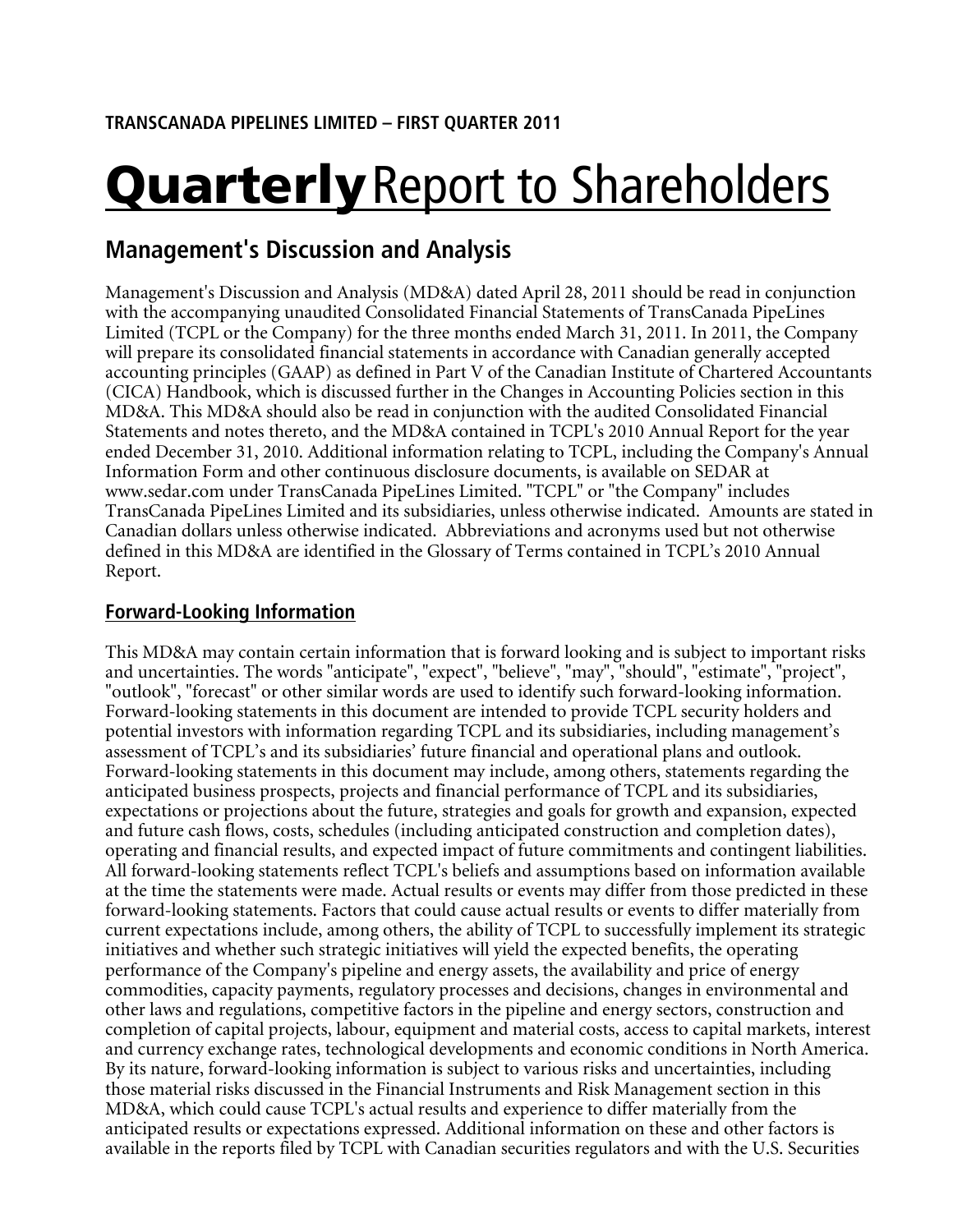# **Quarterly** Report to Shareholders

# **Management's Discussion and Analysis**

Management's Discussion and Analysis (MD&A) dated April 28, 2011 should be read in conjunction with the accompanying unaudited Consolidated Financial Statements of TransCanada PipeLines Limited (TCPL or the Company) for the three months ended March 31, 2011. In 2011, the Company will prepare its consolidated financial statements in accordance with Canadian generally accepted accounting principles (GAAP) as defined in Part V of the Canadian Institute of Chartered Accountants (CICA) Handbook, which is discussed further in the Changes in Accounting Policies section in this MD&A. This MD&A should also be read in conjunction with the audited Consolidated Financial Statements and notes thereto, and the MD&A contained in TCPL's 2010 Annual Report for the year ended December 31, 2010. Additional information relating to TCPL, including the Company's Annual Information Form and other continuous disclosure documents, is available on SEDAR at www.sedar.com under TransCanada PipeLines Limited. "TCPL" or "the Company" includes TransCanada PipeLines Limited and its subsidiaries, unless otherwise indicated. Amounts are stated in Canadian dollars unless otherwise indicated. Abbreviations and acronyms used but not otherwise defined in this MD&A are identified in the Glossary of Terms contained in TCPL's 2010 Annual Report.

# **Forward-Looking Information**

This MD&A may contain certain information that is forward looking and is subject to important risks and uncertainties. The words "anticipate", "expect", "believe", "may", "should", "estimate", "project", "outlook", "forecast" or other similar words are used to identify such forward-looking information. Forward-looking statements in this document are intended to provide TCPL security holders and potential investors with information regarding TCPL and its subsidiaries, including management's assessment of TCPL's and its subsidiaries' future financial and operational plans and outlook. Forward-looking statements in this document may include, among others, statements regarding the anticipated business prospects, projects and financial performance of TCPL and its subsidiaries, expectations or projections about the future, strategies and goals for growth and expansion, expected and future cash flows, costs, schedules (including anticipated construction and completion dates), operating and financial results, and expected impact of future commitments and contingent liabilities. All forward-looking statements reflect TCPL's beliefs and assumptions based on information available at the time the statements were made. Actual results or events may differ from those predicted in these forward-looking statements. Factors that could cause actual results or events to differ materially from current expectations include, among others, the ability of TCPL to successfully implement its strategic initiatives and whether such strategic initiatives will yield the expected benefits, the operating performance of the Company's pipeline and energy assets, the availability and price of energy commodities, capacity payments, regulatory processes and decisions, changes in environmental and other laws and regulations, competitive factors in the pipeline and energy sectors, construction and completion of capital projects, labour, equipment and material costs, access to capital markets, interest and currency exchange rates, technological developments and economic conditions in North America. By its nature, forward-looking information is subject to various risks and uncertainties, including those material risks discussed in the Financial Instruments and Risk Management section in this MD&A, which could cause TCPL's actual results and experience to differ materially from the anticipated results or expectations expressed. Additional information on these and other factors is available in the reports filed by TCPL with Canadian securities regulators and with the U.S. Securities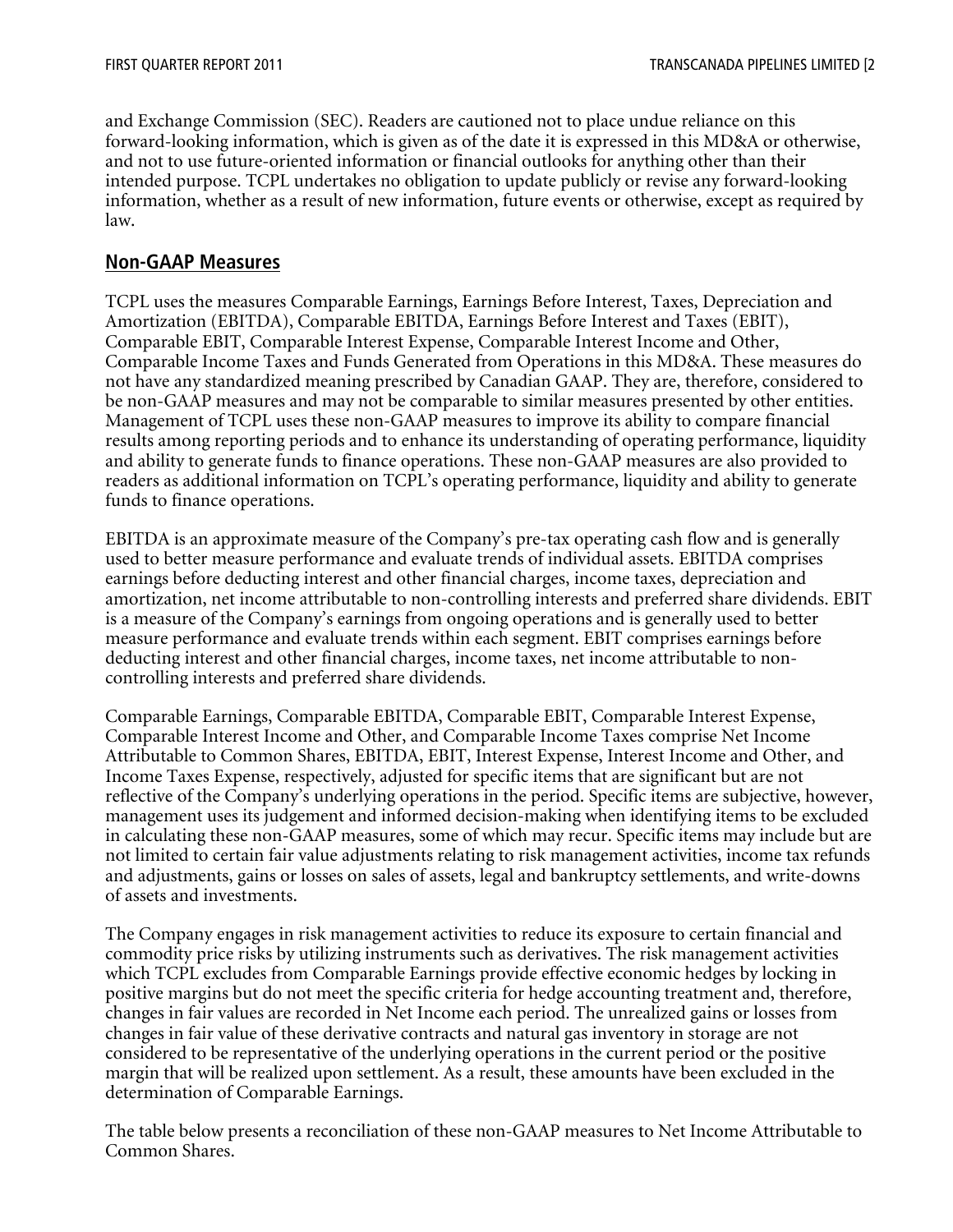and Exchange Commission (SEC). Readers are cautioned not to place undue reliance on this forward-looking information, which is given as of the date it is expressed in this MD&A or otherwise, and not to use future-oriented information or financial outlooks for anything other than their intended purpose. TCPL undertakes no obligation to update publicly or revise any forward-looking information, whether as a result of new information, future events or otherwise, except as required by law.

# **Non-GAAP Measures**

TCPL uses the measures Comparable Earnings, Earnings Before Interest, Taxes, Depreciation and Amortization (EBITDA), Comparable EBITDA, Earnings Before Interest and Taxes (EBIT), Comparable EBIT, Comparable Interest Expense, Comparable Interest Income and Other, Comparable Income Taxes and Funds Generated from Operations in this MD&A. These measures do not have any standardized meaning prescribed by Canadian GAAP. They are, therefore, considered to be non-GAAP measures and may not be comparable to similar measures presented by other entities. Management of TCPL uses these non-GAAP measures to improve its ability to compare financial results among reporting periods and to enhance its understanding of operating performance, liquidity and ability to generate funds to finance operations. These non-GAAP measures are also provided to readers as additional information on TCPL's operating performance, liquidity and ability to generate funds to finance operations.

EBITDA is an approximate measure of the Company's pre-tax operating cash flow and is generally used to better measure performance and evaluate trends of individual assets. EBITDA comprises earnings before deducting interest and other financial charges, income taxes, depreciation and amortization, net income attributable to non-controlling interests and preferred share dividends. EBIT is a measure of the Company's earnings from ongoing operations and is generally used to better measure performance and evaluate trends within each segment. EBIT comprises earnings before deducting interest and other financial charges, income taxes, net income attributable to noncontrolling interests and preferred share dividends.

Comparable Earnings, Comparable EBITDA, Comparable EBIT, Comparable Interest Expense, Comparable Interest Income and Other, and Comparable Income Taxes comprise Net Income Attributable to Common Shares, EBITDA, EBIT, Interest Expense, Interest Income and Other, and Income Taxes Expense, respectively, adjusted for specific items that are significant but are not reflective of the Company's underlying operations in the period. Specific items are subjective, however, management uses its judgement and informed decision-making when identifying items to be excluded in calculating these non-GAAP measures, some of which may recur. Specific items may include but are not limited to certain fair value adjustments relating to risk management activities, income tax refunds and adjustments, gains or losses on sales of assets, legal and bankruptcy settlements, and write-downs of assets and investments.

The Company engages in risk management activities to reduce its exposure to certain financial and commodity price risks by utilizing instruments such as derivatives. The risk management activities which TCPL excludes from Comparable Earnings provide effective economic hedges by locking in positive margins but do not meet the specific criteria for hedge accounting treatment and, therefore, changes in fair values are recorded in Net Income each period. The unrealized gains or losses from changes in fair value of these derivative contracts and natural gas inventory in storage are not considered to be representative of the underlying operations in the current period or the positive margin that will be realized upon settlement. As a result, these amounts have been excluded in the determination of Comparable Earnings.

The table below presents a reconciliation of these non-GAAP measures to Net Income Attributable to Common Shares.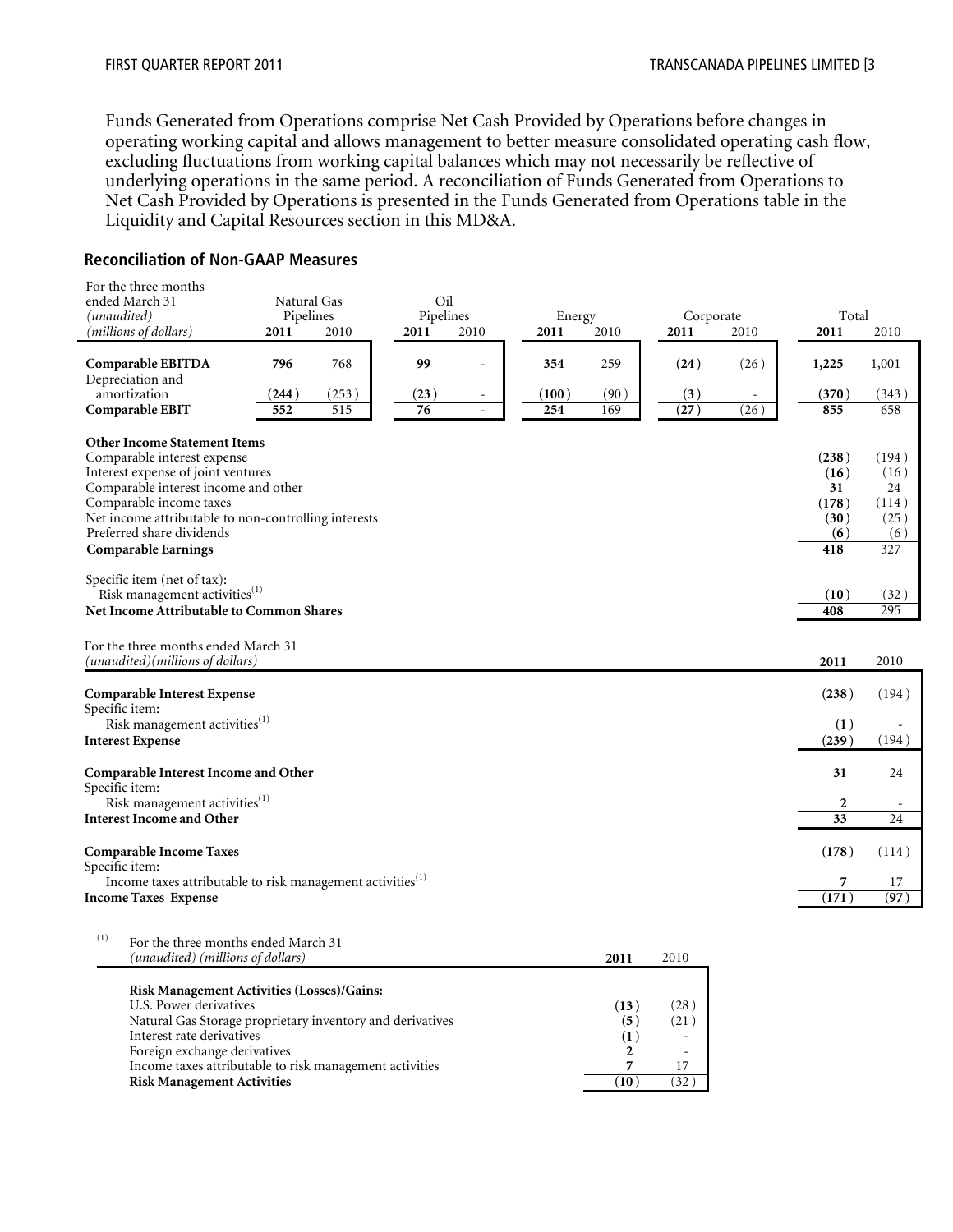Funds Generated from Operations comprise Net Cash Provided by Operations before changes in operating working capital and allows management to better measure consolidated operating cash flow, excluding fluctuations from working capital balances which may not necessarily be reflective of underlying operations in the same period. A reconciliation of Funds Generated from Operations to Net Cash Provided by Operations is presented in the Funds Generated from Operations table in the Liquidity and Capital Resources section in this MD&A.

#### **Reconciliation of Non-GAAP Measures**

| For the three months                                                   |             |                  |           |                          |        |      |           |      |                  |          |
|------------------------------------------------------------------------|-------------|------------------|-----------|--------------------------|--------|------|-----------|------|------------------|----------|
| ended March 31                                                         | Natural Gas |                  | Oil       |                          |        |      |           |      |                  |          |
| (unaudited)                                                            | Pipelines   |                  | Pipelines |                          | Energy |      | Corporate |      | Total            |          |
| (millions of dollars)                                                  | 2011        | 2010             | 2011      | 2010                     | 2011   | 2010 | 2011      | 2010 | 2011             | 2010     |
|                                                                        |             |                  |           |                          |        |      |           |      |                  |          |
| Comparable EBITDA                                                      | 796         | 768              | 99        |                          | 354    | 259  | (24)      | (26) | 1,225            | 1,001    |
| Depreciation and                                                       |             |                  |           |                          |        |      |           |      |                  |          |
| amortization                                                           | (244)       | (253)            | (23)      | $\overline{\phantom{a}}$ | (100)  | (90) | (3)       |      | (370)            | (343)    |
| Comparable EBIT                                                        | 552         | $\overline{515}$ | 76        | $\omega$                 | 254    | 169  | (27)      | (26) | 855              | 658      |
|                                                                        |             |                  |           |                          |        |      |           |      |                  |          |
| <b>Other Income Statement Items</b>                                    |             |                  |           |                          |        |      |           |      |                  |          |
| Comparable interest expense                                            |             |                  |           |                          |        |      |           |      | (238)            | (194)    |
| Interest expense of joint ventures                                     |             |                  |           |                          |        |      |           |      | (16)             | (16)     |
| Comparable interest income and other                                   |             |                  |           |                          |        |      |           |      | 31               | 24       |
| Comparable income taxes                                                |             |                  |           |                          |        |      |           |      | (178)            | (114)    |
|                                                                        |             |                  |           |                          |        |      |           |      |                  |          |
| Net income attributable to non-controlling interests                   |             |                  |           |                          |        |      |           |      | (30)             | (25)     |
| Preferred share dividends                                              |             |                  |           |                          |        |      |           |      | (6)              | (6)      |
| <b>Comparable Earnings</b>                                             |             |                  |           |                          |        |      |           |      | 418              | 327      |
|                                                                        |             |                  |           |                          |        |      |           |      |                  |          |
| Specific item (net of tax):                                            |             |                  |           |                          |        |      |           |      |                  |          |
| Risk management activities <sup>(1)</sup>                              |             |                  |           |                          |        |      |           |      | (10)             | (32)     |
| Net Income Attributable to Common Shares                               |             |                  |           |                          |        |      |           |      | 408              | 295      |
|                                                                        |             |                  |           |                          |        |      |           |      |                  |          |
| For the three months ended March 31                                    |             |                  |           |                          |        |      |           |      |                  |          |
| (unaudited)(millions of dollars)                                       |             |                  |           |                          |        |      |           |      | 2011             | 2010     |
|                                                                        |             |                  |           |                          |        |      |           |      |                  |          |
| <b>Comparable Interest Expense</b>                                     |             |                  |           |                          |        |      |           |      | (238)            | (194)    |
| Specific item:                                                         |             |                  |           |                          |        |      |           |      |                  |          |
| Risk management activities <sup>(1)</sup>                              |             |                  |           |                          |        |      |           |      | (1)              |          |
| <b>Interest Expense</b>                                                |             |                  |           |                          |        |      |           |      | (239)            | (194)    |
|                                                                        |             |                  |           |                          |        |      |           |      |                  |          |
|                                                                        |             |                  |           |                          |        |      |           |      |                  |          |
| Comparable Interest Income and Other                                   |             |                  |           |                          |        |      |           |      | 31               | 24       |
| Specific item:                                                         |             |                  |           |                          |        |      |           |      |                  |          |
| Risk management activities <sup>(1)</sup>                              |             |                  |           |                          |        |      |           |      | $\boldsymbol{2}$ | $\equiv$ |
| <b>Interest Income and Other</b>                                       |             |                  |           |                          |        |      |           |      | 33               | 24       |
|                                                                        |             |                  |           |                          |        |      |           |      |                  |          |
| <b>Comparable Income Taxes</b>                                         |             |                  |           |                          |        |      |           |      | (178)            | (114)    |
| Specific item:                                                         |             |                  |           |                          |        |      |           |      |                  |          |
| Income taxes attributable to risk management activities <sup>(1)</sup> |             |                  |           |                          |        |      |           |      |                  | 17       |
| <b>Income Taxes Expense</b>                                            |             |                  |           |                          |        |      |           |      | (171)            | (97)     |
|                                                                        |             |                  |           |                          |        |      |           |      |                  |          |
|                                                                        |             |                  |           |                          |        |      |           |      |                  |          |

| (1) | For the three months ended March 31<br>(unaudited) (millions of dollars) | 2011 | 2010 |
|-----|--------------------------------------------------------------------------|------|------|
|     | <b>Risk Management Activities (Losses)/Gains:</b>                        |      |      |
|     | U.S. Power derivatives                                                   | (13) | (28) |
|     | Natural Gas Storage proprietary inventory and derivatives                | (5)  | (21) |
|     | Interest rate derivatives                                                | (1)  |      |
|     | Foreign exchange derivatives                                             |      |      |
|     | Income taxes attributable to risk management activities                  |      | 17   |
|     | <b>Risk Management Activities</b>                                        | 10   | 32   |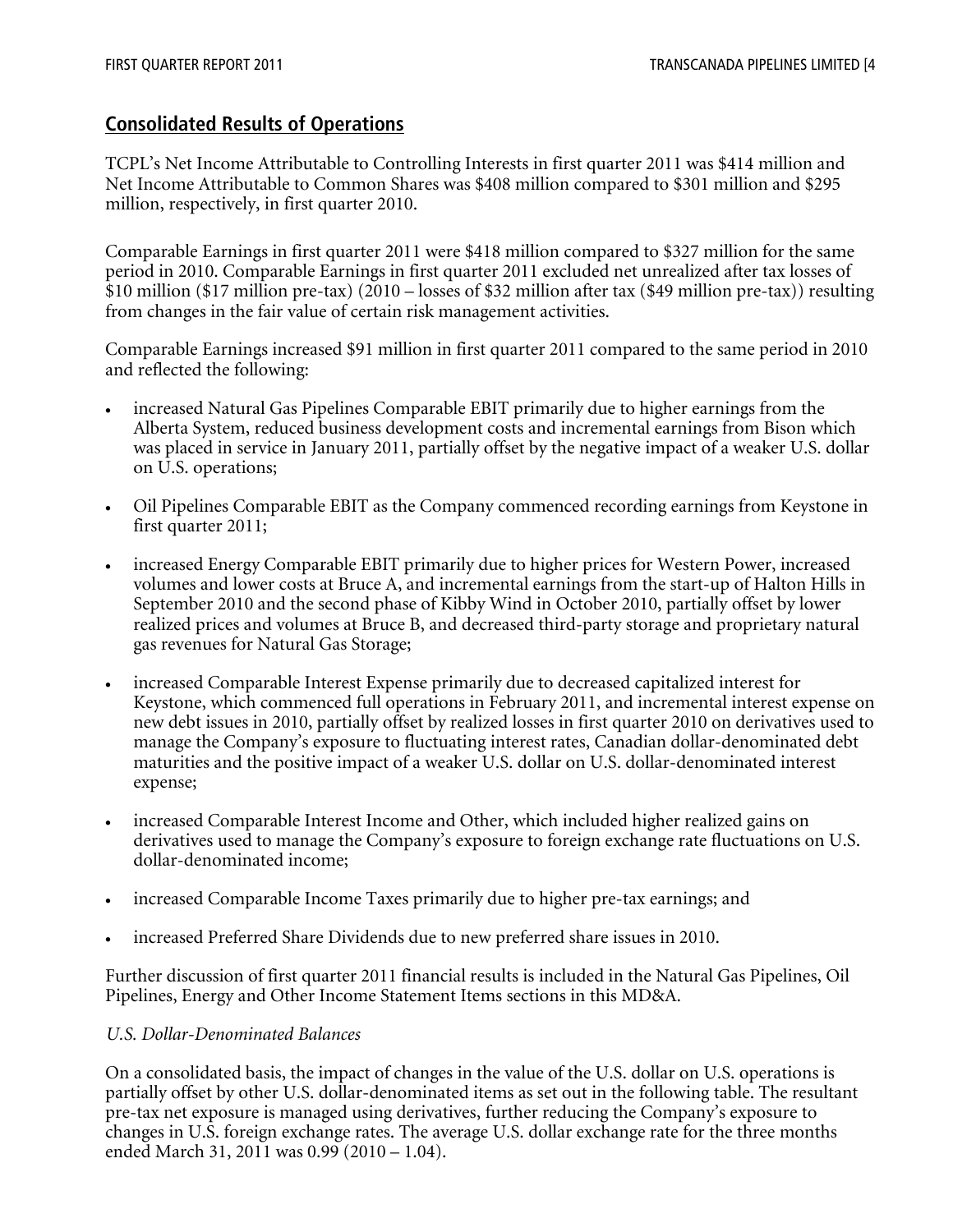# **Consolidated Results of Operations**

TCPL's Net Income Attributable to Controlling Interests in first quarter 2011 was \$414 million and Net Income Attributable to Common Shares was \$408 million compared to \$301 million and \$295 million, respectively, in first quarter 2010.

Comparable Earnings in first quarter 2011 were \$418 million compared to \$327 million for the same period in 2010. Comparable Earnings in first quarter 2011 excluded net unrealized after tax losses of \$10 million (\$17 million pre-tax) (2010 – losses of \$32 million after tax (\$49 million pre-tax)) resulting from changes in the fair value of certain risk management activities.

Comparable Earnings increased \$91 million in first quarter 2011 compared to the same period in 2010 and reflected the following:

- increased Natural Gas Pipelines Comparable EBIT primarily due to higher earnings from the Alberta System, reduced business development costs and incremental earnings from Bison which was placed in service in January 2011, partially offset by the negative impact of a weaker U.S. dollar on U.S. operations;
- Oil Pipelines Comparable EBIT as the Company commenced recording earnings from Keystone in first quarter 2011;
- increased Energy Comparable EBIT primarily due to higher prices for Western Power, increased volumes and lower costs at Bruce A, and incremental earnings from the start-up of Halton Hills in September 2010 and the second phase of Kibby Wind in October 2010, partially offset by lower realized prices and volumes at Bruce B, and decreased third-party storage and proprietary natural gas revenues for Natural Gas Storage;
- increased Comparable Interest Expense primarily due to decreased capitalized interest for Keystone, which commenced full operations in February 2011, and incremental interest expense on new debt issues in 2010, partially offset by realized losses in first quarter 2010 on derivatives used to manage the Company's exposure to fluctuating interest rates, Canadian dollar-denominated debt maturities and the positive impact of a weaker U.S. dollar on U.S. dollar-denominated interest expense;
- increased Comparable Interest Income and Other, which included higher realized gains on derivatives used to manage the Company's exposure to foreign exchange rate fluctuations on U.S. dollar-denominated income;
- increased Comparable Income Taxes primarily due to higher pre-tax earnings; and
- increased Preferred Share Dividends due to new preferred share issues in 2010.

Further discussion of first quarter 2011 financial results is included in the Natural Gas Pipelines, Oil Pipelines, Energy and Other Income Statement Items sections in this MD&A.

#### *U.S. Dollar-Denominated Balances*

On a consolidated basis, the impact of changes in the value of the U.S. dollar on U.S. operations is partially offset by other U.S. dollar-denominated items as set out in the following table. The resultant pre-tax net exposure is managed using derivatives, further reducing the Company's exposure to changes in U.S. foreign exchange rates. The average U.S. dollar exchange rate for the three months ended March 31, 2011 was 0.99 (2010 – 1.04).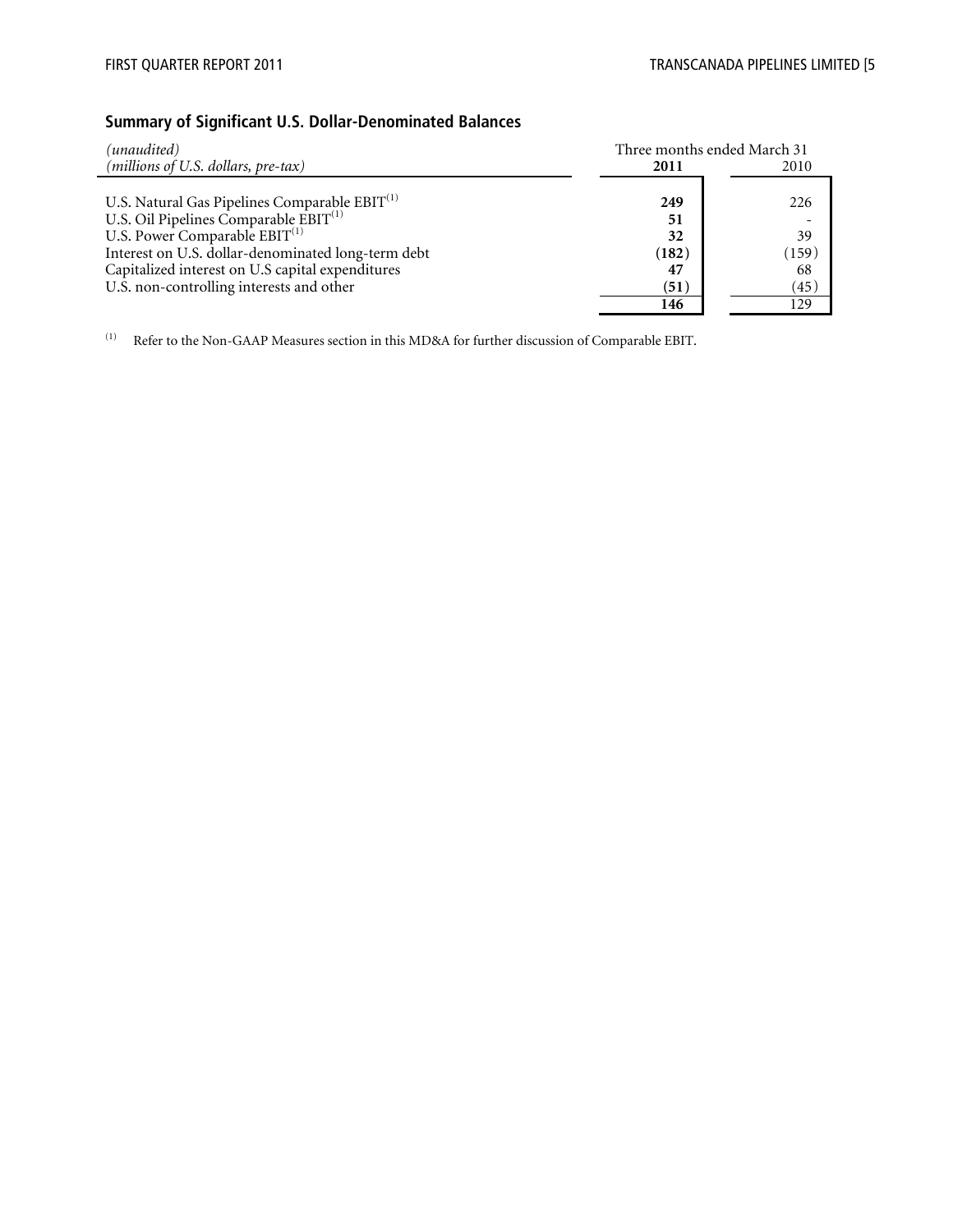### **Summary of Significant U.S. Dollar-Denominated Balances**

| Three months ended March 31<br>(unaudited)                                                       |       |       |
|--------------------------------------------------------------------------------------------------|-------|-------|
| (millions of U.S. dollars, pre-tax)                                                              | 2011  | 2010  |
| U.S. Natural Gas Pipelines Comparable $EBIT^{(1)}$<br>U.S. Oil Pipelines Comparable $EBIT^{(1)}$ | 249   | 226   |
|                                                                                                  | 51    |       |
| U.S. Power Comparable EBIT <sup>(1)</sup>                                                        | 32    | 39    |
| Interest on U.S. dollar-denominated long-term debt                                               | (182) | (159) |
| Capitalized interest on U.S capital expenditures                                                 | 47    | 68    |
| U.S. non-controlling interests and other                                                         | (51)  | (45)  |
|                                                                                                  | 146   | 129   |

 $\,^{(1)}$  Refer to the Non-GAAP Measures section in this MD&A for further discussion of Comparable EBIT.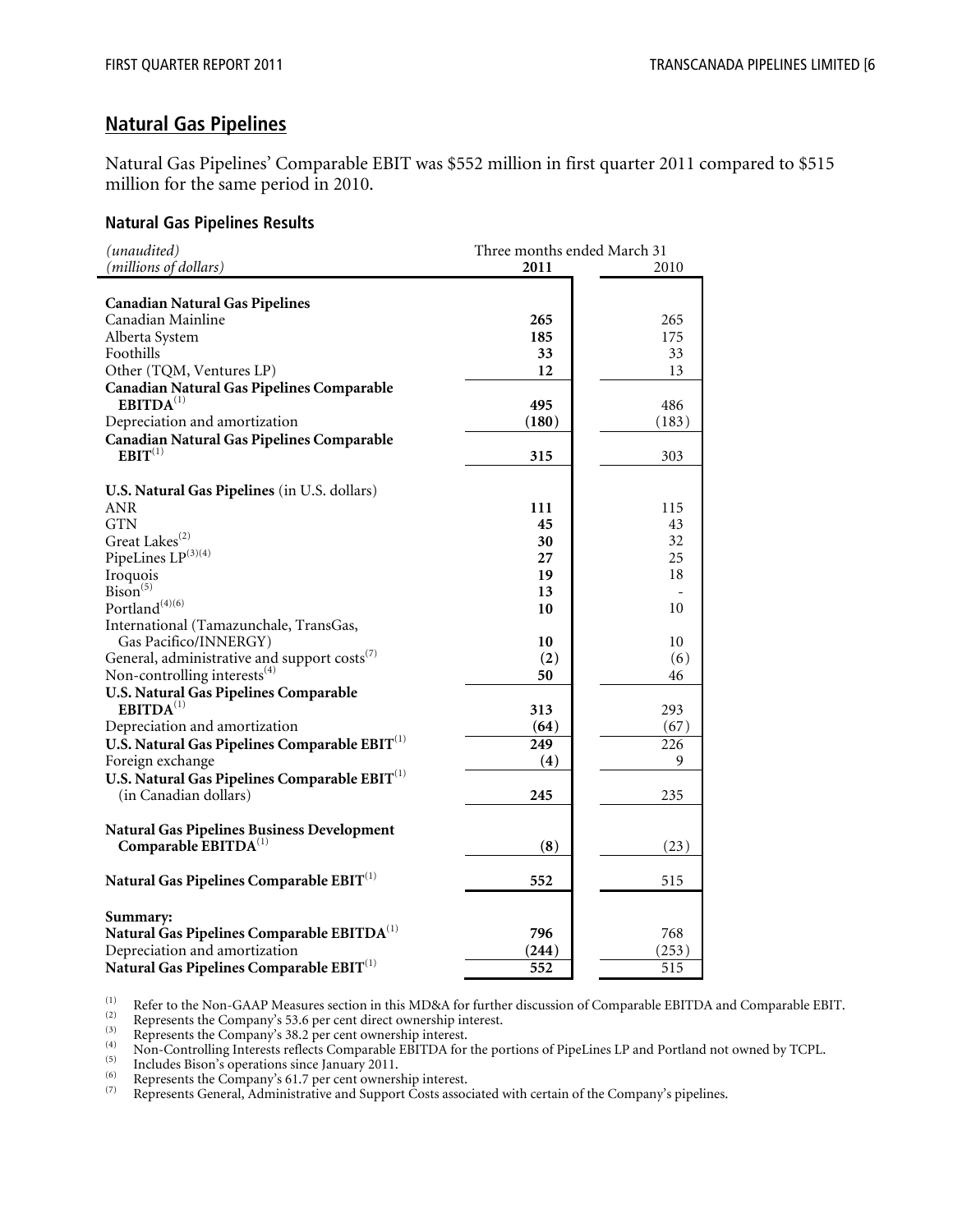# **Natural Gas Pipelines**

Natural Gas Pipelines' Comparable EBIT was \$552 million in first quarter 2011 compared to \$515 million for the same period in 2010.

#### **Natural Gas Pipelines Results**

| (unaudited)                                                                           | Three months ended March 31 |       |  |  |
|---------------------------------------------------------------------------------------|-----------------------------|-------|--|--|
| (millions of dollars)                                                                 | 2011                        | 2010  |  |  |
|                                                                                       |                             |       |  |  |
| <b>Canadian Natural Gas Pipelines</b>                                                 |                             |       |  |  |
| Canadian Mainline                                                                     | 265                         | 265   |  |  |
| Alberta System                                                                        | 185                         | 175   |  |  |
| Foothills                                                                             | 33                          | 33    |  |  |
| Other (TQM, Ventures LP)                                                              | 12                          | 13    |  |  |
| <b>Canadian Natural Gas Pipelines Comparable</b>                                      |                             |       |  |  |
| EBITDA <sup>(1)</sup>                                                                 | 495                         | 486   |  |  |
| Depreciation and amortization                                                         | (180)                       | (183) |  |  |
|                                                                                       |                             |       |  |  |
| <b>Canadian Natural Gas Pipelines Comparable</b><br>EBIT <sup>(1)</sup>               |                             |       |  |  |
|                                                                                       | 315                         | 303   |  |  |
|                                                                                       |                             |       |  |  |
| U.S. Natural Gas Pipelines (in U.S. dollars)                                          |                             |       |  |  |
| <b>ANR</b>                                                                            | 111                         | 115   |  |  |
| <b>GTN</b>                                                                            | 45                          | 43    |  |  |
| Great Lakes <sup>(2)</sup>                                                            | 30                          | 32    |  |  |
| PipeLines LP(3)(4)                                                                    | 27                          | 25    |  |  |
| Iroquois                                                                              | 19                          | 18    |  |  |
| $\overline{\text{Bison}}^{(5)}$                                                       | 13                          |       |  |  |
| Portland $(4)(6)$                                                                     | 10                          | 10    |  |  |
| International (Tamazunchale, TransGas,                                                |                             |       |  |  |
| Gas Pacifico/INNERGY)                                                                 | 10                          | 10    |  |  |
| General, administrative and support costs <sup>(7)</sup>                              | (2)                         | (6)   |  |  |
| Non-controlling interests <sup>(4)</sup>                                              | 50                          | 46    |  |  |
| U.S. Natural Gas Pipelines Comparable                                                 |                             |       |  |  |
| EBITDA <sup>(1)</sup>                                                                 | 313                         | 293   |  |  |
| Depreciation and amortization                                                         | (64)                        | (67)  |  |  |
| U.S. Natural Gas Pipelines Comparable EBIT <sup>(1)</sup>                             | 249                         | 226   |  |  |
| Foreign exchange                                                                      | (4)                         | 9     |  |  |
| U.S. Natural Gas Pipelines Comparable EBIT <sup>(1)</sup>                             |                             |       |  |  |
| (in Canadian dollars)                                                                 | 245                         | 235   |  |  |
|                                                                                       |                             |       |  |  |
|                                                                                       |                             |       |  |  |
| <b>Natural Gas Pipelines Business Development</b><br>Comparable EBITDA <sup>(1)</sup> |                             |       |  |  |
|                                                                                       | (8)                         | (23)  |  |  |
|                                                                                       |                             |       |  |  |
| Natural Gas Pipelines Comparable EBIT <sup>(1)</sup>                                  | 552                         | 515   |  |  |
|                                                                                       |                             |       |  |  |
| Summary:                                                                              |                             |       |  |  |
| Natural Gas Pipelines Comparable EBITDA <sup>(1)</sup>                                | 796                         | 768   |  |  |
| Depreciation and amortization                                                         | (244)                       | (253) |  |  |
| Natural Gas Pipelines Comparable $EBIT^{(1)}$                                         | $\overline{552}$            | 515   |  |  |

The Mon-GAAP Measures section in this MD&A for further discussion of Comparable EBITDA and Comparable EBIT.<br>
(2) Represents the Company's 53.6 per cent direct ownership interest.<br>
(3) Represents the Company's 38.2 per cen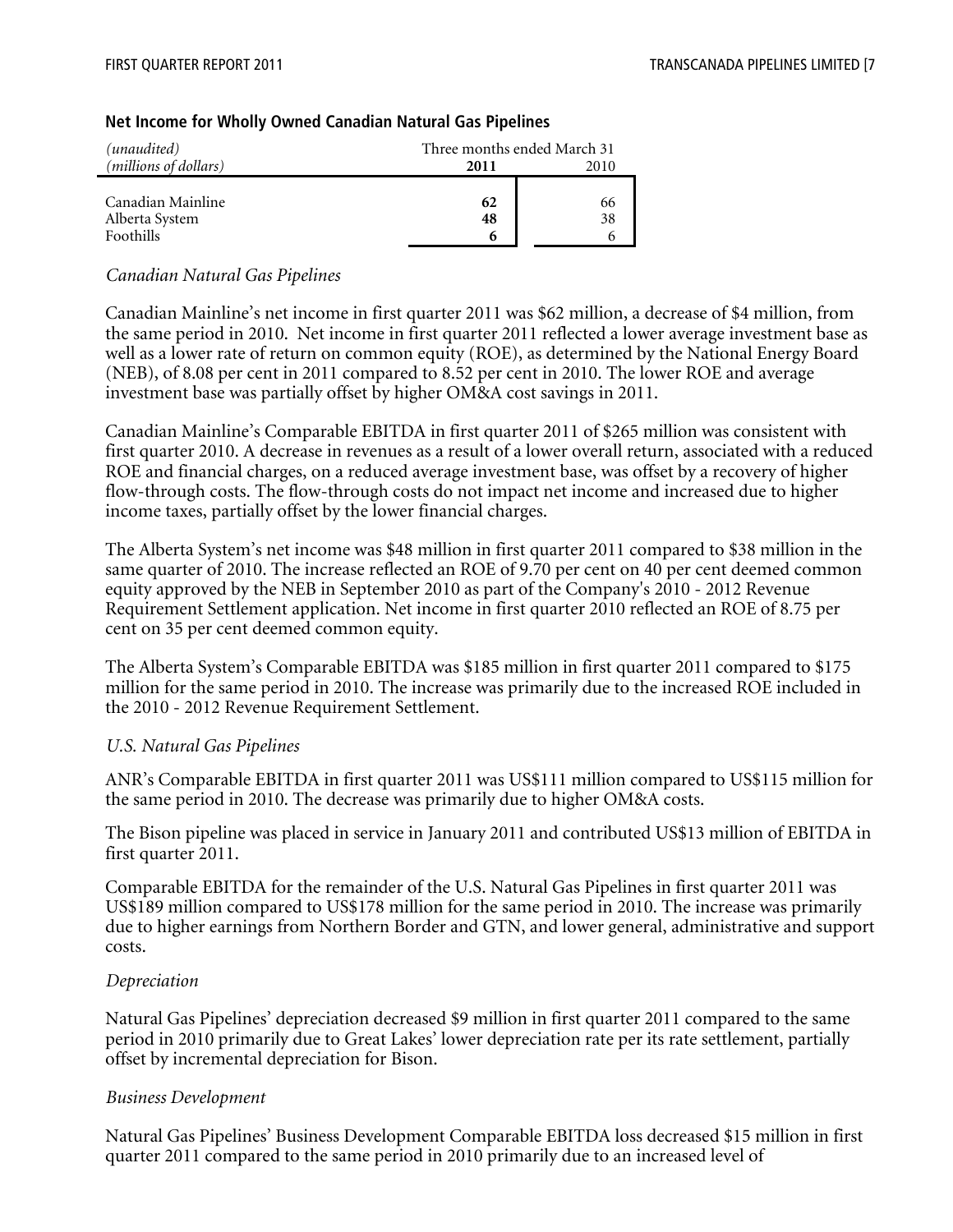| (unaudited)           |      | Three months ended March 31 |
|-----------------------|------|-----------------------------|
| (millions of dollars) | 2011 | 2010                        |
|                       |      |                             |
| Canadian Mainline     | 62   | 66                          |
| Alberta System        | 48   | 38                          |
| <b>Foothills</b>      | 6    | 6                           |

#### **Net Income for Wholly Owned Canadian Natural Gas Pipelines**

#### *Canadian Natural Gas Pipelines*

Canadian Mainline's net income in first quarter 2011 was \$62 million, a decrease of \$4 million, from the same period in 2010. Net income in first quarter 2011 reflected a lower average investment base as well as a lower rate of return on common equity (ROE), as determined by the National Energy Board (NEB), of 8.08 per cent in 2011 compared to 8.52 per cent in 2010. The lower ROE and average investment base was partially offset by higher OM&A cost savings in 2011.

Canadian Mainline's Comparable EBITDA in first quarter 2011 of \$265 million was consistent with first quarter 2010. A decrease in revenues as a result of a lower overall return, associated with a reduced ROE and financial charges, on a reduced average investment base, was offset by a recovery of higher flow-through costs. The flow-through costs do not impact net income and increased due to higher income taxes, partially offset by the lower financial charges.

The Alberta System's net income was \$48 million in first quarter 2011 compared to \$38 million in the same quarter of 2010. The increase reflected an ROE of 9.70 per cent on 40 per cent deemed common equity approved by the NEB in September 2010 as part of the Company's 2010 - 2012 Revenue Requirement Settlement application. Net income in first quarter 2010 reflected an ROE of 8.75 per cent on 35 per cent deemed common equity.

The Alberta System's Comparable EBITDA was \$185 million in first quarter 2011 compared to \$175 million for the same period in 2010. The increase was primarily due to the increased ROE included in the 2010 - 2012 Revenue Requirement Settlement.

#### *U.S. Natural Gas Pipelines*

ANR's Comparable EBITDA in first quarter 2011 was US\$111 million compared to US\$115 million for the same period in 2010. The decrease was primarily due to higher OM&A costs.

The Bison pipeline was placed in service in January 2011 and contributed US\$13 million of EBITDA in first quarter 2011.

Comparable EBITDA for the remainder of the U.S. Natural Gas Pipelines in first quarter 2011 was US\$189 million compared to US\$178 million for the same period in 2010. The increase was primarily due to higher earnings from Northern Border and GTN, and lower general, administrative and support costs.

#### *Depreciation*

Natural Gas Pipelines' depreciation decreased \$9 million in first quarter 2011 compared to the same period in 2010 primarily due to Great Lakes' lower depreciation rate per its rate settlement, partially offset by incremental depreciation for Bison.

#### *Business Development*

Natural Gas Pipelines' Business Development Comparable EBITDA loss decreased \$15 million in first quarter 2011 compared to the same period in 2010 primarily due to an increased level of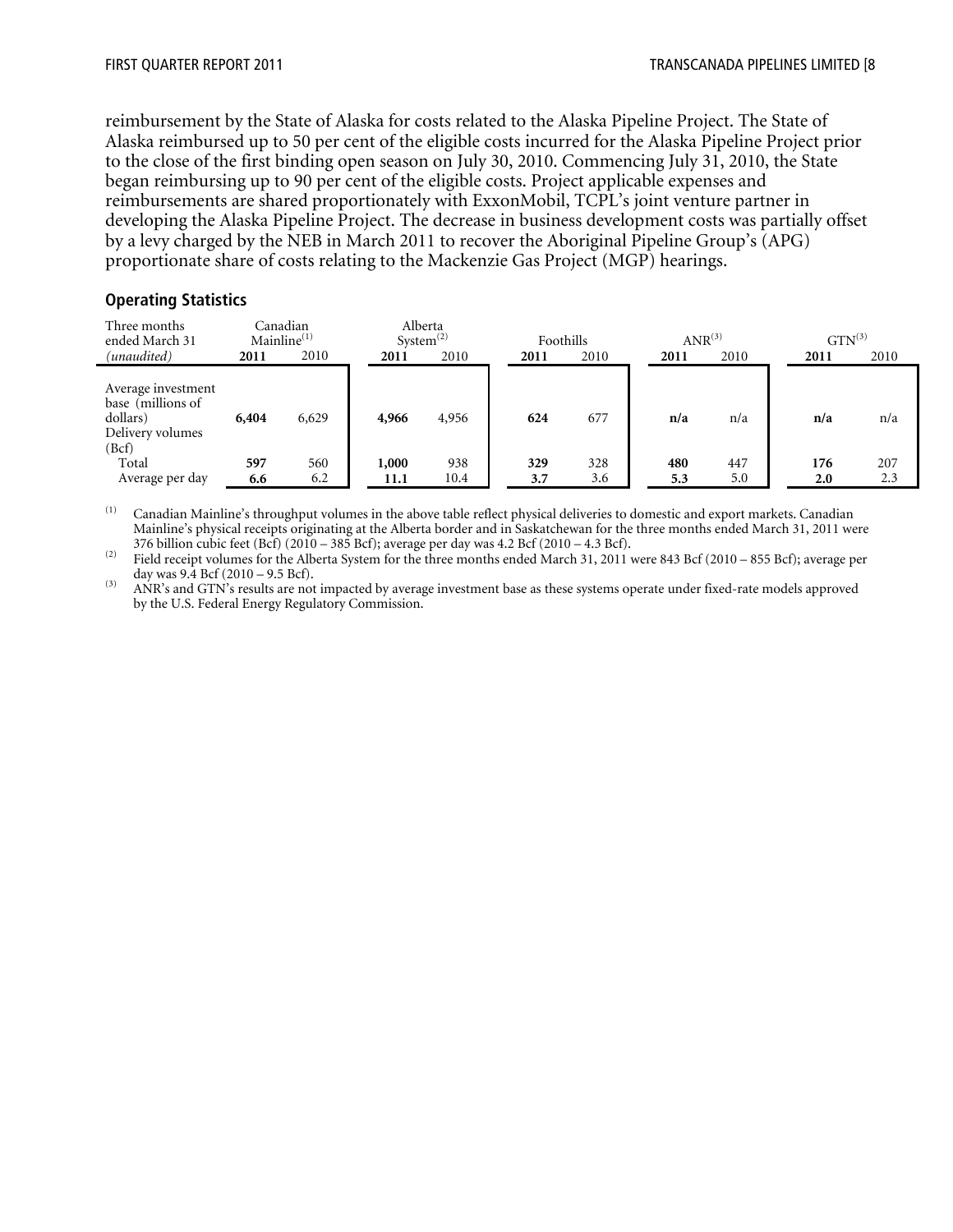reimbursement by the State of Alaska for costs related to the Alaska Pipeline Project. The State of Alaska reimbursed up to 50 per cent of the eligible costs incurred for the Alaska Pipeline Project prior to the close of the first binding open season on July 30, 2010. Commencing July 31, 2010, the State began reimbursing up to 90 per cent of the eligible costs. Project applicable expenses and reimbursements are shared proportionately with ExxonMobil, TCPL's joint venture partner in developing the Alaska Pipeline Project. The decrease in business development costs was partially offset by a levy charged by the NEB in March 2011 to recover the Aboriginal Pipeline Group's (APG) proportionate share of costs relating to the Mackenzie Gas Project (MGP) hearings.

#### **Operating Statistics**

| Three months<br>ended March 31                                                   | Mainline <sup>(1)</sup> | Canadian | System <sup>(2)</sup> | Alberta | Foothills |      | $ANR^{(3)}$ |      | $GTN^{(3)}$ |      |
|----------------------------------------------------------------------------------|-------------------------|----------|-----------------------|---------|-----------|------|-------------|------|-------------|------|
| (unaudited)                                                                      | 2011                    | 2010     | 2011                  | 2010    | 2011      | 2010 | 2011        | 2010 | 2011        | 2010 |
| Average investment<br>base (millions of<br>dollars)<br>Delivery volumes<br>(Bcf) | 6,404                   | 6,629    | 4,966                 | 4,956   | 624       | 677  | n/a         | n/a  | n/a         | n/a  |
| Total                                                                            | 597                     | 560      | 1,000                 | 938     | 329       | 328  | 480         | 447  | 176         | 207  |
| Average per day                                                                  | 6.6                     | 6.2      | 11.1                  | 10.4    | 3.7       | 3.6  | 5.3         | 5.0  | 2.0         | 2.3  |

(1) Canadian Mainline's throughput volumes in the above table reflect physical deliveries to domestic and export markets. Canadian Mainline's physical receipts originating at the Alberta border and in Saskatchewan for the three months ended March 31, 2011 were 376 billion cubic feet (Bcf) (2010 – 385 Bcf); average per day was 4.2 Bcf (2010 – 4.3 Bcf).

 $\frac{(2)}{10}$  Field receipt volumes for the Alberta System for the three months ended March 31, 2011 were 843 Bcf (2010 – 855 Bcf); average per

day was 9.4 Bcf (2010 – 9.5 Bcf).<br>
(3) ANR's and GTN's results are not impacted by average investment base as these systems operate under fixed-rate models approved by the U.S. Federal Energy Regulatory Commission.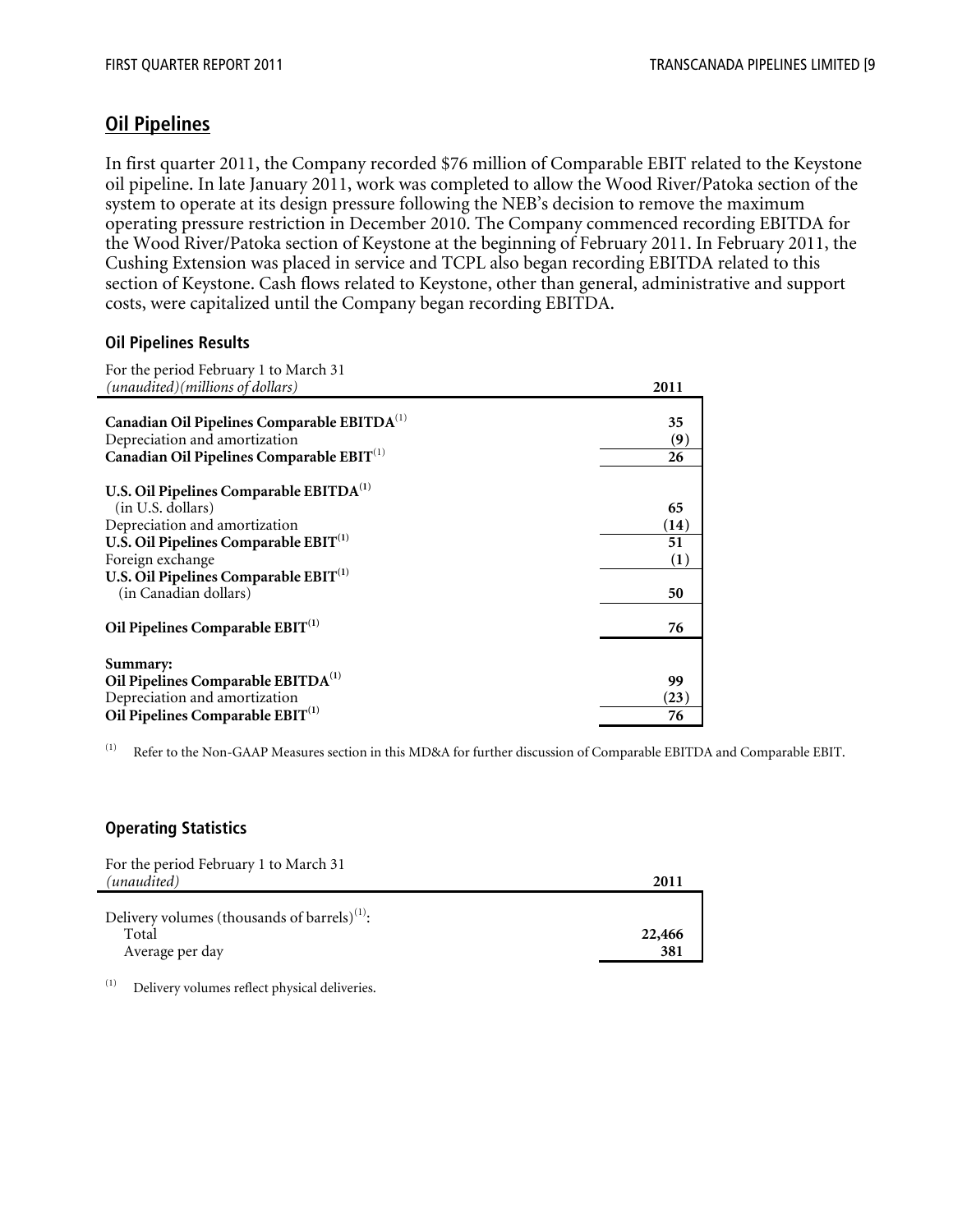# **Oil Pipelines**

In first quarter 2011, the Company recorded \$76 million of Comparable EBIT related to the Keystone oil pipeline. In late January 2011, work was completed to allow the Wood River/Patoka section of the system to operate at its design pressure following the NEB's decision to remove the maximum operating pressure restriction in December 2010. The Company commenced recording EBITDA for the Wood River/Patoka section of Keystone at the beginning of February 2011. In February 2011, the Cushing Extension was placed in service and TCPL also began recording EBITDA related to this section of Keystone. Cash flows related to Keystone, other than general, administrative and support costs, were capitalized until the Company began recording EBITDA.

#### **Oil Pipelines Results**

| For the period February 1 to March 31<br>(unaudited)(millions of dollars) | 2011 |
|---------------------------------------------------------------------------|------|
| Canadian Oil Pipelines Comparable EBITDA <sup>(1)</sup>                   | 35   |
| Depreciation and amortization                                             | (9)  |
| Canadian Oil Pipelines Comparable EBIT <sup>(1)</sup>                     | 26   |
| U.S. Oil Pipelines Comparable EBITDA <sup>(1)</sup>                       |      |
| (in U.S. dollars)                                                         | 65   |
| Depreciation and amortization                                             | (14) |
| U.S. Oil Pipelines Comparable EBIT <sup>(1)</sup>                         | 51   |
| Foreign exchange                                                          | (1)  |
| U.S. Oil Pipelines Comparable $EBIT^{(1)}$                                |      |
| (in Canadian dollars)                                                     | 50   |
| Oil Pipelines Comparable EBIT <sup>(1)</sup>                              | 76   |
|                                                                           |      |
| Summary:                                                                  |      |
| Oil Pipelines Comparable EBITDA <sup>(1)</sup>                            | 99   |
| Depreciation and amortization                                             | (23) |
| Oil Pipelines Comparable $EBIT^{(1)}$                                     | 76   |

<sup>(1)</sup> Refer to the Non-GAAP Measures section in this MD&A for further discussion of Comparable EBITDA and Comparable EBIT.

#### **Operating Statistics**

| For the period February 1 to March 31<br>(unaudited)                                 | 2011          |
|--------------------------------------------------------------------------------------|---------------|
| Delivery volumes (thousands of barrels) <sup>(1)</sup> :<br>Total<br>Average per day | 22,466<br>381 |

(1) Delivery volumes reflect physical deliveries.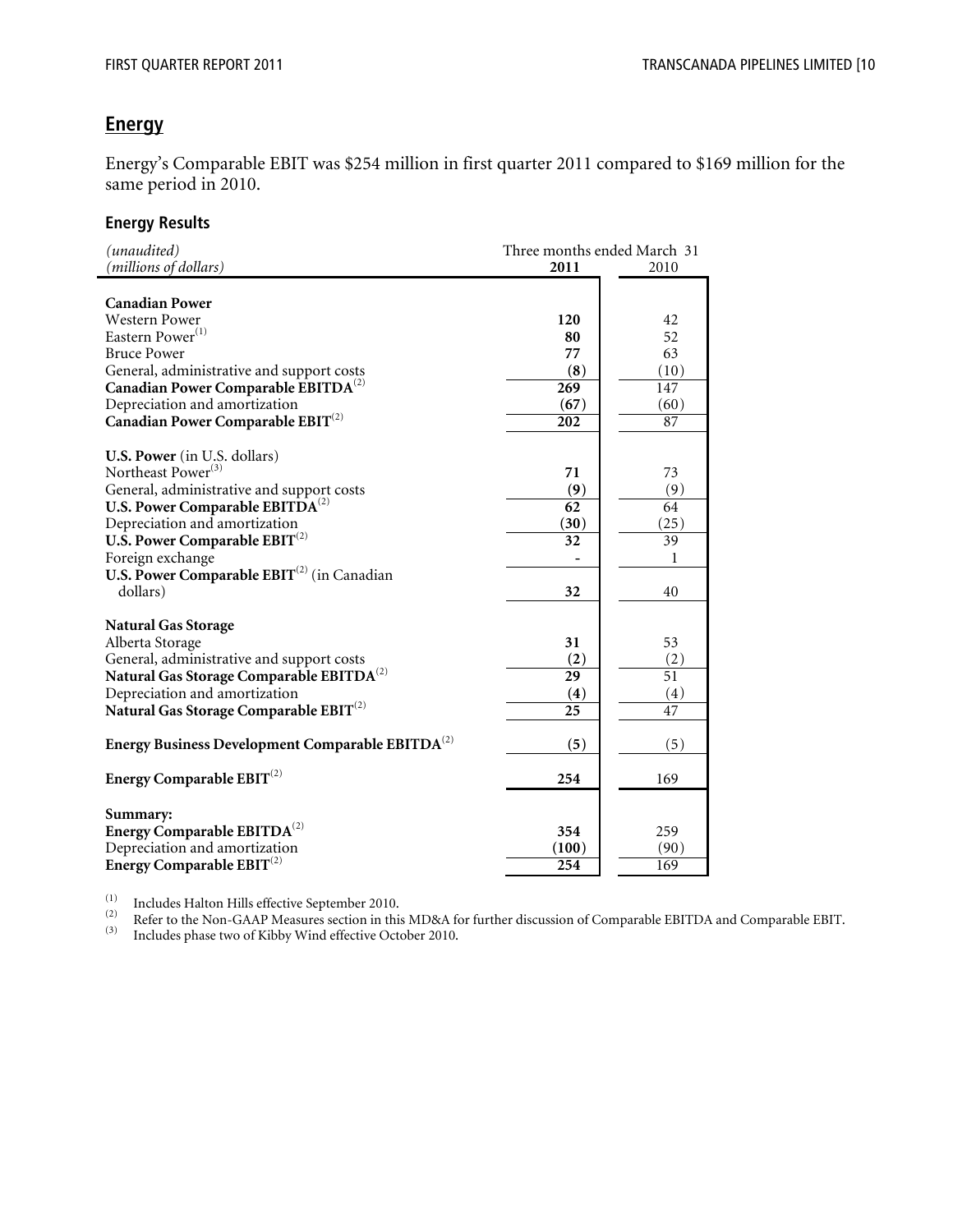# **Energy**

Energy's Comparable EBIT was \$254 million in first quarter 2011 compared to \$169 million for the same period in 2010.

#### **Energy Results**

| (unaudited)                                                       | Three months ended March 31 |      |  |  |  |
|-------------------------------------------------------------------|-----------------------------|------|--|--|--|
| (millions of dollars)                                             | 2011                        | 2010 |  |  |  |
|                                                                   |                             |      |  |  |  |
| <b>Canadian Power</b>                                             |                             |      |  |  |  |
| <b>Western Power</b>                                              | 120                         | 42   |  |  |  |
| Eastern Power <sup>(1)</sup>                                      | 80                          | 52   |  |  |  |
| <b>Bruce Power</b>                                                | 77                          | 63   |  |  |  |
| General, administrative and support costs                         | (8)                         | (10) |  |  |  |
| Canadian Power Comparable EBITDA <sup>(2)</sup>                   | 269                         | 147  |  |  |  |
| Depreciation and amortization                                     | (67)                        | (60) |  |  |  |
| Canadian Power Comparable EBIT <sup>(2)</sup>                     | 202                         | 87   |  |  |  |
|                                                                   |                             |      |  |  |  |
| U.S. Power (in U.S. dollars)                                      |                             |      |  |  |  |
| Northeast Power <sup>(3)</sup>                                    | 71                          | 73   |  |  |  |
| General, administrative and support costs                         | (9)                         | (9)  |  |  |  |
| U.S. Power Comparable $EBITDA^{(2)}$                              | 62                          | 64   |  |  |  |
| Depreciation and amortization                                     | (30)                        | (25) |  |  |  |
| U.S. Power Comparable $EBIT^{(2)}$                                | 32                          | 39   |  |  |  |
| Foreign exchange                                                  |                             | 1    |  |  |  |
| <b>U.S. Power Comparable <math>EBIT^{(2)}</math> (in Canadian</b> |                             |      |  |  |  |
| dollars)                                                          | 32                          | 40   |  |  |  |
|                                                                   |                             |      |  |  |  |
| <b>Natural Gas Storage</b>                                        |                             |      |  |  |  |
| Alberta Storage                                                   | 31                          | 53   |  |  |  |
| General, administrative and support costs                         | (2)                         | (2)  |  |  |  |
| Natural Gas Storage Comparable EBITDA <sup>(2)</sup>              | 29                          | 51   |  |  |  |
| Depreciation and amortization                                     | (4)                         | (4)  |  |  |  |
| Natural Gas Storage Comparable EBIT <sup>(2)</sup>                | $\overline{25}$             | 47   |  |  |  |
|                                                                   |                             |      |  |  |  |
| Energy Business Development Comparable EBITDA <sup>(2)</sup>      | (5)                         | (5)  |  |  |  |
|                                                                   |                             |      |  |  |  |
| Energy Comparable $EBIT^{(2)}$                                    | 254                         | 169  |  |  |  |
|                                                                   |                             |      |  |  |  |
| Summary:                                                          |                             |      |  |  |  |
| Energy Comparable EBITDA <sup>(2)</sup>                           | 354                         | 259  |  |  |  |
| Depreciation and amortization                                     | (100)                       | (90) |  |  |  |
| Energy Comparable $EBIT^{(2)}$                                    | 254                         | 169  |  |  |  |

The Unit of the Mon-GAAP Measures section in this MD&A for further discussion of Comparable EBITDA and Comparable EBIT.<br>
(3) Refer to the Non-GAAP Measures section in this MD&A for further discussion of Comparable EBITDA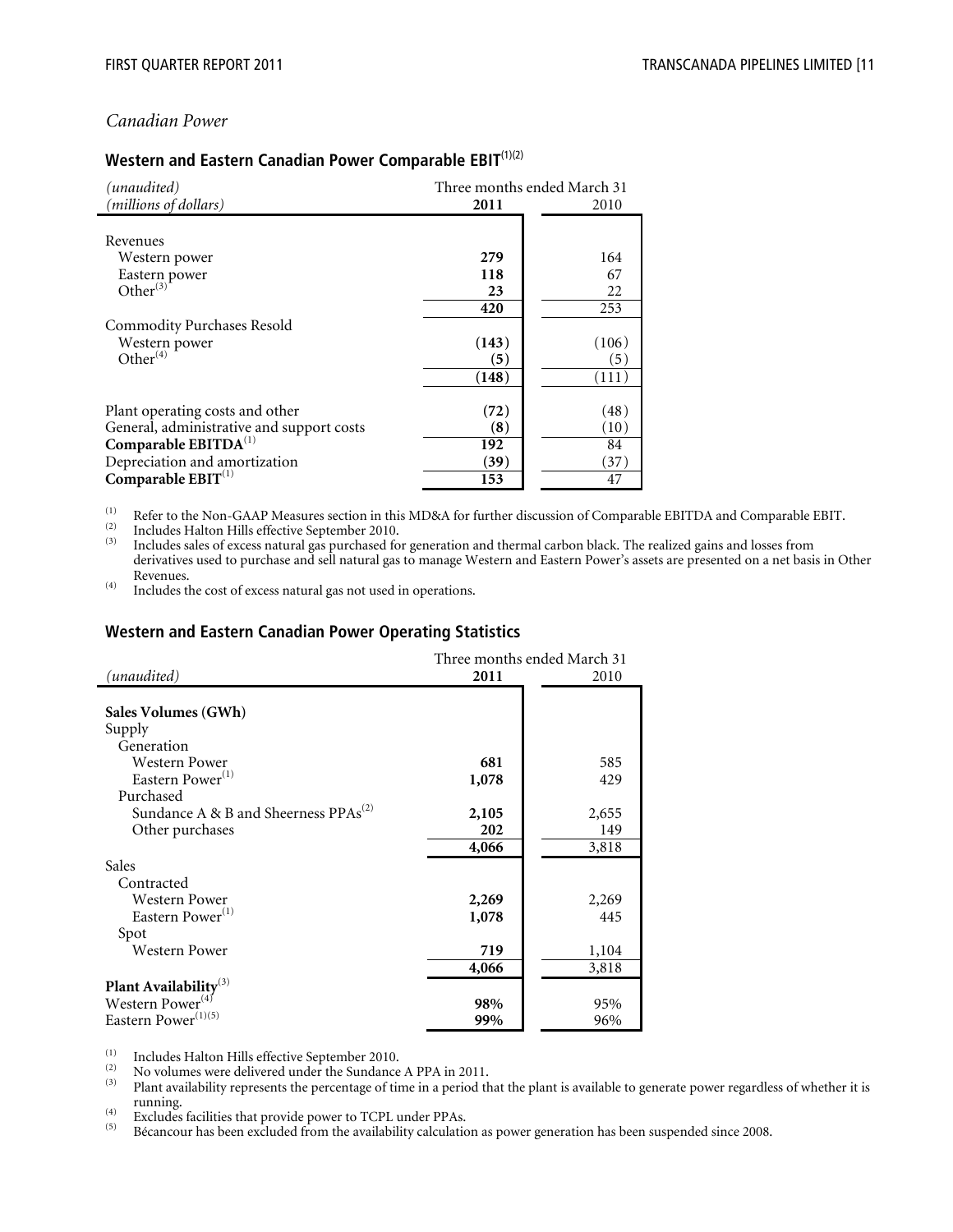#### *Canadian Power*

### **Western and Eastern Canadian Power Comparable EBIT**(1)(2)

| (unaudited)                               |           | Three months ended March 31 |  |
|-------------------------------------------|-----------|-----------------------------|--|
| (millions of dollars)                     | 2011      | 2010                        |  |
|                                           |           |                             |  |
| Revenues                                  |           |                             |  |
| Western power                             | 279       | 164                         |  |
| Eastern power                             | 118       | 67                          |  |
| Other $^{(3)}$                            | 23        | 22                          |  |
|                                           | 420       | 253                         |  |
| <b>Commodity Purchases Resold</b>         |           |                             |  |
| Western power                             | (143)     | (106)                       |  |
| Other <sup>(4)</sup>                      | (5)       | (5)                         |  |
|                                           | (148)     | (111)                       |  |
|                                           |           |                             |  |
| Plant operating costs and other           | (72)      | (48)                        |  |
| General, administrative and support costs | $(\bf 8)$ | (10)                        |  |
| Comparable $EBITDA(1)$                    | 192       | 84                          |  |
| Depreciation and amortization             | (39)      | (37)                        |  |
| Comparable $EBIT^{(1)}$                   | 153       | 47                          |  |

<sup>(1)</sup> Refer to the Non-GAAP Measures section in this MD&A for further discussion of Comparable EBITDA and Comparable EBIT.<br><sup>(2)</sup> Includes Halton Hills effective September 2010.<br><sup>(3)</sup> Includes sales of excess natural gas pu derivatives used to purchase and sell natural gas to manage Western and Eastern Power's assets are presented on a net basis in Other Revenues.

 $(4)$  Includes the cost of excess natural gas not used in operations.

#### **Western and Eastern Canadian Power Operating Statistics**

|                                                                          | Three months ended March 31 |       |  |  |
|--------------------------------------------------------------------------|-----------------------------|-------|--|--|
| (unaudited)                                                              | 2011                        | 2010  |  |  |
|                                                                          |                             |       |  |  |
| Sales Volumes (GWh)                                                      |                             |       |  |  |
| Supply                                                                   |                             |       |  |  |
| Generation                                                               |                             |       |  |  |
| Western Power                                                            | 681                         | 585   |  |  |
| Eastern Power <sup>(1)</sup>                                             | 1,078                       | 429   |  |  |
| Purchased                                                                |                             |       |  |  |
| Sundance A & B and Sheerness PPAs <sup>(2)</sup>                         | 2,105                       | 2,655 |  |  |
| Other purchases                                                          | 202                         | 149   |  |  |
|                                                                          | 4,066                       | 3,818 |  |  |
| Sales                                                                    |                             |       |  |  |
| Contracted                                                               |                             |       |  |  |
| Western Power                                                            | 2,269                       | 2,269 |  |  |
| Eastern Power <sup>(1)</sup>                                             | 1,078                       | 445   |  |  |
| Spot                                                                     |                             |       |  |  |
| <b>Western Power</b>                                                     | 719                         | 1,104 |  |  |
|                                                                          | 4,066                       | 3,818 |  |  |
|                                                                          |                             |       |  |  |
| <b>Plant Availability</b> <sup>(3)</sup><br>Western Power <sup>(4)</sup> | 98%                         | 95%   |  |  |
| Eastern Power <sup>(1)(5)</sup>                                          | 99%                         | 96%   |  |  |

(1) Includes Halton Hills effective September 2010.<br>
(2) No volumes were delivered under the Sundance A PPA in 2011.<br>
(3) Plant availability represents the percentage of time in a period th

Plant availability represents the percentage of time in a period that the plant is available to generate power regardless of whether it is running.

The Excludes facilities that provide power to TCPL under PPAs.<br>
(5) Excludes facilities that provide power to TCPL under PPAs.<br>
(5) Bécancour has been excluded from the availability calculation as power generation has bee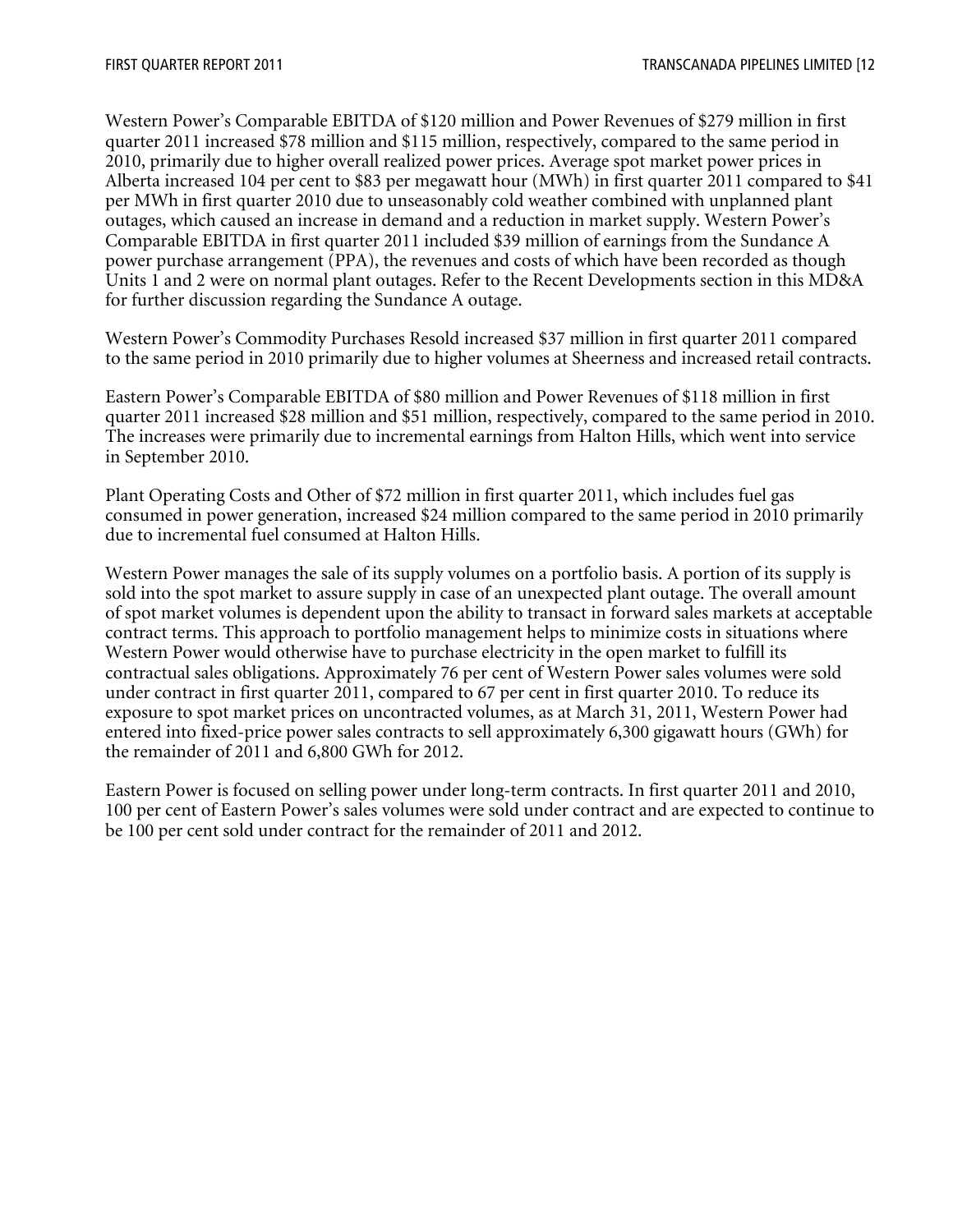Western Power's Comparable EBITDA of \$120 million and Power Revenues of \$279 million in first quarter 2011 increased \$78 million and \$115 million, respectively, compared to the same period in 2010, primarily due to higher overall realized power prices. Average spot market power prices in Alberta increased 104 per cent to \$83 per megawatt hour (MWh) in first quarter 2011 compared to \$41 per MWh in first quarter 2010 due to unseasonably cold weather combined with unplanned plant outages, which caused an increase in demand and a reduction in market supply. Western Power's Comparable EBITDA in first quarter 2011 included \$39 million of earnings from the Sundance A power purchase arrangement (PPA), the revenues and costs of which have been recorded as though Units 1 and 2 were on normal plant outages. Refer to the Recent Developments section in this MD&A for further discussion regarding the Sundance A outage.

Western Power's Commodity Purchases Resold increased \$37 million in first quarter 2011 compared to the same period in 2010 primarily due to higher volumes at Sheerness and increased retail contracts.

Eastern Power's Comparable EBITDA of \$80 million and Power Revenues of \$118 million in first quarter 2011 increased \$28 million and \$51 million, respectively, compared to the same period in 2010. The increases were primarily due to incremental earnings from Halton Hills, which went into service in September 2010.

Plant Operating Costs and Other of \$72 million in first quarter 2011, which includes fuel gas consumed in power generation, increased \$24 million compared to the same period in 2010 primarily due to incremental fuel consumed at Halton Hills.

Western Power manages the sale of its supply volumes on a portfolio basis. A portion of its supply is sold into the spot market to assure supply in case of an unexpected plant outage. The overall amount of spot market volumes is dependent upon the ability to transact in forward sales markets at acceptable contract terms. This approach to portfolio management helps to minimize costs in situations where Western Power would otherwise have to purchase electricity in the open market to fulfill its contractual sales obligations. Approximately 76 per cent of Western Power sales volumes were sold under contract in first quarter 2011, compared to 67 per cent in first quarter 2010. To reduce its exposure to spot market prices on uncontracted volumes, as at March 31, 2011, Western Power had entered into fixed-price power sales contracts to sell approximately 6,300 gigawatt hours (GWh) for the remainder of 2011 and 6,800 GWh for 2012.

Eastern Power is focused on selling power under long-term contracts. In first quarter 2011 and 2010, 100 per cent of Eastern Power's sales volumes were sold under contract and are expected to continue to be 100 per cent sold under contract for the remainder of 2011 and 2012.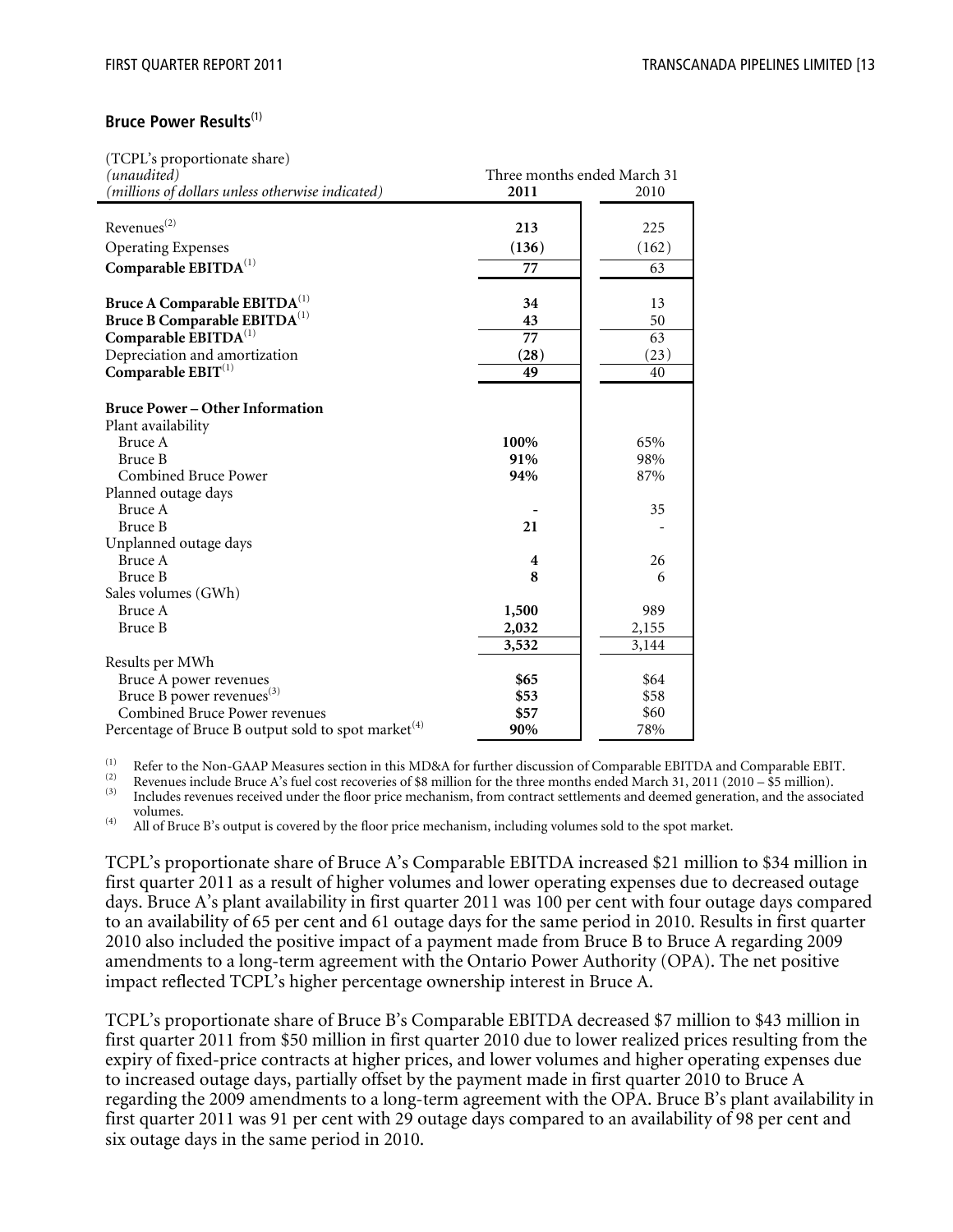#### **Bruce Power Results**(1)

| (TCPL's proportionate share)<br>(unaudited)                     | Three months ended March 31 |       |  |  |  |
|-----------------------------------------------------------------|-----------------------------|-------|--|--|--|
| (millions of dollars unless otherwise indicated)                | 2011                        | 2010  |  |  |  |
|                                                                 |                             |       |  |  |  |
| Revenues <sup>(2)</sup>                                         | 213                         | 225   |  |  |  |
| <b>Operating Expenses</b>                                       | (136)                       | (162) |  |  |  |
| Comparable EBITDA <sup>(1)</sup>                                | 77                          | 63    |  |  |  |
| Bruce A Comparable EBITDA <sup>(1)</sup>                        | 34                          | 13    |  |  |  |
| Bruce B Comparable EBITDA <sup>(1)</sup>                        | 43                          | 50    |  |  |  |
| Comparable EBITDA <sup>(1)</sup>                                | 77                          | 63    |  |  |  |
| Depreciation and amortization                                   | (28)                        | (23)  |  |  |  |
| Comparable $EBIT^{(1)}$                                         | 49                          | 40    |  |  |  |
| <b>Bruce Power – Other Information</b>                          |                             |       |  |  |  |
| Plant availability                                              |                             |       |  |  |  |
| Bruce A                                                         | 100%                        | 65%   |  |  |  |
| Bruce B                                                         | 91%                         | 98%   |  |  |  |
| Combined Bruce Power                                            | 94%                         | 87%   |  |  |  |
| Planned outage days                                             |                             |       |  |  |  |
| Bruce A                                                         |                             | 35    |  |  |  |
| Bruce B                                                         | 21                          |       |  |  |  |
| Unplanned outage days                                           |                             |       |  |  |  |
| Bruce A                                                         | 4                           | 26    |  |  |  |
| Bruce B                                                         | 8                           | 6     |  |  |  |
| Sales volumes (GWh)                                             |                             |       |  |  |  |
| Bruce A                                                         | 1,500                       | 989   |  |  |  |
| Bruce B                                                         | 2,032                       | 2,155 |  |  |  |
|                                                                 | 3,532                       | 3,144 |  |  |  |
| Results per MWh                                                 |                             |       |  |  |  |
| Bruce A power revenues                                          | \$65                        | \$64  |  |  |  |
| Bruce B power revenues <sup>(3)</sup>                           | \$53                        | \$58  |  |  |  |
| Combined Bruce Power revenues                                   | \$57                        | \$60  |  |  |  |
| Percentage of Bruce B output sold to spot market <sup>(4)</sup> | 90%                         | 78%   |  |  |  |

The US of Comparable EBITDA and Comparable EBITDA and Comparable EBITDA and Comparable EBITDA and Comparable EBIT.<br>
Revenues include Bruce A's fuel cost recoveries of \$8 million for the three months ended March 31, 2011 (

volumes.

(4) All of Bruce B's output is covered by the floor price mechanism, including volumes sold to the spot market.

TCPL's proportionate share of Bruce A's Comparable EBITDA increased \$21 million to \$34 million in first quarter 2011 as a result of higher volumes and lower operating expenses due to decreased outage days. Bruce A's plant availability in first quarter 2011 was 100 per cent with four outage days compared to an availability of 65 per cent and 61 outage days for the same period in 2010. Results in first quarter 2010 also included the positive impact of a payment made from Bruce B to Bruce A regarding 2009 amendments to a long-term agreement with the Ontario Power Authority (OPA). The net positive impact reflected TCPL's higher percentage ownership interest in Bruce A.

TCPL's proportionate share of Bruce B's Comparable EBITDA decreased \$7 million to \$43 million in first quarter 2011 from \$50 million in first quarter 2010 due to lower realized prices resulting from the expiry of fixed-price contracts at higher prices, and lower volumes and higher operating expenses due to increased outage days, partially offset by the payment made in first quarter 2010 to Bruce A regarding the 2009 amendments to a long-term agreement with the OPA. Bruce B's plant availability in first quarter 2011 was 91 per cent with 29 outage days compared to an availability of 98 per cent and six outage days in the same period in 2010.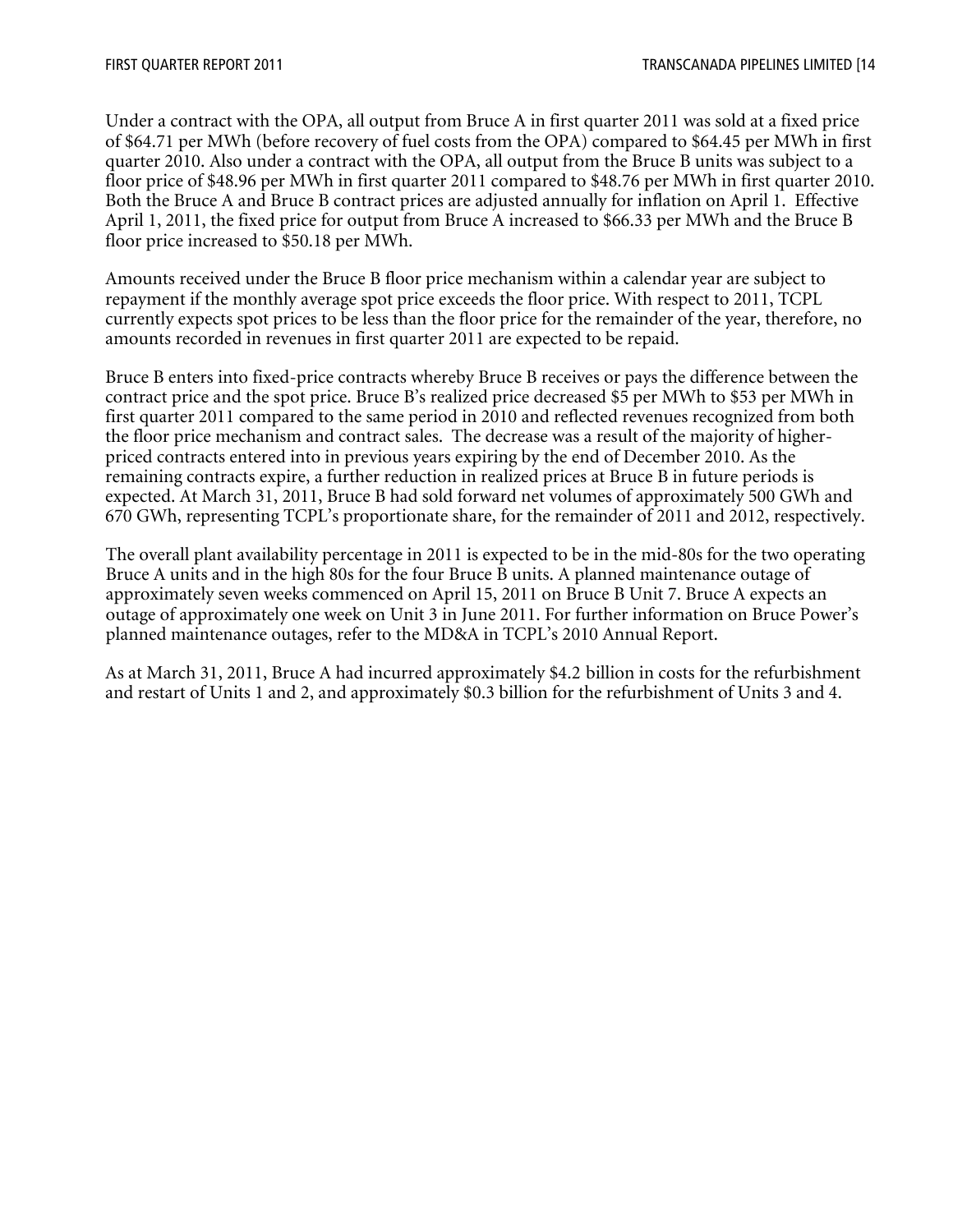Under a contract with the OPA, all output from Bruce A in first quarter 2011 was sold at a fixed price of \$64.71 per MWh (before recovery of fuel costs from the OPA) compared to \$64.45 per MWh in first quarter 2010. Also under a contract with the OPA, all output from the Bruce B units was subject to a floor price of \$48.96 per MWh in first quarter 2011 compared to \$48.76 per MWh in first quarter 2010. Both the Bruce A and Bruce B contract prices are adjusted annually for inflation on April 1. Effective April 1, 2011, the fixed price for output from Bruce A increased to \$66.33 per MWh and the Bruce B floor price increased to \$50.18 per MWh.

Amounts received under the Bruce B floor price mechanism within a calendar year are subject to repayment if the monthly average spot price exceeds the floor price. With respect to 2011, TCPL currently expects spot prices to be less than the floor price for the remainder of the year, therefore, no amounts recorded in revenues in first quarter 2011 are expected to be repaid.

Bruce B enters into fixed-price contracts whereby Bruce B receives or pays the difference between the contract price and the spot price. Bruce B's realized price decreased \$5 per MWh to \$53 per MWh in first quarter 2011 compared to the same period in 2010 and reflected revenues recognized from both the floor price mechanism and contract sales. The decrease was a result of the majority of higherpriced contracts entered into in previous years expiring by the end of December 2010. As the remaining contracts expire, a further reduction in realized prices at Bruce B in future periods is expected. At March 31, 2011, Bruce B had sold forward net volumes of approximately 500 GWh and 670 GWh, representing TCPL's proportionate share, for the remainder of 2011 and 2012, respectively.

The overall plant availability percentage in 2011 is expected to be in the mid-80s for the two operating Bruce A units and in the high 80s for the four Bruce B units. A planned maintenance outage of approximately seven weeks commenced on April 15, 2011 on Bruce B Unit 7. Bruce A expects an outage of approximately one week on Unit 3 in June 2011. For further information on Bruce Power's planned maintenance outages, refer to the MD&A in TCPL's 2010 Annual Report.

As at March 31, 2011, Bruce A had incurred approximately \$4.2 billion in costs for the refurbishment and restart of Units 1 and 2, and approximately \$0.3 billion for the refurbishment of Units 3 and 4.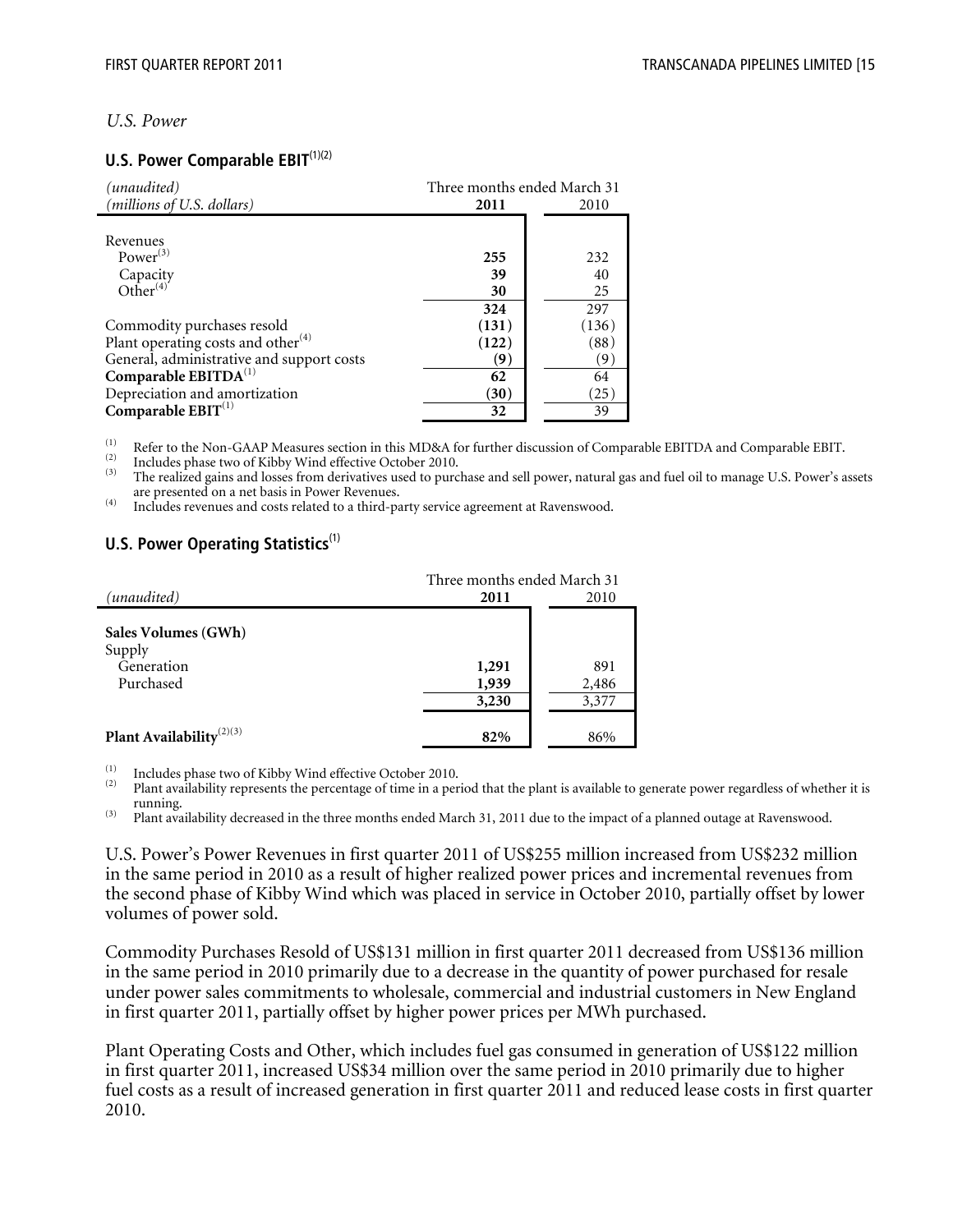#### *U.S. Power*

#### **U.S. Power Comparable EBIT**<sup>(1)(2)</sup>

| (unaudited)                               | Three months ended March 31 |       |  |
|-------------------------------------------|-----------------------------|-------|--|
| (millions of U.S. dollars)                | 2011                        | 2010  |  |
|                                           |                             |       |  |
| Revenues                                  |                             |       |  |
| Power $^{(3)}$                            | 255                         | 232   |  |
| Capacity                                  | 39                          | 40    |  |
| Other $(4)$                               | 30                          | 25    |  |
|                                           | 324                         | 297   |  |
| Commodity purchases resold                | (131)                       | (136) |  |
| Plant operating costs and other $(4)$     | (122)                       | (88)  |  |
| General, administrative and support costs | (9                          | 9     |  |
| Comparable $EBITDA(1)$                    | 62                          | 64    |  |
| Depreciation and amortization             | (30)                        | (25)  |  |
| Comparable $EBIT^{(1)}$                   | 32                          | 39    |  |

The realized gains and losses from derivatives used to purchase and sell power, natural gas and fuel oil to manage U.S. Power's assets<br>
The realized gains and losses from derivatives used to purchase and sell power, natur

are presented on a net basis in Power Revenues. (4) Includes revenues and costs related to a third-party service agreement at Ravenswood.

#### **U.S. Power Operating Statistics**<sup>(1)</sup>

|                                                          | Three months ended March 31 |                       |  |
|----------------------------------------------------------|-----------------------------|-----------------------|--|
| (unaudited)                                              | 2011                        | 2010                  |  |
| Sales Volumes (GWh)<br>Supply<br>Generation<br>Purchased | 1,291<br>1,939<br>3,230     | 891<br>2,486<br>3,377 |  |
| Plant Availability <sup>(2)(3)</sup>                     | 82%                         | 86%                   |  |

The Includes phase two of Kibby Wind effective October 2010.<br>(2) Plant availability represents the percentage of time in a period that the plant is available to generate power regardless of whether it is running.<br><sup>(3)</sup> Plant availability decreased in the three months ended March 31, 2011 due to the impact of a planned outage at Ravenswood.

U.S. Power's Power Revenues in first quarter 2011 of US\$255 million increased from US\$232 million in the same period in 2010 as a result of higher realized power prices and incremental revenues from the second phase of Kibby Wind which was placed in service in October 2010, partially offset by lower volumes of power sold.

Commodity Purchases Resold of US\$131 million in first quarter 2011 decreased from US\$136 million in the same period in 2010 primarily due to a decrease in the quantity of power purchased for resale under power sales commitments to wholesale, commercial and industrial customers in New England in first quarter 2011, partially offset by higher power prices per MWh purchased.

Plant Operating Costs and Other, which includes fuel gas consumed in generation of US\$122 million in first quarter 2011, increased US\$34 million over the same period in 2010 primarily due to higher fuel costs as a result of increased generation in first quarter 2011 and reduced lease costs in first quarter 2010.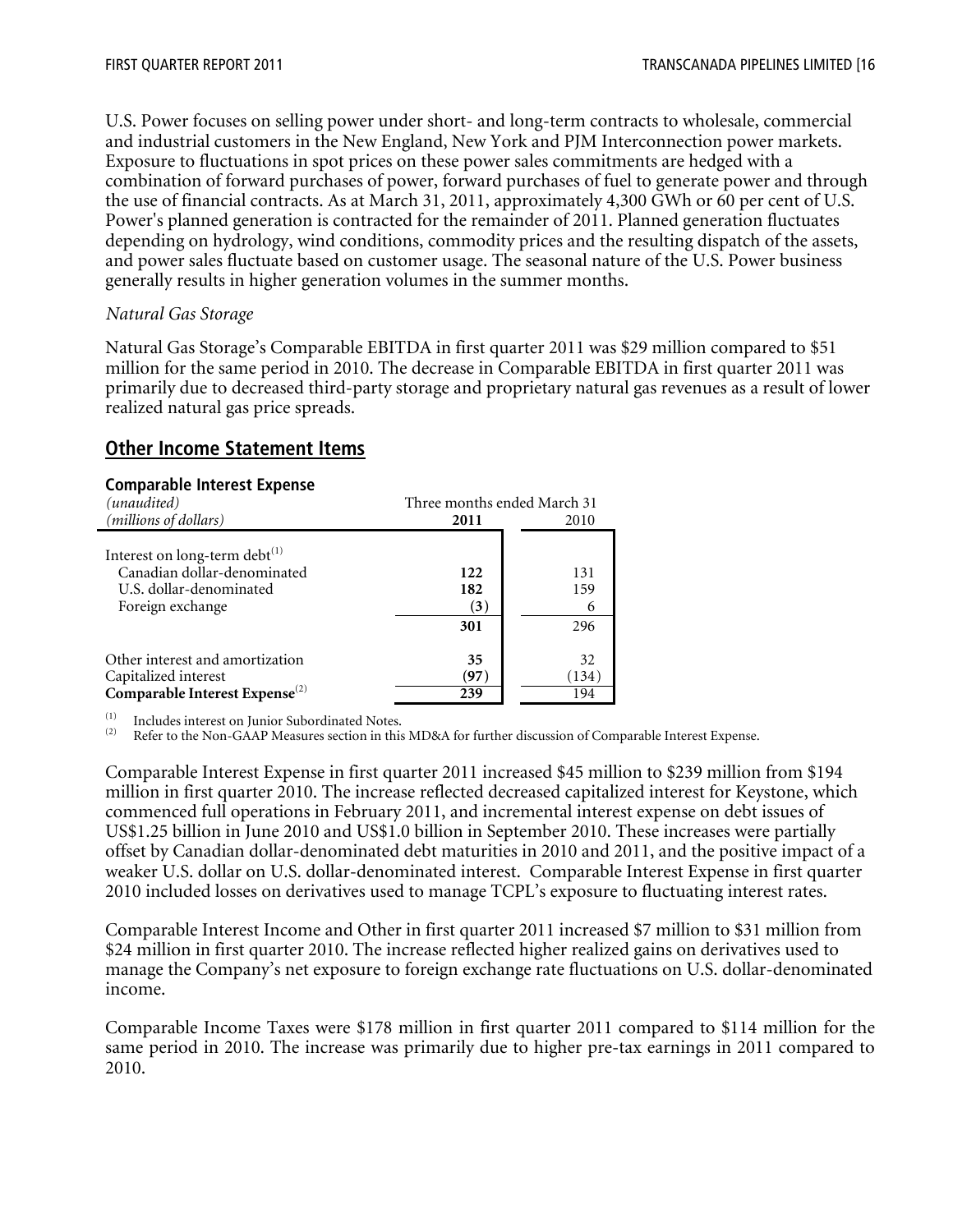U.S. Power focuses on selling power under short- and long-term contracts to wholesale, commercial and industrial customers in the New England, New York and PJM Interconnection power markets. Exposure to fluctuations in spot prices on these power sales commitments are hedged with a combination of forward purchases of power, forward purchases of fuel to generate power and through the use of financial contracts. As at March 31, 2011, approximately 4,300 GWh or 60 per cent of U.S. Power's planned generation is contracted for the remainder of 2011. Planned generation fluctuates depending on hydrology, wind conditions, commodity prices and the resulting dispatch of the assets, and power sales fluctuate based on customer usage. The seasonal nature of the U.S. Power business generally results in higher generation volumes in the summer months.

#### *Natural Gas Storage*

Natural Gas Storage's Comparable EBITDA in first quarter 2011 was \$29 million compared to \$51 million for the same period in 2010. The decrease in Comparable EBITDA in first quarter 2011 was primarily due to decreased third-party storage and proprietary natural gas revenues as a result of lower realized natural gas price spreads.

### **Other Income Statement Items**

#### **Comparable Interest Expense**

| (unaudited)                                | Three months ended March 31 |       |  |  |  |
|--------------------------------------------|-----------------------------|-------|--|--|--|
| (millions of dollars)                      | 2011                        | 2010  |  |  |  |
| Interest on long-term debt $^{(1)}$        | 122                         | 131   |  |  |  |
| Canadian dollar-denominated                | 182                         | 159   |  |  |  |
| U.S. dollar-denominated                    | (3)                         | 6     |  |  |  |
| Foreign exchange                           | 301                         | 296   |  |  |  |
| Other interest and amortization            | 35                          | 32    |  |  |  |
| Capitalized interest                       | (97)                        | (134) |  |  |  |
| Comparable Interest Expense <sup>(2)</sup> | 239                         | 194   |  |  |  |

 $\begin{bmatrix} (1) \ (2) \end{bmatrix}$  Includes interest on Junior Subordinated Notes.

Refer to the Non-GAAP Measures section in this MD&A for further discussion of Comparable Interest Expense.

Comparable Interest Expense in first quarter 2011 increased \$45 million to \$239 million from \$194 million in first quarter 2010. The increase reflected decreased capitalized interest for Keystone, which commenced full operations in February 2011, and incremental interest expense on debt issues of US\$1.25 billion in June 2010 and US\$1.0 billion in September 2010. These increases were partially offset by Canadian dollar-denominated debt maturities in 2010 and 2011, and the positive impact of a weaker U.S. dollar on U.S. dollar-denominated interest. Comparable Interest Expense in first quarter 2010 included losses on derivatives used to manage TCPL's exposure to fluctuating interest rates.

Comparable Interest Income and Other in first quarter 2011 increased \$7 million to \$31 million from \$24 million in first quarter 2010. The increase reflected higher realized gains on derivatives used to manage the Company's net exposure to foreign exchange rate fluctuations on U.S. dollar-denominated income.

Comparable Income Taxes were \$178 million in first quarter 2011 compared to \$114 million for the same period in 2010. The increase was primarily due to higher pre-tax earnings in 2011 compared to 2010.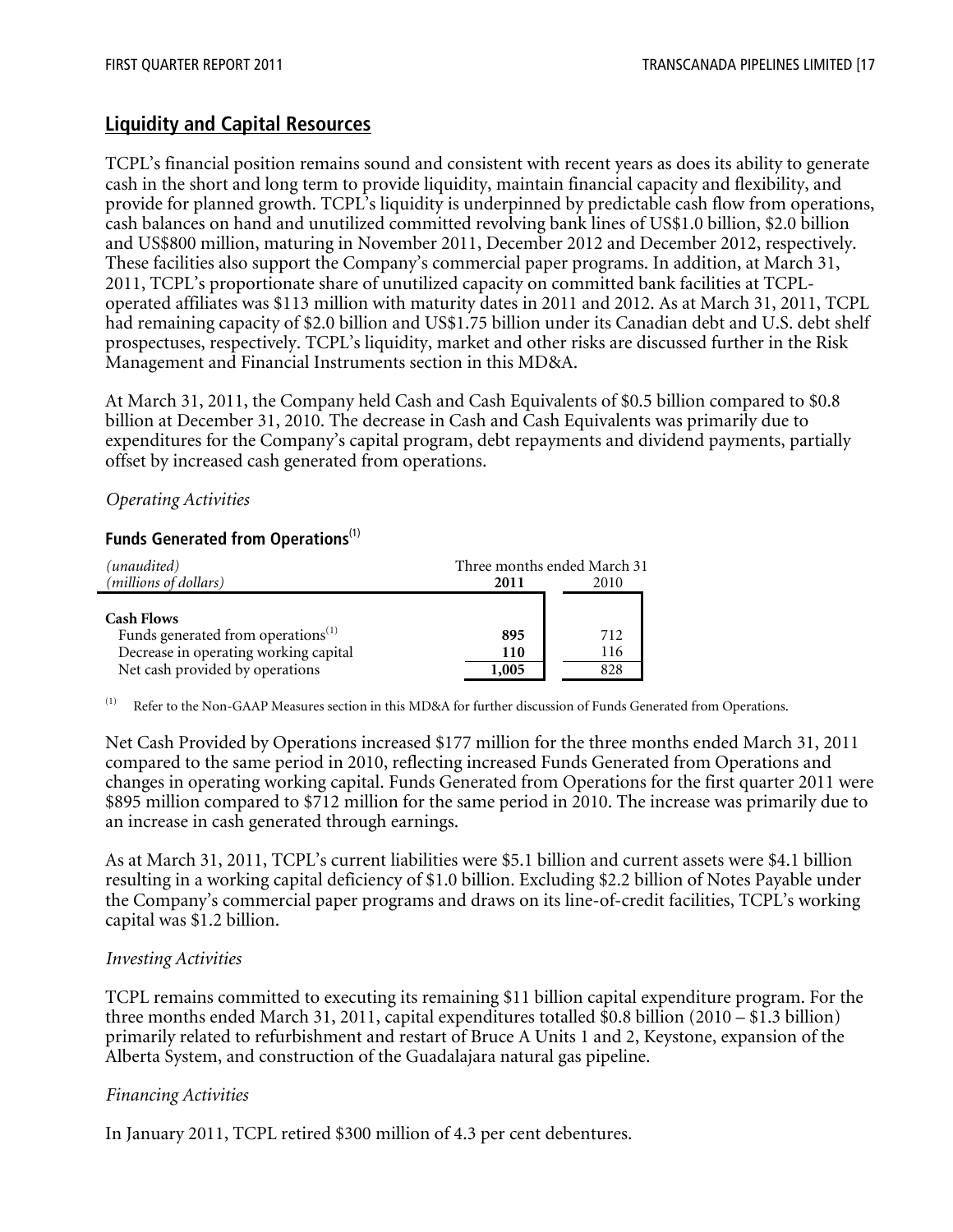# **Liquidity and Capital Resources**

TCPL's financial position remains sound and consistent with recent years as does its ability to generate cash in the short and long term to provide liquidity, maintain financial capacity and flexibility, and provide for planned growth. TCPL's liquidity is underpinned by predictable cash flow from operations, cash balances on hand and unutilized committed revolving bank lines of US\$1.0 billion, \$2.0 billion and US\$800 million, maturing in November 2011, December 2012 and December 2012, respectively. These facilities also support the Company's commercial paper programs. In addition, at March 31, 2011, TCPL's proportionate share of unutilized capacity on committed bank facilities at TCPLoperated affiliates was \$113 million with maturity dates in 2011 and 2012. As at March 31, 2011, TCPL had remaining capacity of \$2.0 billion and US\$1.75 billion under its Canadian debt and U.S. debt shelf prospectuses, respectively. TCPL's liquidity, market and other risks are discussed further in the Risk Management and Financial Instruments section in this MD&A.

At March 31, 2011, the Company held Cash and Cash Equivalents of \$0.5 billion compared to \$0.8 billion at December 31, 2010. The decrease in Cash and Cash Equivalents was primarily due to expenditures for the Company's capital program, debt repayments and dividend payments, partially offset by increased cash generated from operations.

#### *Operating Activities*

#### **Funds Generated from Operations**(1)

| (unaudited)<br>(millions of dollars)                                                                                                            | Three months ended March 31<br>2010<br>2011 |                   |  |
|-------------------------------------------------------------------------------------------------------------------------------------------------|---------------------------------------------|-------------------|--|
| <b>Cash Flows</b><br>Funds generated from operations <sup>(1)</sup><br>Decrease in operating working capital<br>Net cash provided by operations | 895<br>110<br>1,005                         | 712<br>116<br>828 |  |

Refer to the Non-GAAP Measures section in this MD&A for further discussion of Funds Generated from Operations.

Net Cash Provided by Operations increased \$177 million for the three months ended March 31, 2011 compared to the same period in 2010, reflecting increased Funds Generated from Operations and changes in operating working capital. Funds Generated from Operations for the first quarter 2011 were \$895 million compared to \$712 million for the same period in 2010. The increase was primarily due to an increase in cash generated through earnings.

As at March 31, 2011, TCPL's current liabilities were \$5.1 billion and current assets were \$4.1 billion resulting in a working capital deficiency of \$1.0 billion. Excluding \$2.2 billion of Notes Payable under the Company's commercial paper programs and draws on its line-of-credit facilities, TCPL's working capital was \$1.2 billion.

#### *Investing Activities*

TCPL remains committed to executing its remaining \$11 billion capital expenditure program. For the three months ended March 31, 2011, capital expenditures totalled \$0.8 billion (2010 – \$1.3 billion) primarily related to refurbishment and restart of Bruce A Units 1 and 2, Keystone, expansion of the Alberta System, and construction of the Guadalajara natural gas pipeline.

#### *Financing Activities*

In January 2011, TCPL retired \$300 million of 4.3 per cent debentures.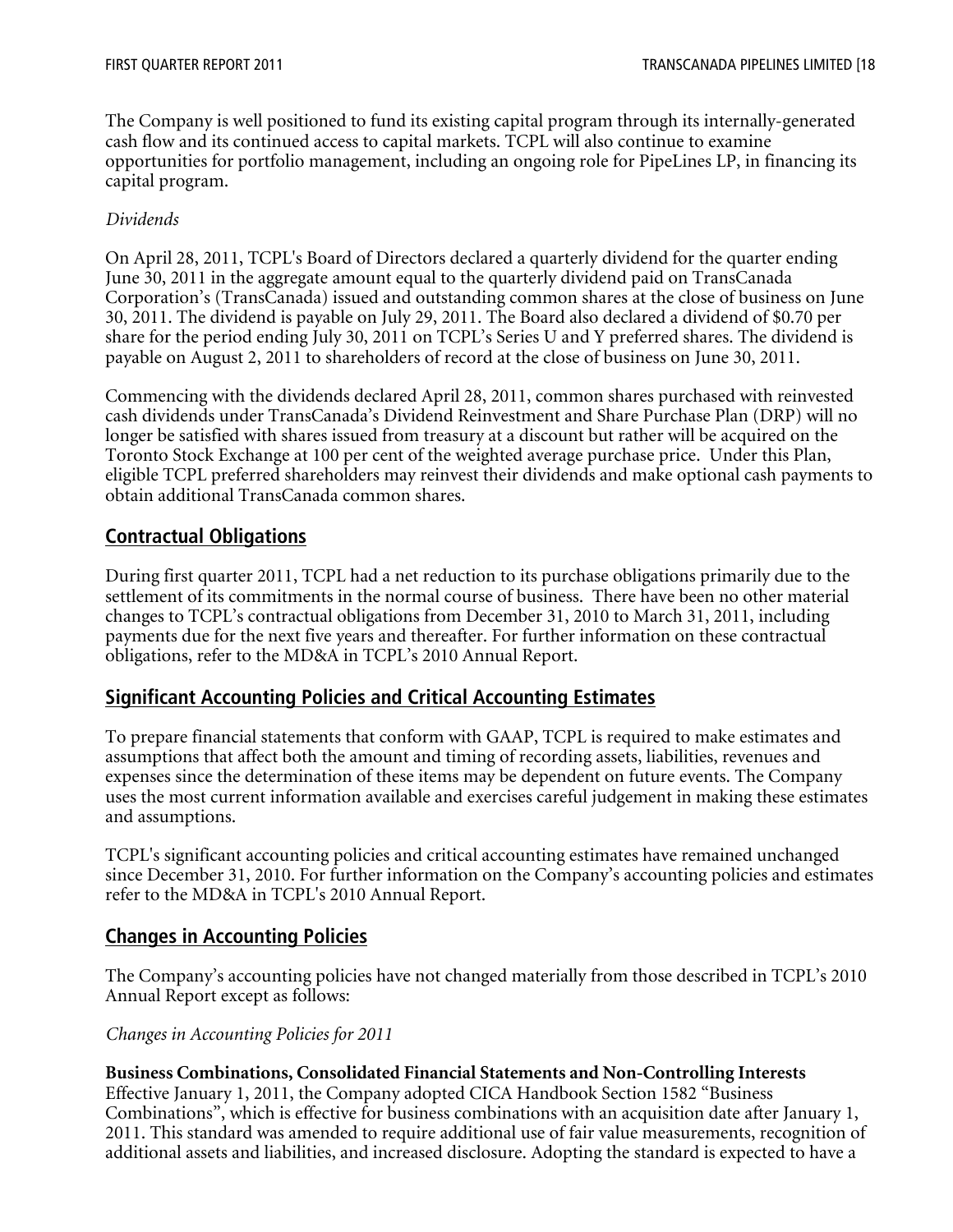The Company is well positioned to fund its existing capital program through its internally-generated cash flow and its continued access to capital markets. TCPL will also continue to examine opportunities for portfolio management, including an ongoing role for PipeLines LP, in financing its capital program.

#### *Dividends*

On April 28, 2011, TCPL's Board of Directors declared a quarterly dividend for the quarter ending June 30, 2011 in the aggregate amount equal to the quarterly dividend paid on TransCanada Corporation's (TransCanada) issued and outstanding common shares at the close of business on June 30, 2011. The dividend is payable on July 29, 2011. The Board also declared a dividend of \$0.70 per share for the period ending July 30, 2011 on TCPL's Series U and Y preferred shares. The dividend is payable on August 2, 2011 to shareholders of record at the close of business on June 30, 2011.

Commencing with the dividends declared April 28, 2011, common shares purchased with reinvested cash dividends under TransCanada's Dividend Reinvestment and Share Purchase Plan (DRP) will no longer be satisfied with shares issued from treasury at a discount but rather will be acquired on the Toronto Stock Exchange at 100 per cent of the weighted average purchase price. Under this Plan, eligible TCPL preferred shareholders may reinvest their dividends and make optional cash payments to obtain additional TransCanada common shares.

# **Contractual Obligations**

During first quarter 2011, TCPL had a net reduction to its purchase obligations primarily due to the settlement of its commitments in the normal course of business. There have been no other material changes to TCPL's contractual obligations from December 31, 2010 to March 31, 2011, including payments due for the next five years and thereafter. For further information on these contractual obligations, refer to the MD&A in TCPL's 2010 Annual Report.

# **Significant Accounting Policies and Critical Accounting Estimates**

To prepare financial statements that conform with GAAP, TCPL is required to make estimates and assumptions that affect both the amount and timing of recording assets, liabilities, revenues and expenses since the determination of these items may be dependent on future events. The Company uses the most current information available and exercises careful judgement in making these estimates and assumptions.

TCPL's significant accounting policies and critical accounting estimates have remained unchanged since December 31, 2010. For further information on the Company's accounting policies and estimates refer to the MD&A in TCPL's 2010 Annual Report.

# **Changes in Accounting Policies**

The Company's accounting policies have not changed materially from those described in TCPL's 2010 Annual Report except as follows:

#### *Changes in Accounting Policies for 2011*

**Business Combinations, Consolidated Financial Statements and Non-Controlling Interests**  Effective January 1, 2011, the Company adopted CICA Handbook Section 1582 "Business Combinations", which is effective for business combinations with an acquisition date after January 1, 2011. This standard was amended to require additional use of fair value measurements, recognition of additional assets and liabilities, and increased disclosure. Adopting the standard is expected to have a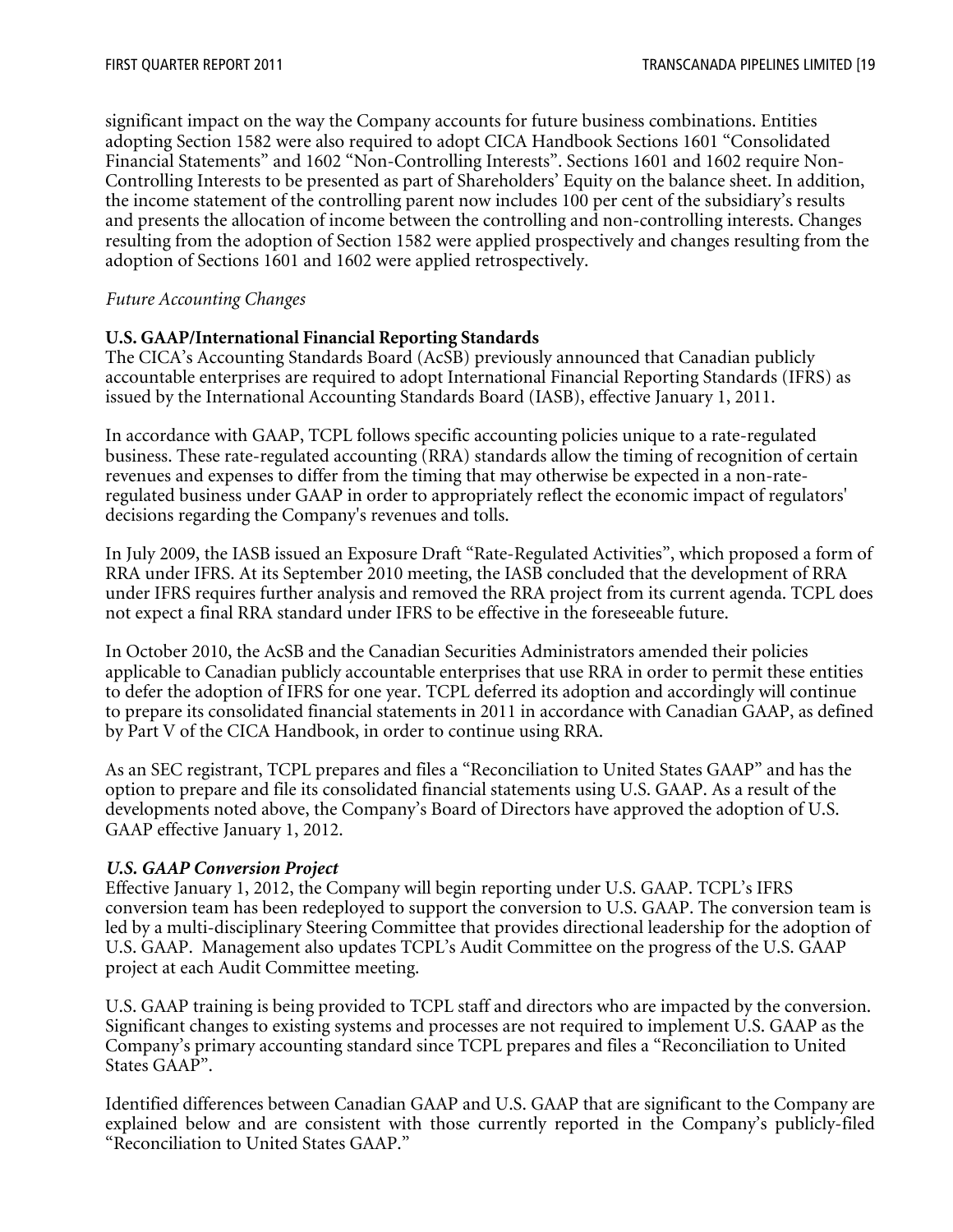significant impact on the way the Company accounts for future business combinations. Entities adopting Section 1582 were also required to adopt CICA Handbook Sections 1601 "Consolidated Financial Statements" and 1602 "Non-Controlling Interests". Sections 1601 and 1602 require Non-Controlling Interests to be presented as part of Shareholders' Equity on the balance sheet. In addition, the income statement of the controlling parent now includes 100 per cent of the subsidiary's results and presents the allocation of income between the controlling and non-controlling interests. Changes resulting from the adoption of Section 1582 were applied prospectively and changes resulting from the adoption of Sections 1601 and 1602 were applied retrospectively.

#### *Future Accounting Changes*

#### **U.S. GAAP/International Financial Reporting Standards**

The CICA's Accounting Standards Board (AcSB) previously announced that Canadian publicly accountable enterprises are required to adopt International Financial Reporting Standards (IFRS) as issued by the International Accounting Standards Board (IASB), effective January 1, 2011.

In accordance with GAAP, TCPL follows specific accounting policies unique to a rate-regulated business. These rate-regulated accounting (RRA) standards allow the timing of recognition of certain revenues and expenses to differ from the timing that may otherwise be expected in a non-rateregulated business under GAAP in order to appropriately reflect the economic impact of regulators' decisions regarding the Company's revenues and tolls.

In July 2009, the IASB issued an Exposure Draft "Rate-Regulated Activities", which proposed a form of RRA under IFRS. At its September 2010 meeting, the IASB concluded that the development of RRA under IFRS requires further analysis and removed the RRA project from its current agenda. TCPL does not expect a final RRA standard under IFRS to be effective in the foreseeable future.

In October 2010, the AcSB and the Canadian Securities Administrators amended their policies applicable to Canadian publicly accountable enterprises that use RRA in order to permit these entities to defer the adoption of IFRS for one year. TCPL deferred its adoption and accordingly will continue to prepare its consolidated financial statements in 2011 in accordance with Canadian GAAP, as defined by Part V of the CICA Handbook, in order to continue using RRA.

As an SEC registrant, TCPL prepares and files a "Reconciliation to United States GAAP" and has the option to prepare and file its consolidated financial statements using U.S. GAAP. As a result of the developments noted above, the Company's Board of Directors have approved the adoption of U.S. GAAP effective January 1, 2012.

#### *U.S. GAAP Conversion Project*

Effective January 1, 2012, the Company will begin reporting under U.S. GAAP. TCPL's IFRS conversion team has been redeployed to support the conversion to U.S. GAAP. The conversion team is led by a multi-disciplinary Steering Committee that provides directional leadership for the adoption of U.S. GAAP. Management also updates TCPL's Audit Committee on the progress of the U.S. GAAP project at each Audit Committee meeting.

U.S. GAAP training is being provided to TCPL staff and directors who are impacted by the conversion. Significant changes to existing systems and processes are not required to implement U.S. GAAP as the Company's primary accounting standard since TCPL prepares and files a "Reconciliation to United States GAAP".

Identified differences between Canadian GAAP and U.S. GAAP that are significant to the Company are explained below and are consistent with those currently reported in the Company's publicly-filed "Reconciliation to United States GAAP."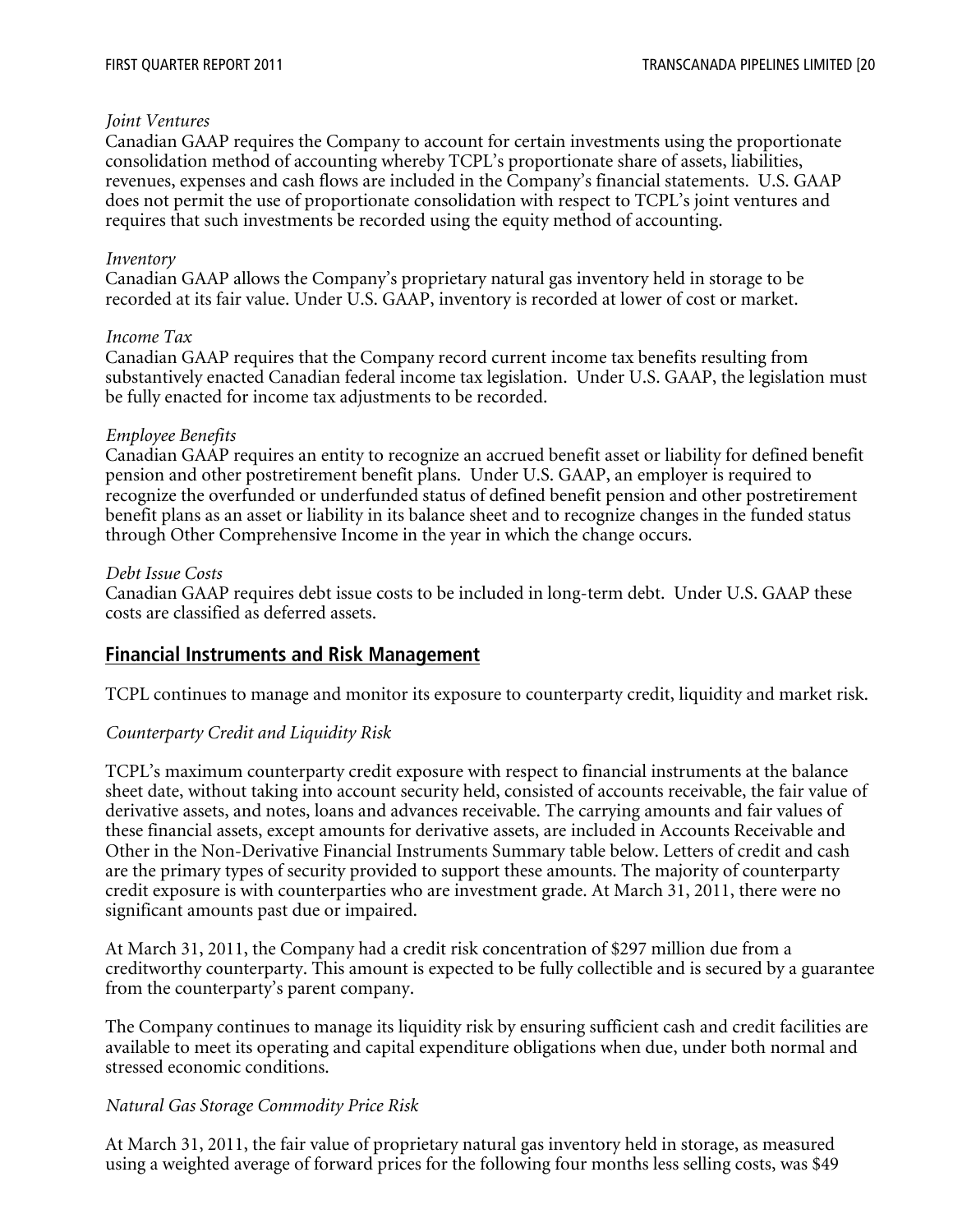#### *Joint Ventures*

Canadian GAAP requires the Company to account for certain investments using the proportionate consolidation method of accounting whereby TCPL's proportionate share of assets, liabilities, revenues, expenses and cash flows are included in the Company's financial statements. U.S. GAAP does not permit the use of proportionate consolidation with respect to TCPL's joint ventures and requires that such investments be recorded using the equity method of accounting.

#### *Inventory*

Canadian GAAP allows the Company's proprietary natural gas inventory held in storage to be recorded at its fair value. Under U.S. GAAP, inventory is recorded at lower of cost or market.

#### *Income Tax*

Canadian GAAP requires that the Company record current income tax benefits resulting from substantively enacted Canadian federal income tax legislation. Under U.S. GAAP, the legislation must be fully enacted for income tax adjustments to be recorded.

#### *Employee Benefits*

Canadian GAAP requires an entity to recognize an accrued benefit asset or liability for defined benefit pension and other postretirement benefit plans. Under U.S. GAAP, an employer is required to recognize the overfunded or underfunded status of defined benefit pension and other postretirement benefit plans as an asset or liability in its balance sheet and to recognize changes in the funded status through Other Comprehensive Income in the year in which the change occurs.

#### *Debt Issue Costs*

Canadian GAAP requires debt issue costs to be included in long-term debt. Under U.S. GAAP these costs are classified as deferred assets.

# **Financial Instruments and Risk Management**

TCPL continues to manage and monitor its exposure to counterparty credit, liquidity and market risk.

#### *Counterparty Credit and Liquidity Risk*

TCPL's maximum counterparty credit exposure with respect to financial instruments at the balance sheet date, without taking into account security held, consisted of accounts receivable, the fair value of derivative assets, and notes, loans and advances receivable. The carrying amounts and fair values of these financial assets, except amounts for derivative assets, are included in Accounts Receivable and Other in the Non-Derivative Financial Instruments Summary table below. Letters of credit and cash are the primary types of security provided to support these amounts. The majority of counterparty credit exposure is with counterparties who are investment grade. At March 31, 2011, there were no significant amounts past due or impaired.

At March 31, 2011, the Company had a credit risk concentration of \$297 million due from a creditworthy counterparty. This amount is expected to be fully collectible and is secured by a guarantee from the counterparty's parent company.

The Company continues to manage its liquidity risk by ensuring sufficient cash and credit facilities are available to meet its operating and capital expenditure obligations when due, under both normal and stressed economic conditions.

#### *Natural Gas Storage Commodity Price Risk*

At March 31, 2011, the fair value of proprietary natural gas inventory held in storage, as measured using a weighted average of forward prices for the following four months less selling costs, was \$49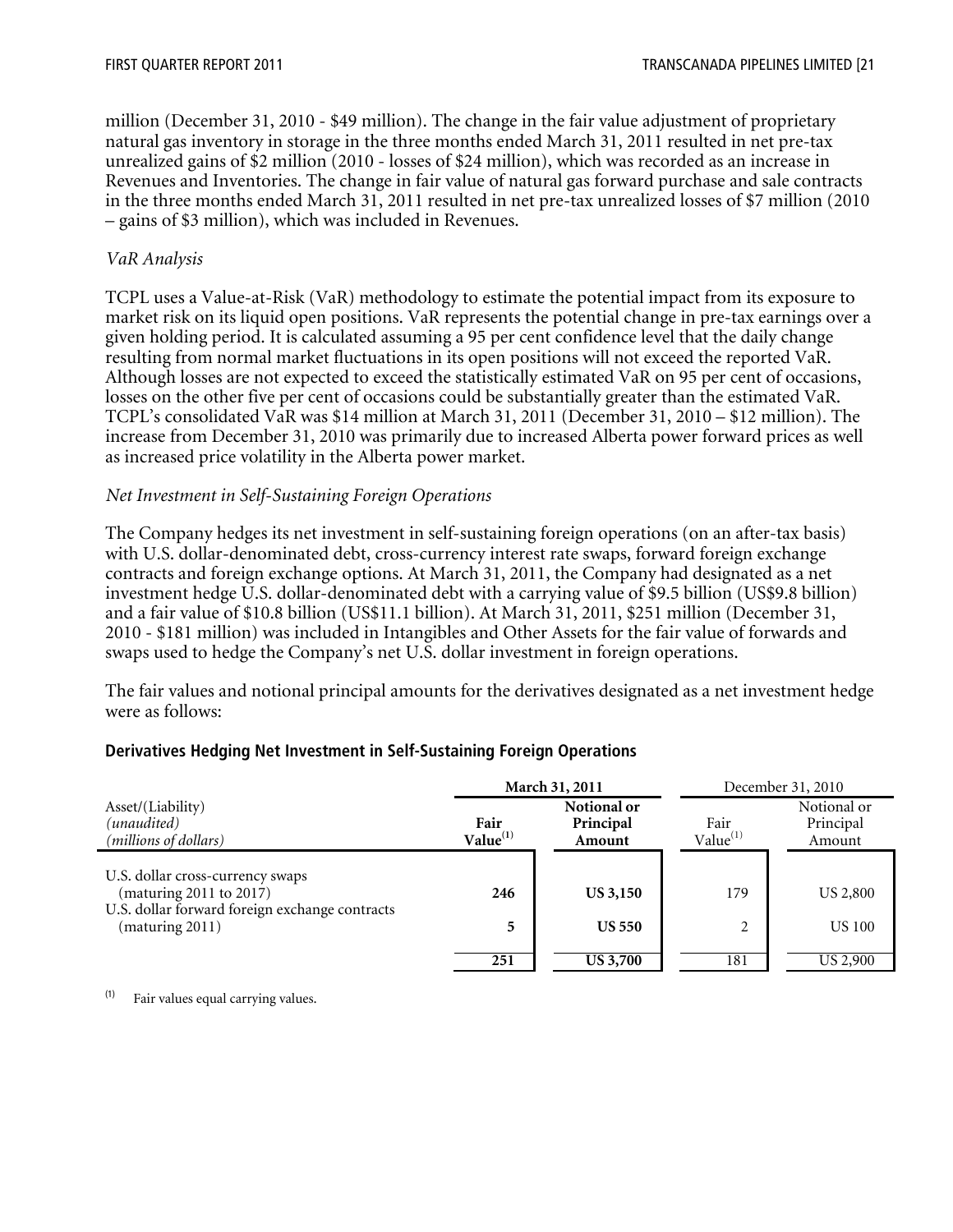million (December 31, 2010 - \$49 million). The change in the fair value adjustment of proprietary natural gas inventory in storage in the three months ended March 31, 2011 resulted in net pre-tax unrealized gains of \$2 million (2010 - losses of \$24 million), which was recorded as an increase in Revenues and Inventories. The change in fair value of natural gas forward purchase and sale contracts in the three months ended March 31, 2011 resulted in net pre-tax unrealized losses of \$7 million (2010 – gains of \$3 million), which was included in Revenues.

#### *VaR Analysis*

TCPL uses a Value-at-Risk (VaR) methodology to estimate the potential impact from its exposure to market risk on its liquid open positions. VaR represents the potential change in pre-tax earnings over a given holding period. It is calculated assuming a 95 per cent confidence level that the daily change resulting from normal market fluctuations in its open positions will not exceed the reported VaR. Although losses are not expected to exceed the statistically estimated VaR on 95 per cent of occasions, losses on the other five per cent of occasions could be substantially greater than the estimated VaR. TCPL's consolidated VaR was \$14 million at March 31, 2011 (December 31, 2010 – \$12 million). The increase from December 31, 2010 was primarily due to increased Alberta power forward prices as well as increased price volatility in the Alberta power market.

#### *Net Investment in Self-Sustaining Foreign Operations*

The Company hedges its net investment in self-sustaining foreign operations (on an after-tax basis) with U.S. dollar-denominated debt, cross-currency interest rate swaps, forward foreign exchange contracts and foreign exchange options. At March 31, 2011, the Company had designated as a net investment hedge U.S. dollar-denominated debt with a carrying value of \$9.5 billion (US\$9.8 billion) and a fair value of \$10.8 billion (US\$11.1 billion). At March 31, 2011, \$251 million (December 31, 2010 - \$181 million) was included in Intangibles and Other Assets for the fair value of forwards and swaps used to hedge the Company's net U.S. dollar investment in foreign operations.

The fair values and notional principal amounts for the derivatives designated as a net investment hedge were as follows:

|                                                                                                               | March 31, 2011               |                                    |                | December 31, 2010                  |
|---------------------------------------------------------------------------------------------------------------|------------------------------|------------------------------------|----------------|------------------------------------|
| Asset/(Liability)<br>(unaudited)<br>(millions of dollars)                                                     | Fair<br>Value <sup>(1)</sup> | Notional or<br>Principal<br>Amount |                | Notional or<br>Principal<br>Amount |
| U.S. dollar cross-currency swaps<br>(maturing 2011 to 2017)<br>U.S. dollar forward foreign exchange contracts | 246                          | <b>US 3,150</b>                    | 179            | US 2,800                           |
| (maturing 2011)                                                                                               | 5                            | <b>US 550</b>                      | $\overline{2}$ | <b>US 100</b>                      |
|                                                                                                               | 251                          | <b>US 3,700</b>                    | 181            | US 2,900                           |

#### **Derivatives Hedging Net Investment in Self-Sustaining Foreign Operations**

 $(1)$  Fair values equal carrying values.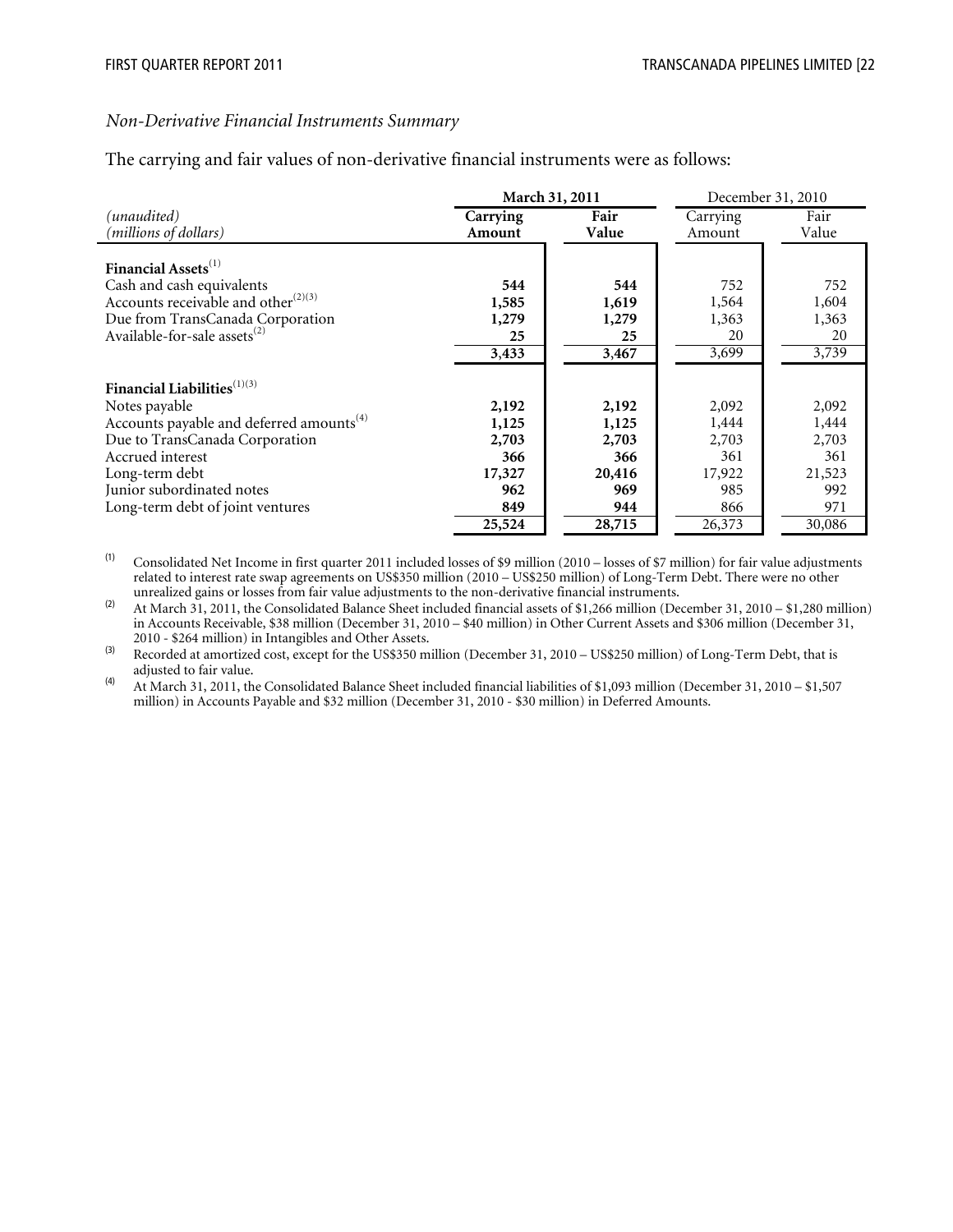#### *Non-Derivative Financial Instruments Summary*

The carrying and fair values of non-derivative financial instruments were as follows:

|                                                                              |                    | March 31, 2011 | December 31, 2010  |               |  |
|------------------------------------------------------------------------------|--------------------|----------------|--------------------|---------------|--|
| (unaudited)<br>(millions of dollars)                                         | Carrying<br>Amount | Fair<br>Value  | Carrying<br>Amount | Fair<br>Value |  |
| Financial Assets <sup>(1)</sup><br>Cash and cash equivalents                 | 544                | 544            | 752                | 752           |  |
| Accounts receivable and other <sup>(2)(3)</sup>                              | 1,585              | 1,619          | 1,564              | 1,604         |  |
| Due from TransCanada Corporation<br>Available-for-sale assets <sup>(2)</sup> | 1,279<br>25        | 1,279<br>25    | 1,363<br>20        | 1,363<br>20   |  |
|                                                                              | 3,433              | 3,467          | 3,699              | 3,739         |  |
| Financial Liabilities <sup>(1)(3)</sup>                                      |                    |                |                    |               |  |
| Notes payable                                                                | 2,192              | 2,192          | 2,092              | 2,092         |  |
| Accounts payable and deferred amounts <sup>(4)</sup>                         | 1,125              | 1,125          | 1,444              | 1,444         |  |
| Due to TransCanada Corporation                                               | 2,703              | 2,703          | 2,703              | 2,703         |  |
| Accrued interest                                                             | 366                | 366            | 361                | 361           |  |
| Long-term debt                                                               | 17,327             | 20,416         | 17,922             | 21,523        |  |
| Junior subordinated notes                                                    | 962                | 969            | 985                | 992           |  |
| Long-term debt of joint ventures                                             | 849                | 944            | 866                | 971           |  |
|                                                                              | 25,524             | 28,715         | 26,373             | 30,086        |  |

(1) Consolidated Net Income in first quarter 2011 included losses of \$9 million (2010 – losses of \$7 million) for fair value adjustments related to interest rate swap agreements on US\$350 million (2010 – US\$250 million) of Long-Term Debt. There were no other unrealized gains or losses from fair value adjustments to the non-derivative financial instruments.

(2) At March 31, 2011, the Consolidated Balance Sheet included financial assets of \$1,266 million (December 31, 2010 – \$1,280 million) in Accounts Receivable, \$38 million (December 31, 2010 – \$40 million) in Other Current Assets and \$306 million (December 31,

<sup>(3)</sup> Recorded at amortized cost, except for the US\$350 million (December 31, 2010 – US\$250 million) of Long-Term Debt, that is adjusted to fair value.

<sup>(4)</sup> At March 31, 2011, the Consolidated Balance Sheet included financial liabilities of \$1,093 million (December 31, 2010 – \$1,507 million) in Accounts Payable and \$32 million (December 31, 2010 - \$30 million) in Deferred Amounts.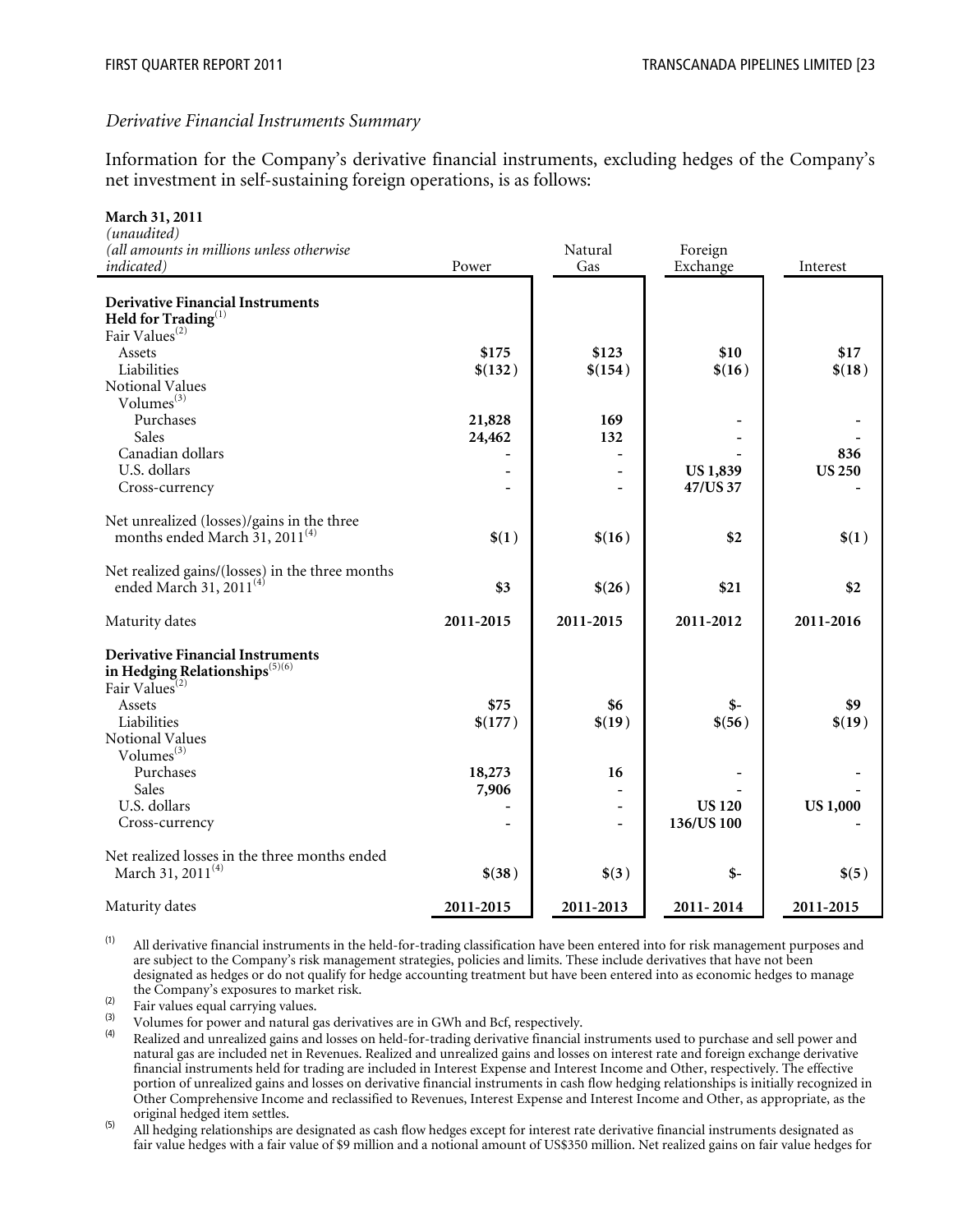#### *Derivative Financial Instruments Summary*

Information for the Company's derivative financial instruments, excluding hedges of the Company's net investment in self-sustaining foreign operations, is as follows:

| March 31, 2011<br>(unaudited)<br>(all amounts in millions unless otherwise                                                       |           | Natural        | Foreign         |                |
|----------------------------------------------------------------------------------------------------------------------------------|-----------|----------------|-----------------|----------------|
| indicated)                                                                                                                       | Power     | Gas            | Exchange        | Interest       |
| <b>Derivative Financial Instruments</b><br>$\mathbf{Held}$ for $\mathbf{Trading}^{(1)}$ Fair $\mathbf{Values}^{(2)}$             |           |                |                 |                |
| Assets                                                                                                                           | \$175     | \$123          | \$10            | \$17           |
| Liabilities                                                                                                                      | \$(132)   | \$(154)        | \$(16)          | \$(18)         |
| Notional Values<br>Volumes $^{(3)}$                                                                                              |           |                |                 |                |
| Purchases                                                                                                                        | 21,828    | 169            |                 |                |
| Sales                                                                                                                            | 24,462    | 132            |                 |                |
| Canadian dollars                                                                                                                 |           |                |                 | 836            |
| U.S. dollars                                                                                                                     |           |                | <b>US 1,839</b> | <b>US 250</b>  |
| Cross-currency                                                                                                                   |           | $\overline{a}$ | 47/US 37        |                |
| Net unrealized (losses)/gains in the three months ended March 31, $2011^{(4)}$                                                   | \$(1)     | \$(16)         | \$2             | \$(1)          |
| Net realized gains/(losses) in the three months<br>ended March 31, 2011 <sup>(4)</sup>                                           | \$3       | \$(26)         | \$21            | \$2            |
| Maturity dates                                                                                                                   | 2011-2015 | 2011-2015      | 2011-2012       | 2011-2016      |
| <b>Derivative Financial Instruments</b><br>in Hedging Relationships <sup>(5)(6)</sup><br>Fair Values <sup><math>(2)</math></sup> |           |                |                 |                |
| Assets                                                                                                                           | \$75      | \$6            | $$-$            | \$9            |
| Liabilities                                                                                                                      | \$(177)   | \$(19)         | \$(56)          | \$(19)         |
| Notional Values                                                                                                                  |           |                |                 |                |
| Volumes $^{(3)}$                                                                                                                 |           |                |                 |                |
| Purchases                                                                                                                        | 18,273    | 16             |                 |                |
| Sales                                                                                                                            | 7,906     |                |                 |                |
| U.S. dollars                                                                                                                     |           |                | <b>US120</b>    | <b>US1,000</b> |
| Cross-currency                                                                                                                   |           | $\overline{a}$ | 136/US 100      |                |
| Net realized losses in the three months ended<br>March 31, 2011 <sup>(4)</sup>                                                   | \$(38)    | \$(3)          | \$-             | \$(5)          |
| Maturity dates                                                                                                                   | 2011-2015 | 2011-2013      | 2011-2014       | 2011-2015      |

 $^{(1)}$  All derivative financial instruments in the held-for-trading classification have been entered into for risk management purposes and are subject to the Company's risk management strategies, policies and limits. These include derivatives that have not been designated as hedges or do not qualify for hedge accounting treatment but have been entered into as economic hedges to manage the Company's exposures to market risk.

Fair values equal carrying values.<br>
Volumes for power and natural gas derivatives are in GWh and Bcf, respectively.<br>
(a) Realized and unrealized gains and losses on held-for-trading derivative financial instruments used t natural gas are included net in Revenues. Realized and unrealized gains and losses on interest rate and foreign exchange derivative financial instruments held for trading are included in Interest Expense and Interest Income and Other, respectively. The effective portion of unrealized gains and losses on derivative financial instruments in cash flow hedging relationships is initially recognized in Other Comprehensive Income and reclassified to Revenues, Interest Expense and Interest Income and Other, as appropriate, as the

 $\mu$  All hedging relationships are designated as cash flow hedges except for interest rate derivative financial instruments designated as fair value hedges with a fair value of \$9 million and a notional amount of US\$350 million. Net realized gains on fair value hedges for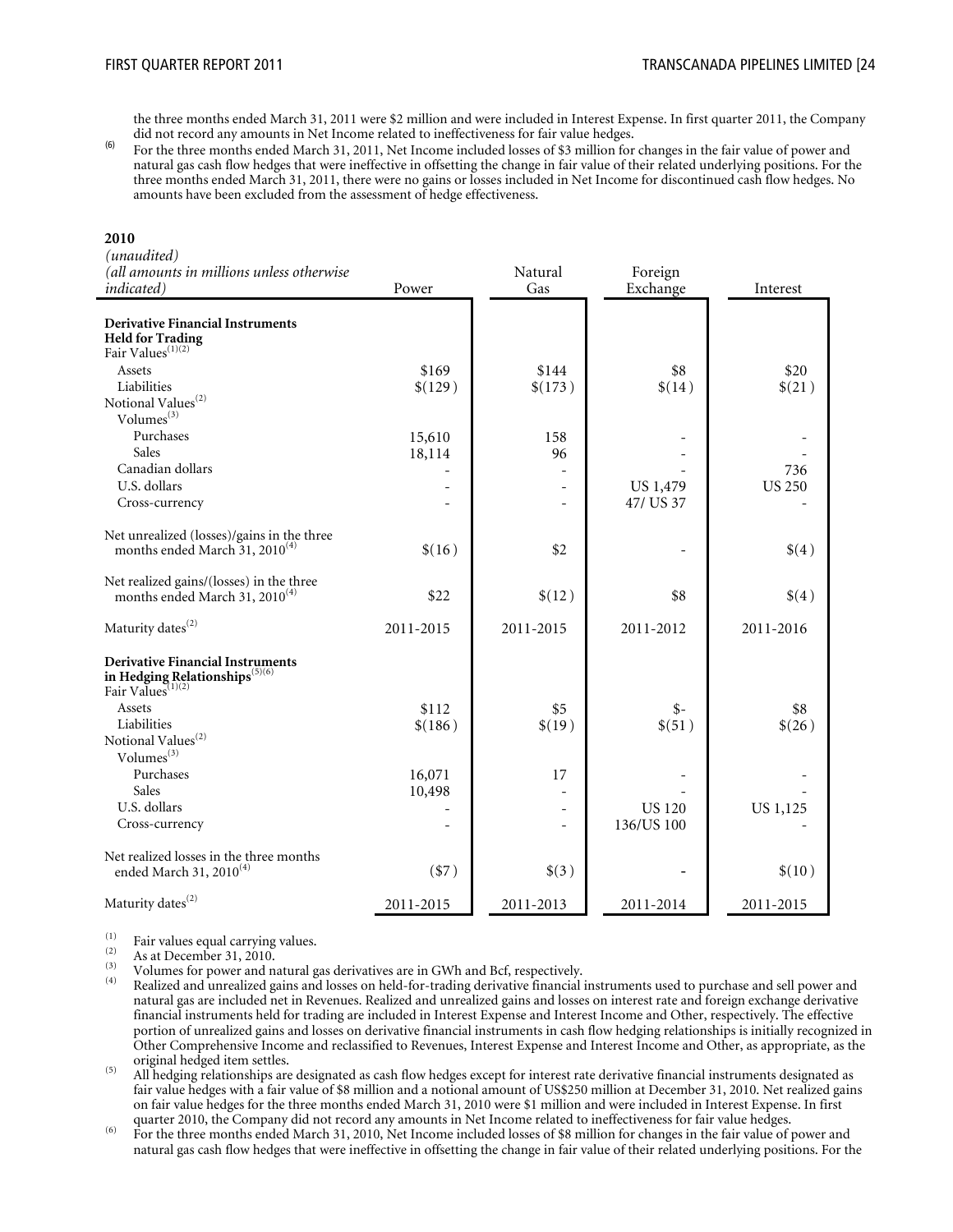the three months ended March 31, 2011 were \$2 million and were included in Interest Expense. In first quarter 2011, the Company

did not record any amounts in Net Income related to ineffectiveness for fair value hedges.<br><sup>(6)</sup> For the three months ended March 31, 2011, Net Income included losses of \$3 million for changes in the fair value of power a natural gas cash flow hedges that were ineffective in offsetting the change in fair value of their related underlying positions. For the three months ended March 31, 2011, there were no gains or losses included in Net Income for discontinued cash flow hedges. No amounts have been excluded from the assessment of hedge effectiveness.

#### **2010**

| (unaudited)                                                                    |           |                          |                 |               |
|--------------------------------------------------------------------------------|-----------|--------------------------|-----------------|---------------|
| (all amounts in millions unless otherwise                                      |           | Natural                  | Foreign         |               |
| <i>indicated</i> )                                                             | Power     | Gas                      | Exchange        | Interest      |
|                                                                                |           |                          |                 |               |
| <b>Derivative Financial Instruments</b>                                        |           |                          |                 |               |
| Held for Trading<br>Fair Values<br>$\mathrm{^{(1)(2)}}$                        |           |                          |                 |               |
|                                                                                |           |                          |                 |               |
| Assets                                                                         | \$169     | \$144                    | \$8             | \$20          |
| Liabilities                                                                    | \$(129)   | \$(173)                  | \$(14)          | \$(21)        |
| Notional Values <sup>(2)</sup>                                                 |           |                          |                 |               |
| Volumes <sup>(3)</sup>                                                         |           |                          |                 |               |
| Purchases                                                                      | 15,610    | 158                      |                 |               |
| Sales                                                                          | 18,114    | 96                       |                 |               |
| Canadian dollars                                                               |           |                          |                 | 736           |
| U.S. dollars                                                                   |           |                          | <b>US 1,479</b> | <b>US 250</b> |
| Cross-currency                                                                 |           | $\overline{\phantom{a}}$ | 47/ US 37       |               |
|                                                                                |           |                          |                 |               |
|                                                                                |           |                          |                 |               |
| Net unrealized (losses)/gains in the three months ended March 31, $2010^{(4)}$ | \$(16)    | \$2                      |                 | \$(4)         |
|                                                                                |           |                          |                 |               |
| Net realized gains/(losses) in the three                                       |           |                          |                 |               |
| months ended March 31, 2010 <sup>(4)</sup>                                     | \$22      | \$(12)                   | \$8             | \$(4)         |
|                                                                                |           |                          |                 |               |
| Maturity dates <sup>(2)</sup>                                                  | 2011-2015 | 2011-2015                | 2011-2012       | 2011-2016     |
|                                                                                |           |                          |                 |               |
| <b>Derivative Financial Instruments</b>                                        |           |                          |                 |               |
| in Hedging Relationships <sup>(5)(6)</sup><br>Fair Values <sup>(1)(2)</sup>    |           |                          |                 |               |
|                                                                                |           |                          |                 |               |
| Assets                                                                         | \$112     | \$5                      | $\frac{1}{2}$   | \$8           |
| Liabilities                                                                    | \$(186)   | \$(19)                   | \$(51)          | \$(26)        |
| Notional Values <sup>(2)</sup>                                                 |           |                          |                 |               |
| Volumes <sup>(3)</sup>                                                         |           |                          |                 |               |
| Purchases                                                                      | 16,071    | 17                       |                 |               |
| Sales                                                                          | 10,498    |                          |                 |               |
| U.S. dollars                                                                   |           |                          | <b>US 120</b>   | US 1,125      |
| Cross-currency                                                                 |           | $\overline{\phantom{a}}$ | 136/US 100      |               |
| Net realized losses in the three months                                        |           |                          |                 |               |
| ended March 31, 2010 <sup>(4)</sup>                                            | (\$7)     | \$(3)                    |                 | \$(10)        |
|                                                                                |           |                          |                 |               |
| Maturity dates <sup>(2)</sup>                                                  | 2011-2015 | 2011-2013                | 2011-2014       | 2011-2015     |

(1) Fair values equal carrying values.<br>
(2) As at December 31, 2010.<br>
(3) Volumes for power and natural gas derivatives are in GWh and Bcf, respectively.

- (3) Volumes for power and natural gas derivatives are in GWh and Bcf, respectively. (4) Realized and unrealized gains and losses on held-for-trading derivative financial instruments used to purchase and sell power and natural gas are included net in Revenues. Realized and unrealized gains and losses on interest rate and foreign exchange derivative financial instruments held for trading are included in Interest Expense and Interest Income and Other, respectively. The effective portion of unrealized gains and losses on derivative financial instruments in cash flow hedging relationships is initially recognized in Other Comprehensive Income and reclassified to Revenues, Interest Expense and Interest Income and Other, as appropriate, as the
- <sup>(5)</sup> All hedging relationships are designated as cash flow hedges except for interest rate derivative financial instruments designated as fair value hedges with a fair value of \$8 million and a notional amount of US\$250 million at December 31, 2010. Net realized gains on fair value hedges for the three months ended March 31, 2010 were \$1 million and were included in Interest Expense. In first quarter 2010, the Company did not record any amounts in Net Income related to ineffectiveness f
- <sup>(6)</sup> For the three months ended March 31, 2010, Net Income included losses of \$8 million for changes in the fair value of power and natural gas cash flow hedges that were ineffective in offsetting the change in fair value of their related underlying positions. For the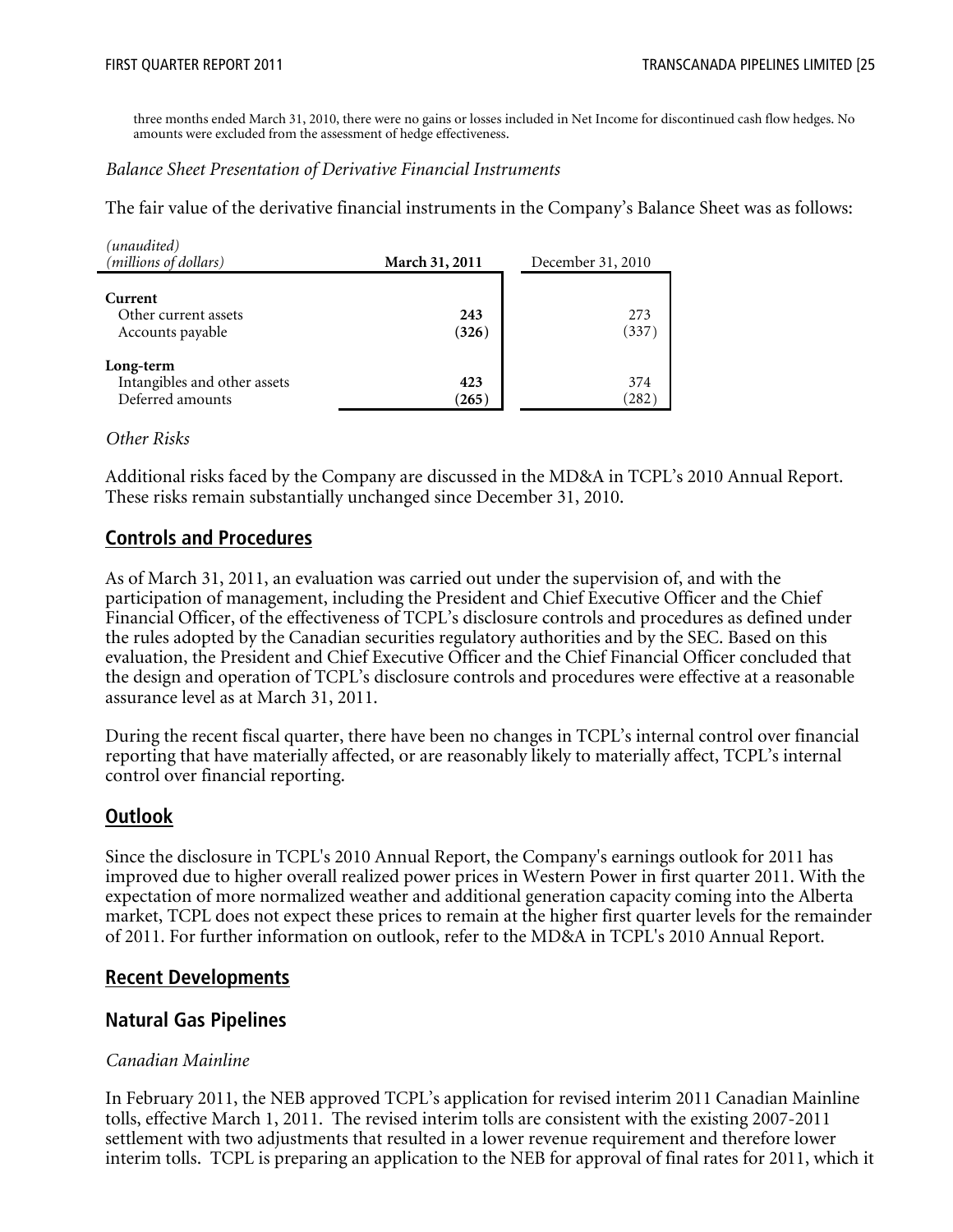three months ended March 31, 2010, there were no gains or losses included in Net Income for discontinued cash flow hedges. No amounts were excluded from the assessment of hedge effectiveness.

#### *Balance Sheet Presentation of Derivative Financial Instruments*

The fair value of the derivative financial instruments in the Company's Balance Sheet was as follows:

| (unaudited)<br>(millions of dollars)                          | March 31, 2011 | December 31, 2010 |  |
|---------------------------------------------------------------|----------------|-------------------|--|
| Current<br>Other current assets<br>Accounts payable           | 243<br>(326)   | 273<br>(337)      |  |
| Long-term<br>Intangibles and other assets<br>Deferred amounts | 423<br>(265)   | 374<br>282)       |  |

#### *Other Risks*

Additional risks faced by the Company are discussed in the MD&A in TCPL's 2010 Annual Report. These risks remain substantially unchanged since December 31, 2010.

#### **Controls and Procedures**

As of March 31, 2011, an evaluation was carried out under the supervision of, and with the participation of management, including the President and Chief Executive Officer and the Chief Financial Officer, of the effectiveness of TCPL's disclosure controls and procedures as defined under the rules adopted by the Canadian securities regulatory authorities and by the SEC. Based on this evaluation, the President and Chief Executive Officer and the Chief Financial Officer concluded that the design and operation of TCPL's disclosure controls and procedures were effective at a reasonable assurance level as at March 31, 2011.

During the recent fiscal quarter, there have been no changes in TCPL's internal control over financial reporting that have materially affected, or are reasonably likely to materially affect, TCPL's internal control over financial reporting.

#### **Outlook**

Since the disclosure in TCPL's 2010 Annual Report, the Company's earnings outlook for 2011 has improved due to higher overall realized power prices in Western Power in first quarter 2011. With the expectation of more normalized weather and additional generation capacity coming into the Alberta market, TCPL does not expect these prices to remain at the higher first quarter levels for the remainder of 2011. For further information on outlook, refer to the MD&A in TCPL's 2010 Annual Report.

#### **Recent Developments**

#### **Natural Gas Pipelines**

#### *Canadian Mainline*

In February 2011, the NEB approved TCPL's application for revised interim 2011 Canadian Mainline tolls, effective March 1, 2011. The revised interim tolls are consistent with the existing 2007-2011 settlement with two adjustments that resulted in a lower revenue requirement and therefore lower interim tolls. TCPL is preparing an application to the NEB for approval of final rates for 2011, which it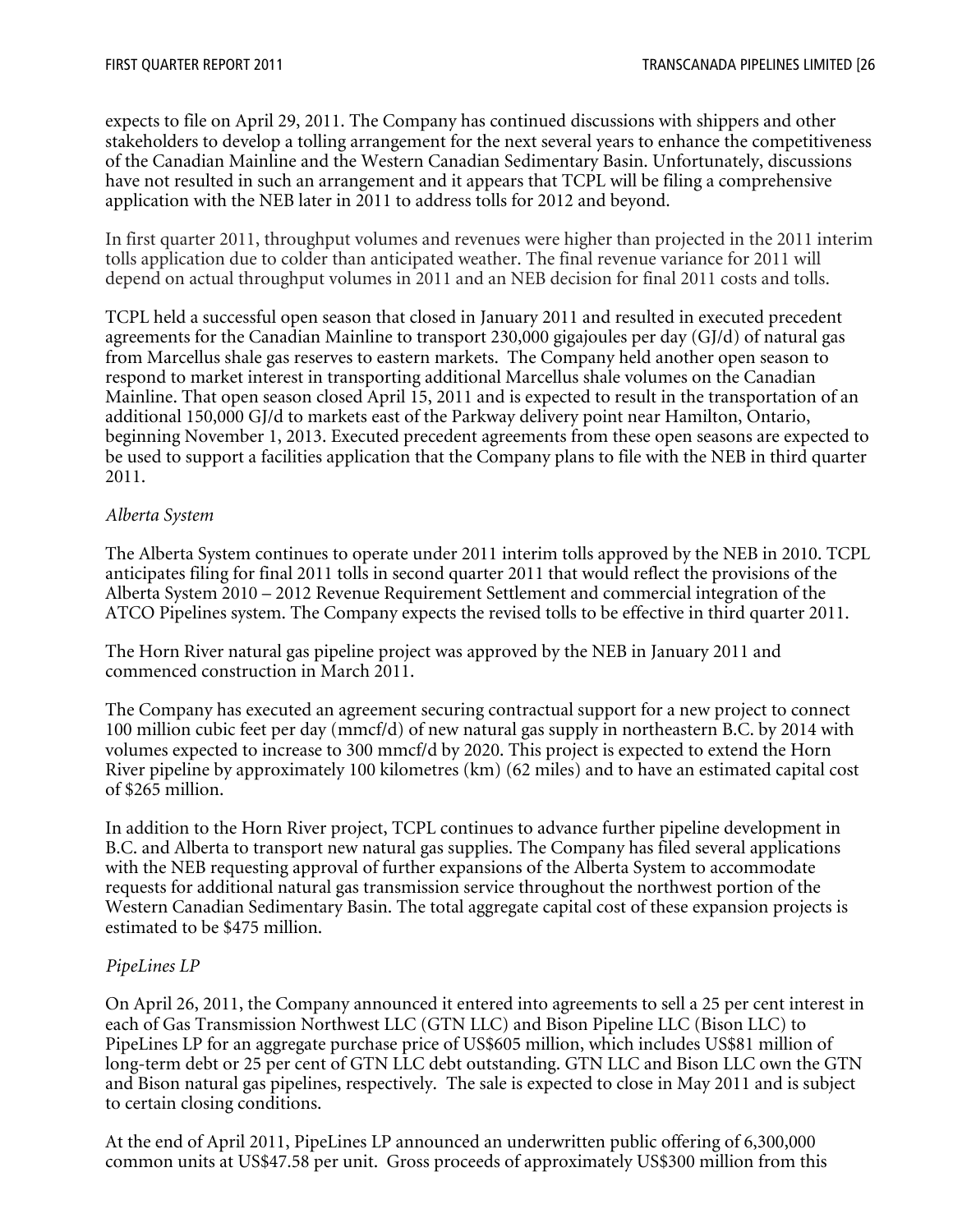expects to file on April 29, 2011. The Company has continued discussions with shippers and other stakeholders to develop a tolling arrangement for the next several years to enhance the competitiveness of the Canadian Mainline and the Western Canadian Sedimentary Basin. Unfortunately, discussions have not resulted in such an arrangement and it appears that TCPL will be filing a comprehensive application with the NEB later in 2011 to address tolls for 2012 and beyond.

In first quarter 2011, throughput volumes and revenues were higher than projected in the 2011 interim tolls application due to colder than anticipated weather. The final revenue variance for 2011 will depend on actual throughput volumes in 2011 and an NEB decision for final 2011 costs and tolls.

TCPL held a successful open season that closed in January 2011 and resulted in executed precedent agreements for the Canadian Mainline to transport 230,000 gigajoules per day (GJ/d) of natural gas from Marcellus shale gas reserves to eastern markets. The Company held another open season to respond to market interest in transporting additional Marcellus shale volumes on the Canadian Mainline. That open season closed April 15, 2011 and is expected to result in the transportation of an additional 150,000 GJ/d to markets east of the Parkway delivery point near Hamilton, Ontario, beginning November 1, 2013. Executed precedent agreements from these open seasons are expected to be used to support a facilities application that the Company plans to file with the NEB in third quarter 2011.

#### *Alberta System*

The Alberta System continues to operate under 2011 interim tolls approved by the NEB in 2010. TCPL anticipates filing for final 2011 tolls in second quarter 2011 that would reflect the provisions of the Alberta System 2010 – 2012 Revenue Requirement Settlement and commercial integration of the ATCO Pipelines system. The Company expects the revised tolls to be effective in third quarter 2011.

The Horn River natural gas pipeline project was approved by the NEB in January 2011 and commenced construction in March 2011.

The Company has executed an agreement securing contractual support for a new project to connect 100 million cubic feet per day (mmcf/d) of new natural gas supply in northeastern B.C. by 2014 with volumes expected to increase to 300 mmcf/d by 2020. This project is expected to extend the Horn River pipeline by approximately 100 kilometres (km) (62 miles) and to have an estimated capital cost of \$265 million.

In addition to the Horn River project, TCPL continues to advance further pipeline development in B.C. and Alberta to transport new natural gas supplies. The Company has filed several applications with the NEB requesting approval of further expansions of the Alberta System to accommodate requests for additional natural gas transmission service throughout the northwest portion of the Western Canadian Sedimentary Basin. The total aggregate capital cost of these expansion projects is estimated to be \$475 million.

#### *PipeLines LP*

On April 26, 2011, the Company announced it entered into agreements to sell a 25 per cent interest in each of Gas Transmission Northwest LLC (GTN LLC) and Bison Pipeline LLC (Bison LLC) to PipeLines LP for an aggregate purchase price of US\$605 million, which includes US\$81 million of long-term debt or 25 per cent of GTN LLC debt outstanding. GTN LLC and Bison LLC own the GTN and Bison natural gas pipelines, respectively. The sale is expected to close in May 2011 and is subject to certain closing conditions.

At the end of April 2011, PipeLines LP announced an underwritten public offering of 6,300,000 common units at US\$47.58 per unit. Gross proceeds of approximately US\$300 million from this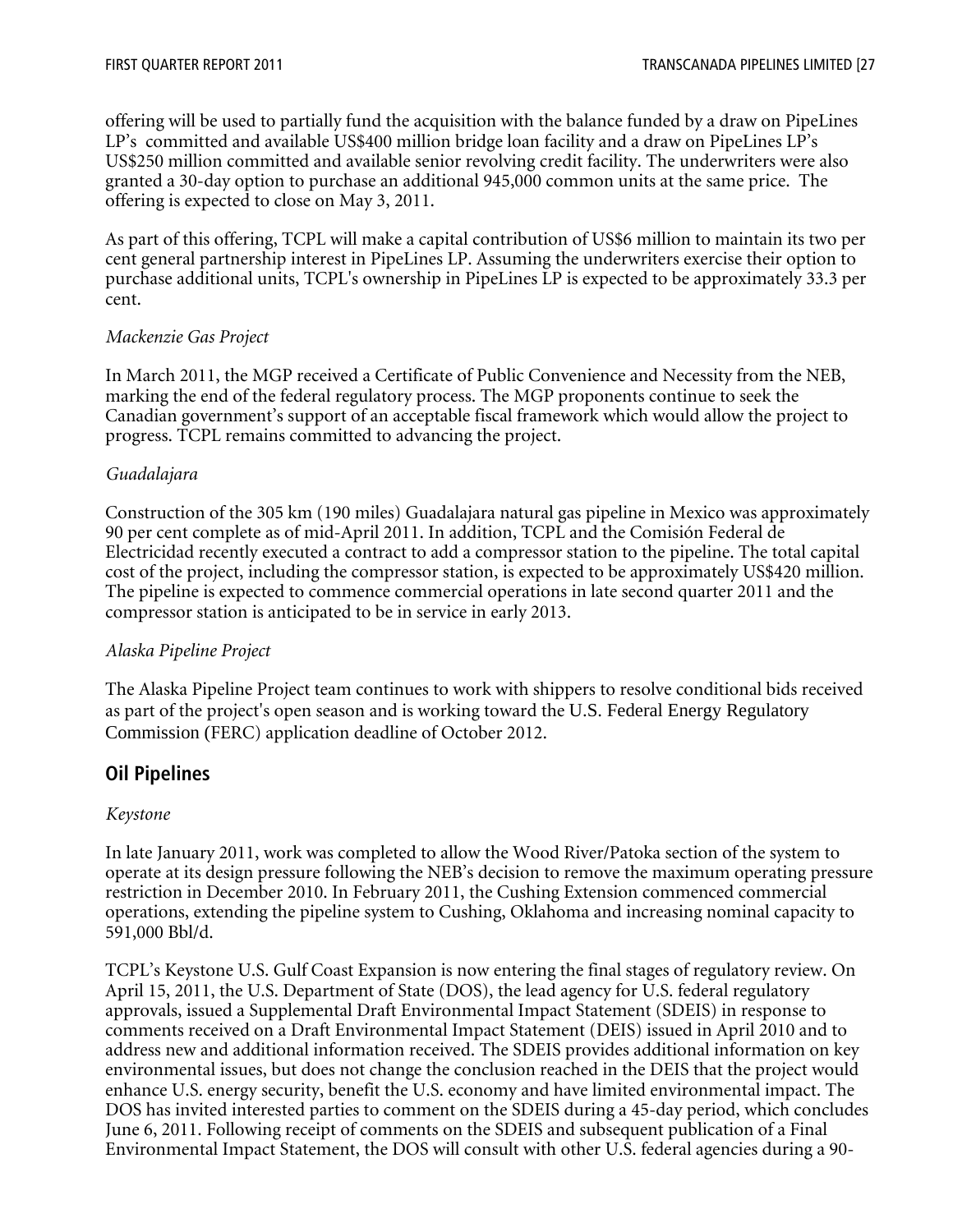offering will be used to partially fund the acquisition with the balance funded by a draw on PipeLines LP's committed and available US\$400 million bridge loan facility and a draw on PipeLines LP's US\$250 million committed and available senior revolving credit facility. The underwriters were also granted a 30-day option to purchase an additional 945,000 common units at the same price. The offering is expected to close on May 3, 2011.

As part of this offering, TCPL will make a capital contribution of US\$6 million to maintain its two per cent general partnership interest in PipeLines LP. Assuming the underwriters exercise their option to purchase additional units, TCPL's ownership in PipeLines LP is expected to be approximately 33.3 per cent.

#### *Mackenzie Gas Project*

In March 2011, the MGP received a Certificate of Public Convenience and Necessity from the NEB, marking the end of the federal regulatory process. The MGP proponents continue to seek the Canadian government's support of an acceptable fiscal framework which would allow the project to progress. TCPL remains committed to advancing the project.

#### *Guadalajara*

Construction of the 305 km (190 miles) Guadalajara natural gas pipeline in Mexico was approximately 90 per cent complete as of mid-April 2011. In addition, TCPL and the Comisión Federal de Electricidad recently executed a contract to add a compressor station to the pipeline. The total capital cost of the project, including the compressor station, is expected to be approximately US\$420 million. The pipeline is expected to commence commercial operations in late second quarter 2011 and the compressor station is anticipated to be in service in early 2013.

#### *Alaska Pipeline Project*

The Alaska Pipeline Project team continues to work with shippers to resolve conditional bids received as part of the project's open season and is working toward the U.S. Federal Energy Regulatory Commission (FERC) application deadline of October 2012.

# **Oil Pipelines**

#### *Keystone*

In late January 2011, work was completed to allow the Wood River/Patoka section of the system to operate at its design pressure following the NEB's decision to remove the maximum operating pressure restriction in December 2010. In February 2011, the Cushing Extension commenced commercial operations, extending the pipeline system to Cushing, Oklahoma and increasing nominal capacity to 591,000 Bbl/d.

TCPL's Keystone U.S. Gulf Coast Expansion is now entering the final stages of regulatory review. On April 15, 2011, the U.S. Department of State (DOS), the lead agency for U.S. federal regulatory approvals, issued a Supplemental Draft Environmental Impact Statement (SDEIS) in response to comments received on a Draft Environmental Impact Statement (DEIS) issued in April 2010 and to address new and additional information received. The SDEIS provides additional information on key environmental issues, but does not change the conclusion reached in the DEIS that the project would enhance U.S. energy security, benefit the U.S. economy and have limited environmental impact. The DOS has invited interested parties to comment on the SDEIS during a 45-day period, which concludes June 6, 2011. Following receipt of comments on the SDEIS and subsequent publication of a Final Environmental Impact Statement, the DOS will consult with other U.S. federal agencies during a 90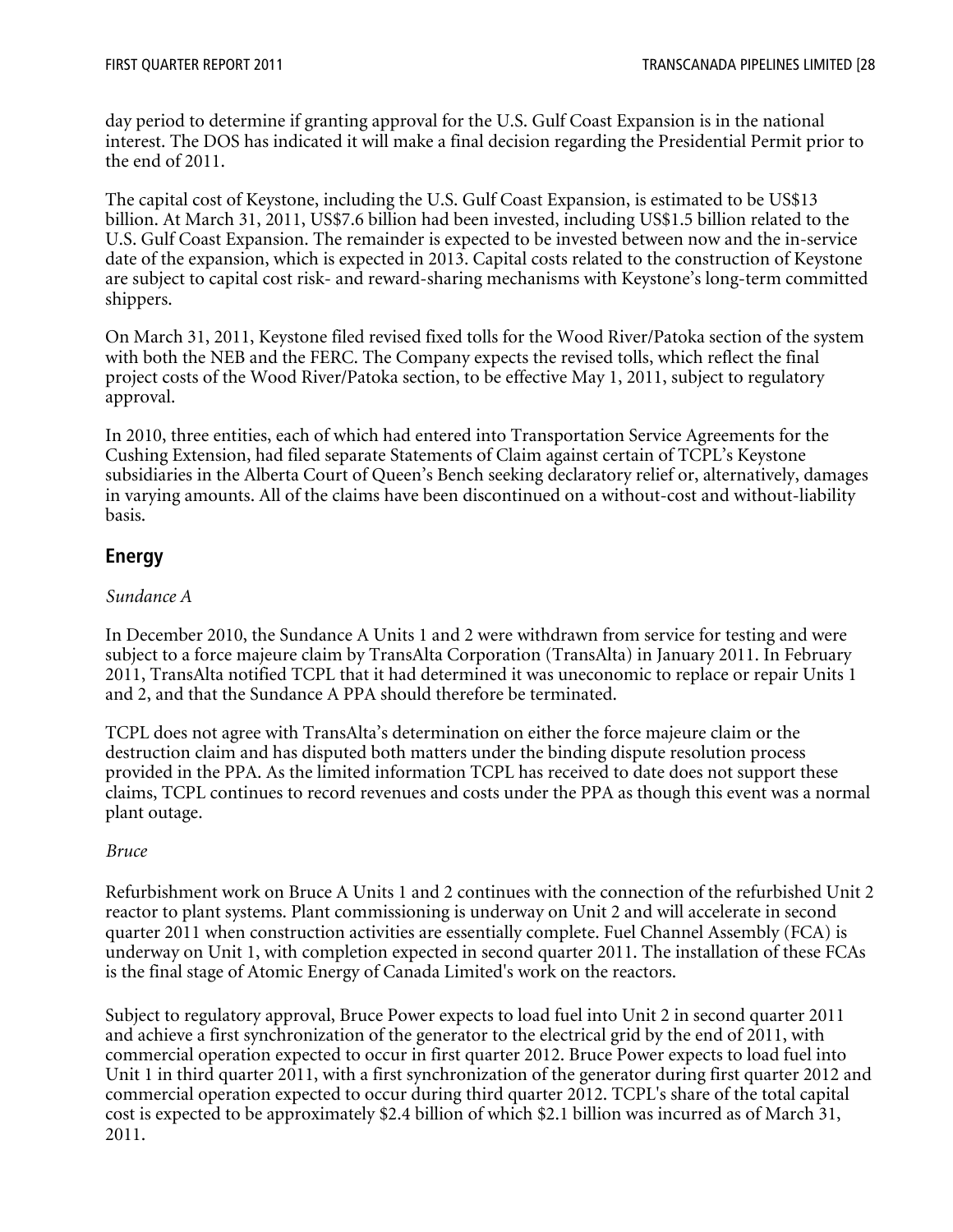day period to determine if granting approval for the U.S. Gulf Coast Expansion is in the national interest. The DOS has indicated it will make a final decision regarding the Presidential Permit prior to the end of 2011.

The capital cost of Keystone, including the U.S. Gulf Coast Expansion, is estimated to be US\$13 billion. At March 31, 2011, US\$7.6 billion had been invested, including US\$1.5 billion related to the U.S. Gulf Coast Expansion. The remainder is expected to be invested between now and the in-service date of the expansion, which is expected in 2013. Capital costs related to the construction of Keystone are subject to capital cost risk- and reward-sharing mechanisms with Keystone's long-term committed shippers.

On March 31, 2011, Keystone filed revised fixed tolls for the Wood River/Patoka section of the system with both the NEB and the FERC. The Company expects the revised tolls, which reflect the final project costs of the Wood River/Patoka section, to be effective May 1, 2011, subject to regulatory approval.

In 2010, three entities, each of which had entered into Transportation Service Agreements for the Cushing Extension, had filed separate Statements of Claim against certain of TCPL's Keystone subsidiaries in the Alberta Court of Queen's Bench seeking declaratory relief or, alternatively, damages in varying amounts. All of the claims have been discontinued on a without-cost and without-liability basis.

# **Energy**

### *Sundance A*

In December 2010, the Sundance A Units 1 and 2 were withdrawn from service for testing and were subject to a force majeure claim by TransAlta Corporation (TransAlta) in January 2011. In February 2011, TransAlta notified TCPL that it had determined it was uneconomic to replace or repair Units 1 and 2, and that the Sundance A PPA should therefore be terminated.

TCPL does not agree with TransAlta's determination on either the force majeure claim or the destruction claim and has disputed both matters under the binding dispute resolution process provided in the PPA. As the limited information TCPL has received to date does not support these claims, TCPL continues to record revenues and costs under the PPA as though this event was a normal plant outage.

#### *Bruce*

Refurbishment work on Bruce A Units 1 and 2 continues with the connection of the refurbished Unit 2 reactor to plant systems. Plant commissioning is underway on Unit 2 and will accelerate in second quarter 2011 when construction activities are essentially complete. Fuel Channel Assembly (FCA) is underway on Unit 1, with completion expected in second quarter 2011. The installation of these FCAs is the final stage of Atomic Energy of Canada Limited's work on the reactors.

Subject to regulatory approval, Bruce Power expects to load fuel into Unit 2 in second quarter 2011 and achieve a first synchronization of the generator to the electrical grid by the end of 2011, with commercial operation expected to occur in first quarter 2012. Bruce Power expects to load fuel into Unit 1 in third quarter 2011, with a first synchronization of the generator during first quarter 2012 and commercial operation expected to occur during third quarter 2012. TCPL's share of the total capital cost is expected to be approximately \$2.4 billion of which \$2.1 billion was incurred as of March 31, 2011.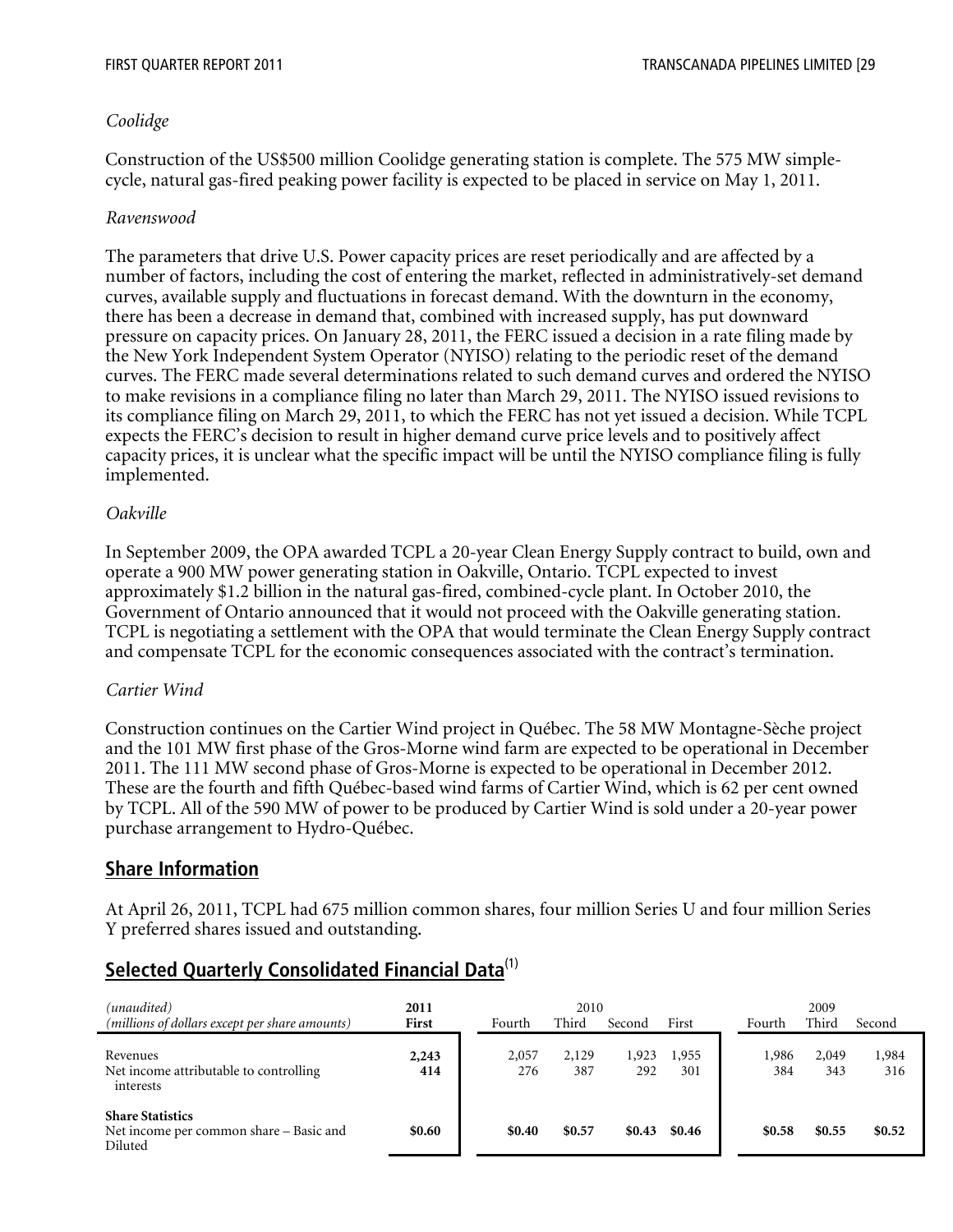#### *Coolidge*

Construction of the US\$500 million Coolidge generating station is complete. The 575 MW simplecycle, natural gas-fired peaking power facility is expected to be placed in service on May 1, 2011.

#### *Ravenswood*

The parameters that drive U.S. Power capacity prices are reset periodically and are affected by a number of factors, including the cost of entering the market, reflected in administratively-set demand curves, available supply and fluctuations in forecast demand. With the downturn in the economy, there has been a decrease in demand that, combined with increased supply, has put downward pressure on capacity prices. On January 28, 2011, the FERC issued a decision in a rate filing made by the New York Independent System Operator (NYISO) relating to the periodic reset of the demand curves. The FERC made several determinations related to such demand curves and ordered the NYISO to make revisions in a compliance filing no later than March 29, 2011. The NYISO issued revisions to its compliance filing on March 29, 2011, to which the FERC has not yet issued a decision. While TCPL expects the FERC's decision to result in higher demand curve price levels and to positively affect capacity prices, it is unclear what the specific impact will be until the NYISO compliance filing is fully implemented.

#### *Oakville*

In September 2009, the OPA awarded TCPL a 20-year Clean Energy Supply contract to build, own and operate a 900 MW power generating station in Oakville, Ontario. TCPL expected to invest approximately \$1.2 billion in the natural gas-fired, combined-cycle plant. In October 2010, the Government of Ontario announced that it would not proceed with the Oakville generating station. TCPL is negotiating a settlement with the OPA that would terminate the Clean Energy Supply contract and compensate TCPL for the economic consequences associated with the contract's termination.

#### *Cartier Wind*

Construction continues on the Cartier Wind project in Québec. The 58 MW Montagne-Sèche project and the 101 MW first phase of the Gros-Morne wind farm are expected to be operational in December 2011. The 111 MW second phase of Gros-Morne is expected to be operational in December 2012. These are the fourth and fifth Québec-based wind farms of Cartier Wind, which is 62 per cent owned by TCPL. All of the 590 MW of power to be produced by Cartier Wind is sold under a 20-year power purchase arrangement to Hydro-Québec.

# **Share Information**

At April 26, 2011, TCPL had 675 million common shares, four million Series U and four million Series Y preferred shares issued and outstanding.

# **Selected Quarterly Consolidated Financial Data**(1)

| (unaudited)<br>(millions of dollars except per share amounts)                 | 2011<br>First | Fourth       | 2010<br>Third | Second       | First        | Fourth       | 2009<br>Third | Second       |
|-------------------------------------------------------------------------------|---------------|--------------|---------------|--------------|--------------|--------------|---------------|--------------|
| Revenues<br>Net income attributable to controlling<br>interests               | 2,243<br>414  | 2,057<br>276 | 2,129<br>387  | 1,923<br>292 | 1.955<br>301 | 1,986<br>384 | 2,049<br>343  | 1,984<br>316 |
| <b>Share Statistics</b><br>Net income per common share – Basic and<br>Diluted | \$0.60        | \$0.40       | \$0.57        | \$0.43       | \$0.46       | \$0.58       | \$0.55        | \$0.52       |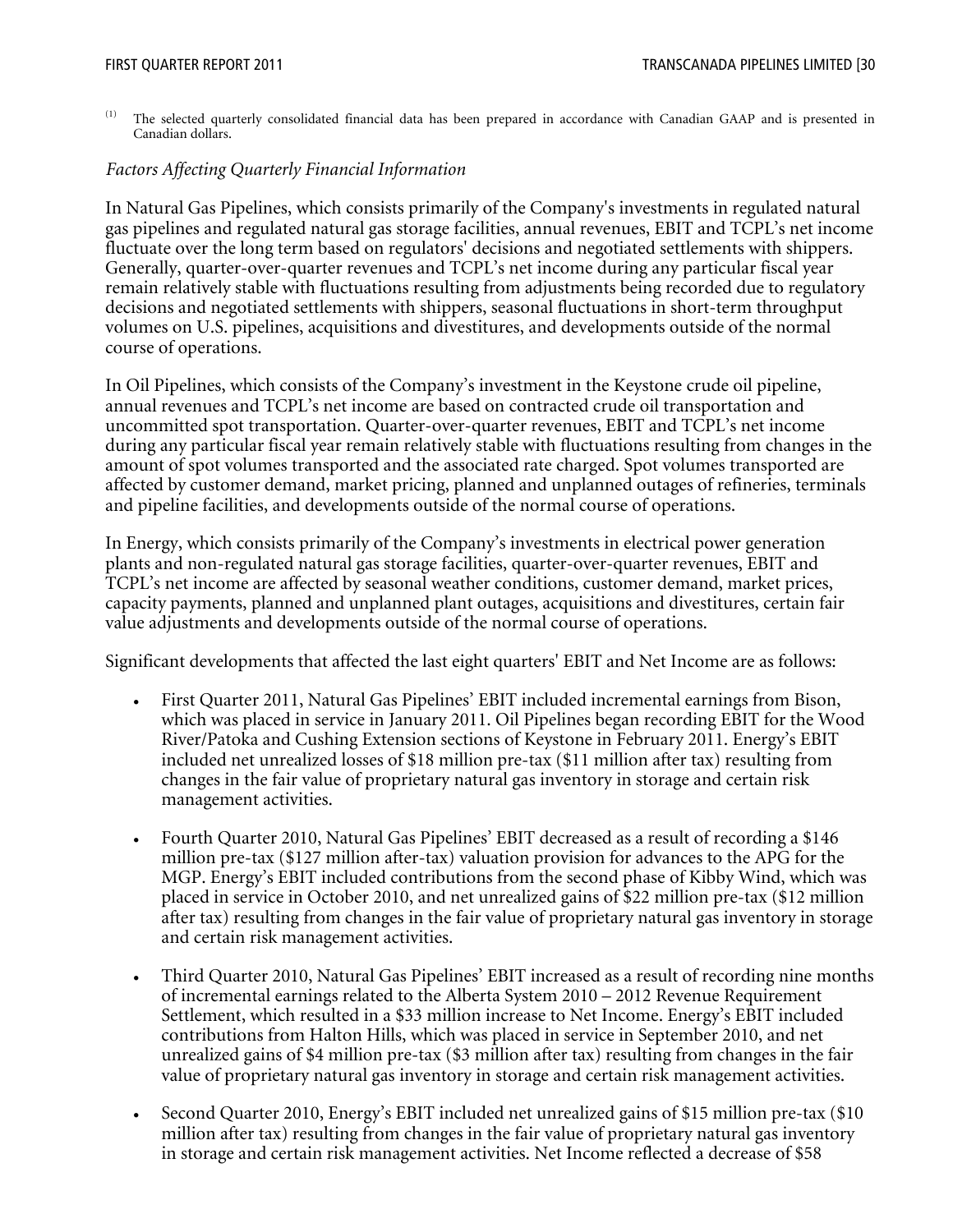$<sup>(1)</sup>$  The selected quarterly consolidated financial data has been prepared in accordance with Canadian GAAP and is presented in</sup> Canadian dollars.

#### *Factors Affecting Quarterly Financial Information*

In Natural Gas Pipelines, which consists primarily of the Company's investments in regulated natural gas pipelines and regulated natural gas storage facilities, annual revenues, EBIT and TCPL's net income fluctuate over the long term based on regulators' decisions and negotiated settlements with shippers. Generally, quarter-over-quarter revenues and TCPL's net income during any particular fiscal year remain relatively stable with fluctuations resulting from adjustments being recorded due to regulatory decisions and negotiated settlements with shippers, seasonal fluctuations in short-term throughput volumes on U.S. pipelines, acquisitions and divestitures, and developments outside of the normal course of operations.

In Oil Pipelines, which consists of the Company's investment in the Keystone crude oil pipeline, annual revenues and TCPL's net income are based on contracted crude oil transportation and uncommitted spot transportation. Quarter-over-quarter revenues, EBIT and TCPL's net income during any particular fiscal year remain relatively stable with fluctuations resulting from changes in the amount of spot volumes transported and the associated rate charged. Spot volumes transported are affected by customer demand, market pricing, planned and unplanned outages of refineries, terminals and pipeline facilities, and developments outside of the normal course of operations.

In Energy, which consists primarily of the Company's investments in electrical power generation plants and non-regulated natural gas storage facilities, quarter-over-quarter revenues, EBIT and TCPL's net income are affected by seasonal weather conditions, customer demand, market prices, capacity payments, planned and unplanned plant outages, acquisitions and divestitures, certain fair value adjustments and developments outside of the normal course of operations.

Significant developments that affected the last eight quarters' EBIT and Net Income are as follows:

- First Quarter 2011, Natural Gas Pipelines' EBIT included incremental earnings from Bison, which was placed in service in January 2011. Oil Pipelines began recording EBIT for the Wood River/Patoka and Cushing Extension sections of Keystone in February 2011. Energy's EBIT included net unrealized losses of \$18 million pre-tax (\$11 million after tax) resulting from changes in the fair value of proprietary natural gas inventory in storage and certain risk management activities.
- Fourth Quarter 2010, Natural Gas Pipelines' EBIT decreased as a result of recording a \$146 million pre-tax (\$127 million after-tax) valuation provision for advances to the APG for the MGP. Energy's EBIT included contributions from the second phase of Kibby Wind, which was placed in service in October 2010, and net unrealized gains of \$22 million pre-tax (\$12 million after tax) resulting from changes in the fair value of proprietary natural gas inventory in storage and certain risk management activities.
- Third Quarter 2010, Natural Gas Pipelines' EBIT increased as a result of recording nine months of incremental earnings related to the Alberta System 2010 – 2012 Revenue Requirement Settlement, which resulted in a \$33 million increase to Net Income. Energy's EBIT included contributions from Halton Hills, which was placed in service in September 2010, and net unrealized gains of \$4 million pre-tax (\$3 million after tax) resulting from changes in the fair value of proprietary natural gas inventory in storage and certain risk management activities.
- Second Quarter 2010, Energy's EBIT included net unrealized gains of \$15 million pre-tax (\$10 million after tax) resulting from changes in the fair value of proprietary natural gas inventory in storage and certain risk management activities. Net Income reflected a decrease of \$58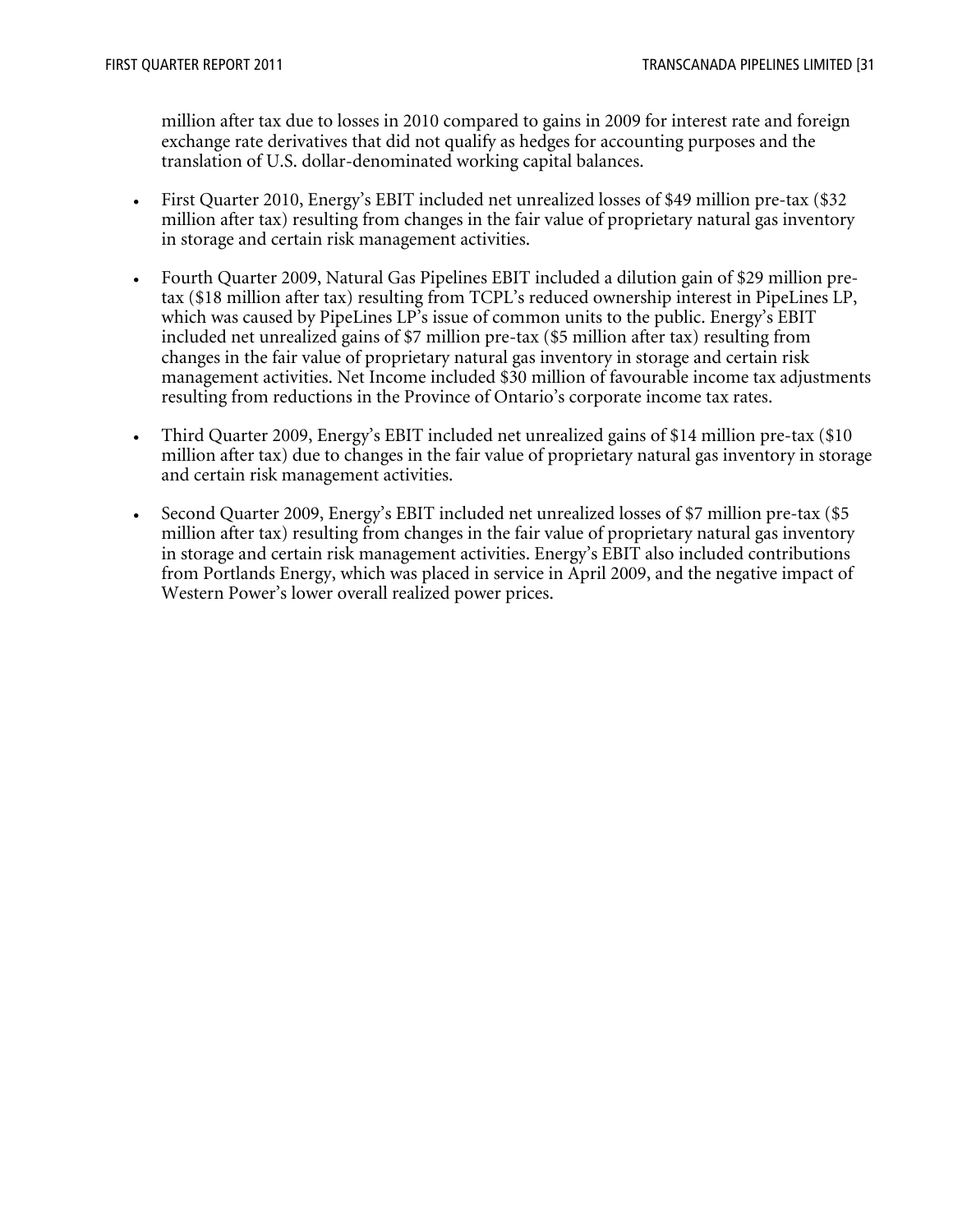million after tax due to losses in 2010 compared to gains in 2009 for interest rate and foreign exchange rate derivatives that did not qualify as hedges for accounting purposes and the translation of U.S. dollar-denominated working capital balances.

- First Quarter 2010, Energy's EBIT included net unrealized losses of \$49 million pre-tax (\$32 million after tax) resulting from changes in the fair value of proprietary natural gas inventory in storage and certain risk management activities.
- Fourth Quarter 2009, Natural Gas Pipelines EBIT included a dilution gain of \$29 million pretax (\$18 million after tax) resulting from TCPL's reduced ownership interest in PipeLines LP, which was caused by PipeLines LP's issue of common units to the public. Energy's EBIT included net unrealized gains of \$7 million pre-tax (\$5 million after tax) resulting from changes in the fair value of proprietary natural gas inventory in storage and certain risk management activities. Net Income included \$30 million of favourable income tax adjustments resulting from reductions in the Province of Ontario's corporate income tax rates.
- Third Quarter 2009, Energy's EBIT included net unrealized gains of \$14 million pre-tax (\$10) million after tax) due to changes in the fair value of proprietary natural gas inventory in storage and certain risk management activities.
- Second Quarter 2009, Energy's EBIT included net unrealized losses of \$7 million pre-tax (\$5 million after tax) resulting from changes in the fair value of proprietary natural gas inventory in storage and certain risk management activities. Energy's EBIT also included contributions from Portlands Energy, which was placed in service in April 2009, and the negative impact of Western Power's lower overall realized power prices.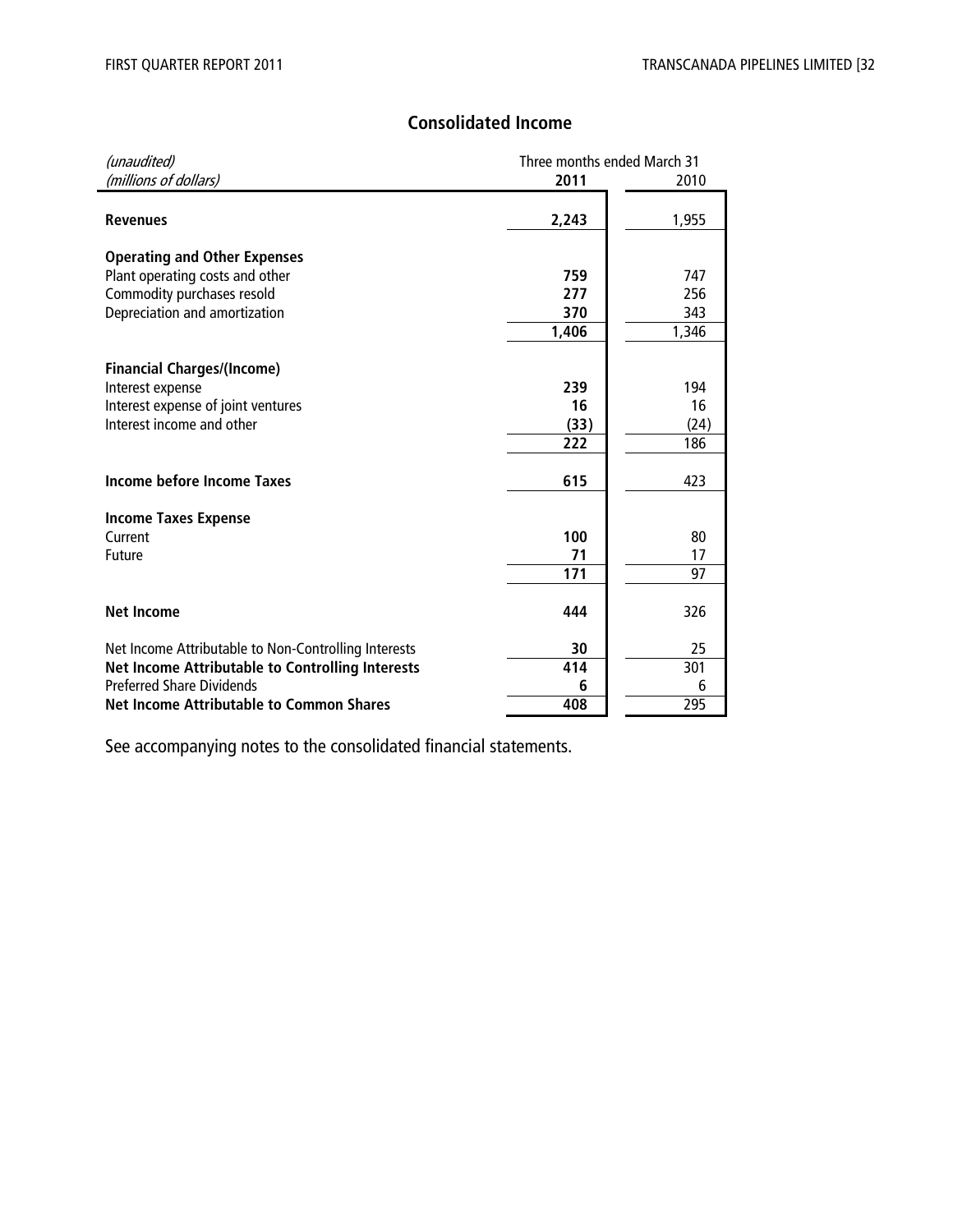# **Consolidated Income**

| (unaudited)                                                                                                                                                                                            | Three months ended March 31 |                            |  |
|--------------------------------------------------------------------------------------------------------------------------------------------------------------------------------------------------------|-----------------------------|----------------------------|--|
| (millions of dollars)                                                                                                                                                                                  | 2011                        | 2010                       |  |
| <b>Revenues</b>                                                                                                                                                                                        | 2,243                       | 1,955                      |  |
| <b>Operating and Other Expenses</b><br>Plant operating costs and other<br>Commodity purchases resold<br>Depreciation and amortization                                                                  | 759<br>277<br>370<br>1,406  | 747<br>256<br>343<br>1,346 |  |
| <b>Financial Charges/(Income)</b><br>Interest expense<br>Interest expense of joint ventures<br>Interest income and other                                                                               | 239<br>16<br>(33)<br>222    | 194<br>16<br>(24)<br>186   |  |
| Income before Income Taxes                                                                                                                                                                             | 615                         | 423                        |  |
| <b>Income Taxes Expense</b><br>Current<br><b>Future</b>                                                                                                                                                | 100<br>71<br>171            | 80<br>17<br>97             |  |
| <b>Net Income</b>                                                                                                                                                                                      | 444                         | 326                        |  |
| Net Income Attributable to Non-Controlling Interests<br><b>Net Income Attributable to Controlling Interests</b><br><b>Preferred Share Dividends</b><br><b>Net Income Attributable to Common Shares</b> | 30<br>414<br>6<br>408       | 25<br>301<br>6<br>295      |  |
|                                                                                                                                                                                                        |                             |                            |  |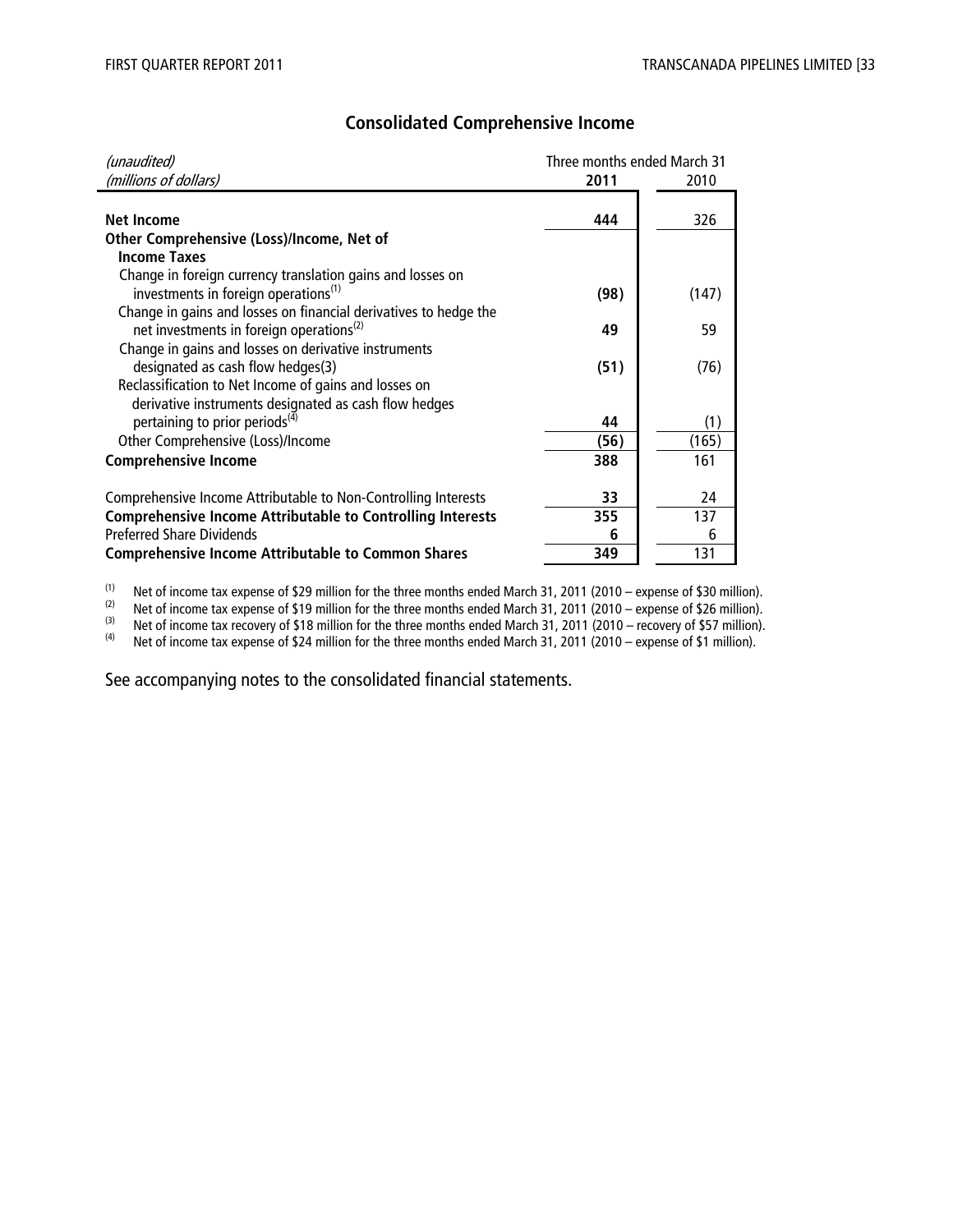| (unaudited)                                                       | Three months ended March 31 |       |
|-------------------------------------------------------------------|-----------------------------|-------|
| (millions of dollars)                                             | 2011                        | 2010  |
|                                                                   |                             |       |
| <b>Net Income</b>                                                 | 444                         | 326   |
| Other Comprehensive (Loss)/Income, Net of                         |                             |       |
| <b>Income Taxes</b>                                               |                             |       |
| Change in foreign currency translation gains and losses on        |                             |       |
| investments in foreign operations <sup>(1)</sup>                  | (98)                        | (147) |
| Change in gains and losses on financial derivatives to hedge the  |                             |       |
| net investments in foreign operations <sup>(2)</sup>              | 49                          | 59    |
| Change in gains and losses on derivative instruments              |                             |       |
| designated as cash flow hedges(3)                                 | (51)                        | (76)  |
| Reclassification to Net Income of gains and losses on             |                             |       |
| derivative instruments designated as cash flow hedges             |                             |       |
| pertaining to prior periods $\binom{4}{3}$                        | 44                          | (1)   |
| Other Comprehensive (Loss)/Income                                 | (56)                        | (165) |
| <b>Comprehensive Income</b>                                       | 388                         | 161   |
|                                                                   |                             |       |
| Comprehensive Income Attributable to Non-Controlling Interests    | 33                          | 24    |
| <b>Comprehensive Income Attributable to Controlling Interests</b> | 355                         | 137   |
| <b>Preferred Share Dividends</b>                                  | 6                           | 6     |
| <b>Comprehensive Income Attributable to Common Shares</b>         | 349                         | 131   |

# **Consolidated Comprehensive Income**

(1) Net of income tax expense of \$29 million for the three months ended March 31, 2011 (2010 – expense of \$30 million).<br>(2) Net of income tax expense of \$19 million for the three months ended March 31, 2011 (2010 – expens

(2) Net of income tax expense of \$19 million for the three months ended March 31, 2011 (2010 – expense of \$26 million).<br>(3) Net of income tax recovery of \$18 million for the three months ended March 31, 2011 (2010 – recov

 $^{(3)}$  Net of income tax recovery of \$18 million for the three months ended March 31, 2011 (2010 – recovery of \$57 million).

(4) Net of income tax expense of \$24 million for the three months ended March 31, 2011 (2010 – expense of \$1 million).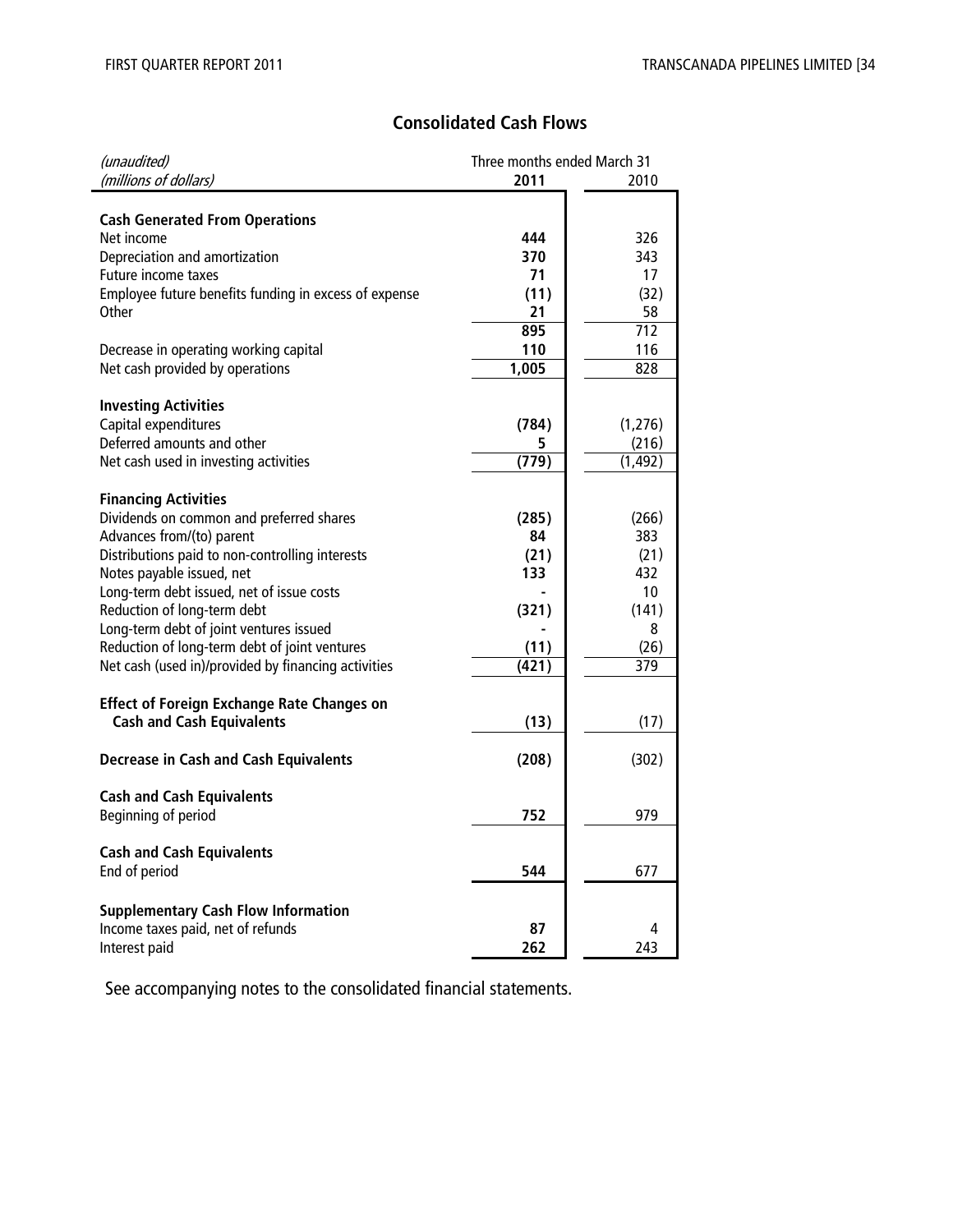# **Consolidated Cash Flows**

| (unaudited)                                           | Three months ended March 31 |          |  |
|-------------------------------------------------------|-----------------------------|----------|--|
| (millions of dollars)                                 | 2011                        | 2010     |  |
|                                                       |                             |          |  |
| <b>Cash Generated From Operations</b>                 |                             |          |  |
| Net income                                            | 444                         | 326      |  |
| Depreciation and amortization                         | 370                         | 343      |  |
| Future income taxes                                   | 71                          | 17       |  |
| Employee future benefits funding in excess of expense | (11)                        | (32)     |  |
| Other                                                 | 21                          | 58       |  |
|                                                       | 895                         | 712      |  |
| Decrease in operating working capital                 | 110                         | 116      |  |
| Net cash provided by operations                       | 1,005                       | 828      |  |
|                                                       |                             |          |  |
| <b>Investing Activities</b>                           |                             |          |  |
| Capital expenditures                                  | (784)                       | (1, 276) |  |
| Deferred amounts and other                            | 5.                          | (216)    |  |
| Net cash used in investing activities                 | (779)                       | (1, 492) |  |
|                                                       |                             |          |  |
| <b>Financing Activities</b>                           |                             |          |  |
| Dividends on common and preferred shares              | (285)                       | (266)    |  |
| Advances from/(to) parent                             | 84                          | 383      |  |
| Distributions paid to non-controlling interests       | (21)                        | (21)     |  |
| Notes payable issued, net                             | 133                         | 432      |  |
| Long-term debt issued, net of issue costs             |                             | 10       |  |
| Reduction of long-term debt                           | (321)                       | (141)    |  |
| Long-term debt of joint ventures issued               |                             | 8        |  |
| Reduction of long-term debt of joint ventures         | (11)                        | (26)     |  |
| Net cash (used in)/provided by financing activities   | (421)                       | 379      |  |
|                                                       |                             |          |  |
| <b>Effect of Foreign Exchange Rate Changes on</b>     |                             |          |  |
| <b>Cash and Cash Equivalents</b>                      | (13)                        | (17)     |  |
|                                                       |                             |          |  |
| <b>Decrease in Cash and Cash Equivalents</b>          | (208)                       | (302)    |  |
|                                                       |                             |          |  |
| <b>Cash and Cash Equivalents</b>                      |                             |          |  |
| Beginning of period                                   | 752                         | 979      |  |
|                                                       |                             |          |  |
| <b>Cash and Cash Equivalents</b>                      |                             |          |  |
| End of period                                         | 544                         | 677      |  |
|                                                       |                             |          |  |
| <b>Supplementary Cash Flow Information</b>            |                             |          |  |
| Income taxes paid, net of refunds                     | 87                          | 4        |  |
| Interest paid                                         | 262                         | 243      |  |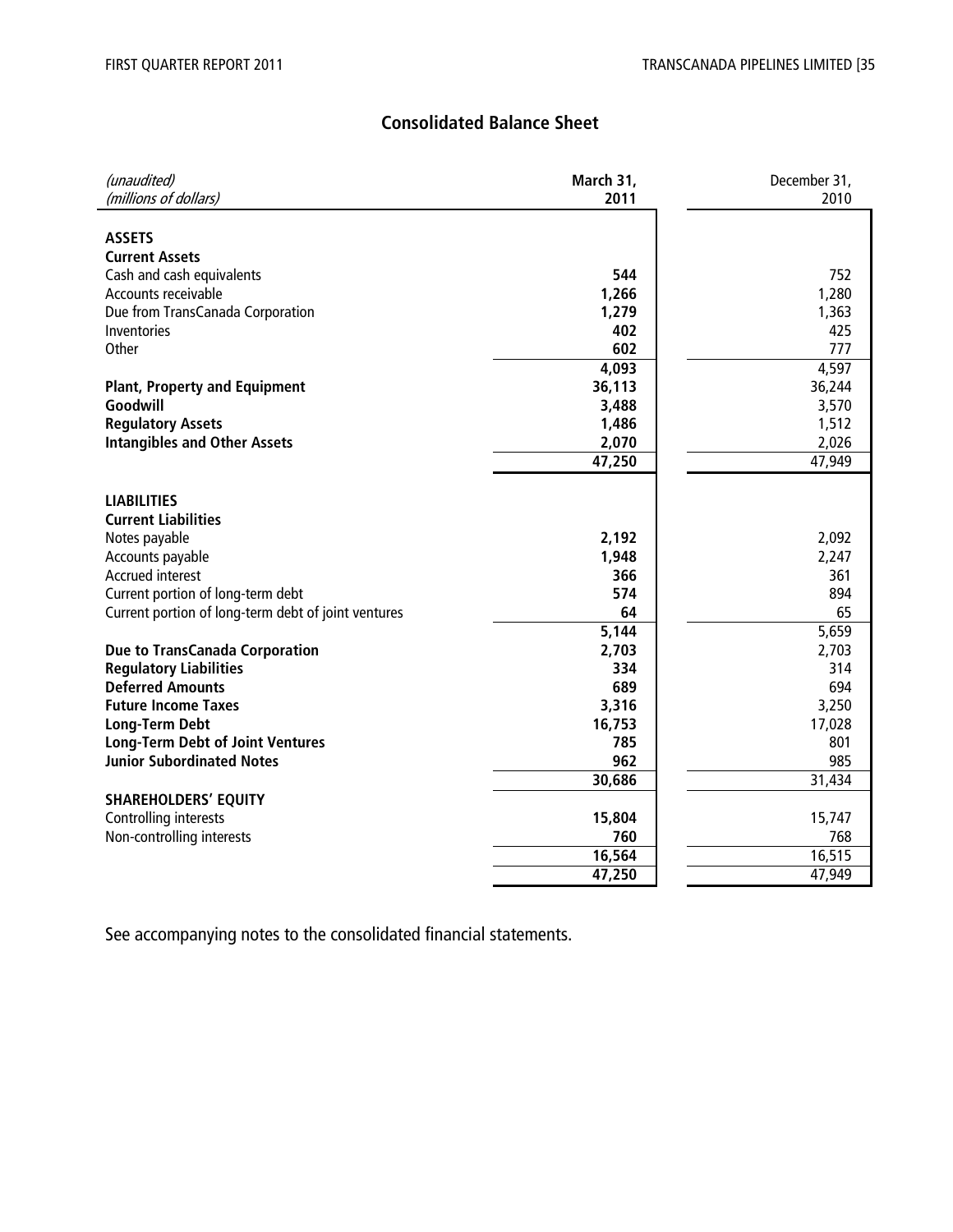# **Consolidated Balance Sheet**

| (unaudited)                                                      | March 31,     | December 31,  |
|------------------------------------------------------------------|---------------|---------------|
| (millions of dollars)                                            | 2011          | 2010          |
|                                                                  |               |               |
| <b>ASSETS</b>                                                    |               |               |
| <b>Current Assets</b>                                            |               |               |
| Cash and cash equivalents                                        | 544           | 752           |
| Accounts receivable                                              | 1,266         | 1,280         |
| Due from TransCanada Corporation                                 | 1,279         | 1,363         |
| Inventories                                                      | 402           | 425           |
| Other                                                            | 602           | 777           |
|                                                                  | 4,093         | 4,597         |
| <b>Plant, Property and Equipment</b>                             | 36,113        | 36,244        |
| Goodwill                                                         | 3,488         | 3,570         |
| <b>Regulatory Assets</b>                                         | 1,486         | 1,512         |
| <b>Intangibles and Other Assets</b>                              | 2,070         | 2,026         |
|                                                                  | 47,250        | 47,949        |
|                                                                  |               |               |
| <b>LIABILITIES</b>                                               |               |               |
| <b>Current Liabilities</b>                                       |               |               |
| Notes payable                                                    | 2,192         | 2,092         |
| Accounts payable                                                 | 1,948         | 2,247         |
| <b>Accrued interest</b>                                          | 366           | 361           |
| Current portion of long-term debt                                | 574           | 894           |
| Current portion of long-term debt of joint ventures              | 64            | 65            |
|                                                                  | 5,144         | 5,659         |
| Due to TransCanada Corporation                                   | 2,703         | 2,703         |
| <b>Regulatory Liabilities</b><br><b>Deferred Amounts</b>         | 334<br>689    | 314<br>694    |
| <b>Future Income Taxes</b>                                       | 3,316         | 3,250         |
|                                                                  |               |               |
| <b>Long-Term Debt</b><br><b>Long-Term Debt of Joint Ventures</b> | 16,753<br>785 | 17,028<br>801 |
| <b>Junior Subordinated Notes</b>                                 | 962           | 985           |
|                                                                  | 30,686        | 31,434        |
| <b>SHAREHOLDERS' EQUITY</b>                                      |               |               |
| Controlling interests                                            | 15,804        | 15,747        |
| Non-controlling interests                                        | 760           | 768           |
|                                                                  | 16,564        | 16,515        |
|                                                                  | 47,250        | 47,949        |
|                                                                  |               |               |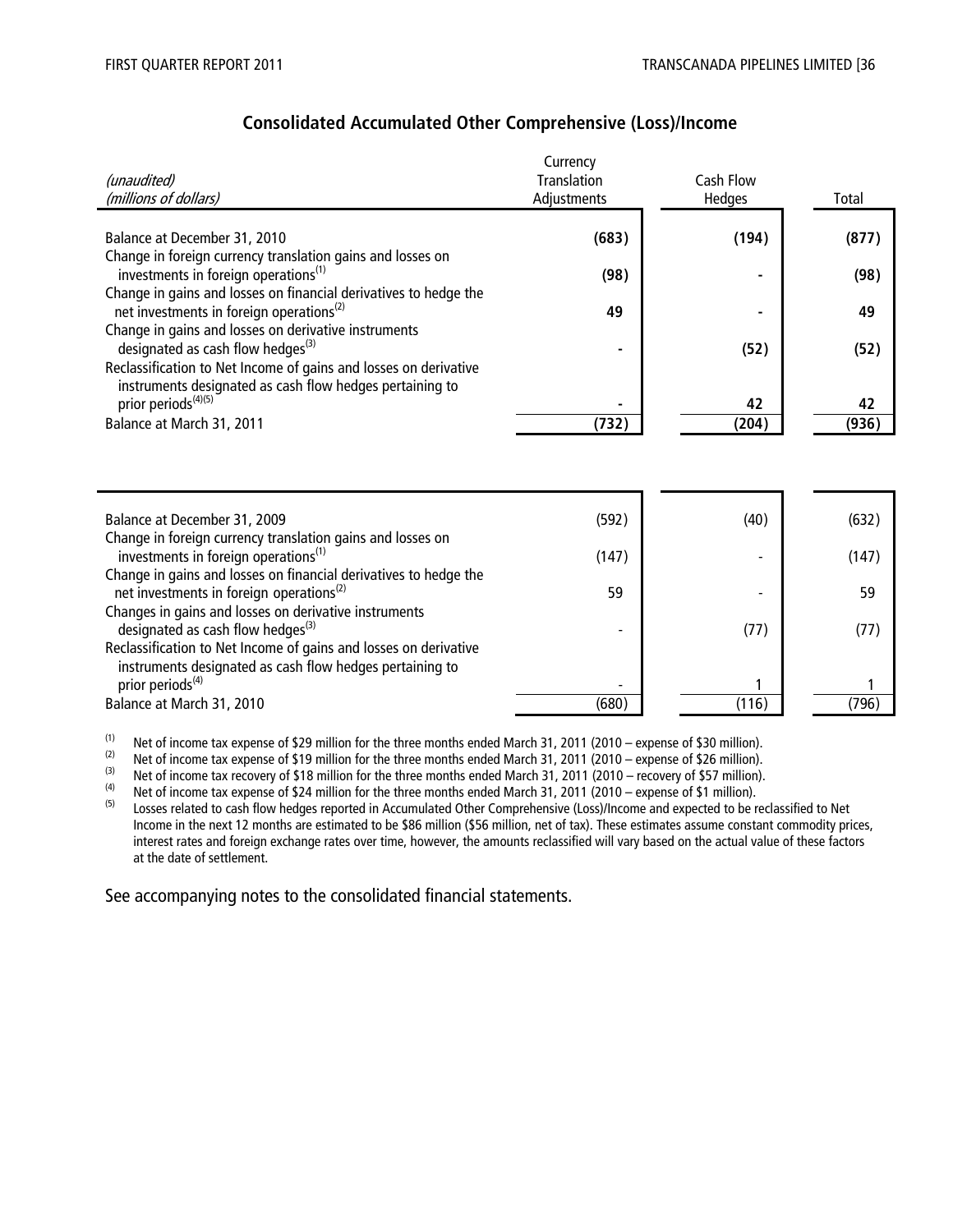# **Consolidated Accumulated Other Comprehensive (Loss)/Income**

|                                                                                                                | Currency           |                  |       |
|----------------------------------------------------------------------------------------------------------------|--------------------|------------------|-------|
| (unaudited)                                                                                                    | <b>Translation</b> | <b>Cash Flow</b> |       |
| (millions of dollars)                                                                                          | Adjustments        | Hedges           | Total |
|                                                                                                                |                    |                  |       |
| Balance at December 31, 2010                                                                                   | (683)              | (194)            | (877) |
| Change in foreign currency translation gains and losses on<br>investments in foreign operations <sup>(1)</sup> | (98)               |                  | (98)  |
| Change in gains and losses on financial derivatives to hedge the                                               |                    |                  |       |
| net investments in foreign operations <sup>(2)</sup>                                                           | 49                 |                  | 49    |
| Change in gains and losses on derivative instruments<br>designated as cash flow hedges <sup>(3)</sup>          |                    | (52)             | (52)  |
| Reclassification to Net Income of gains and losses on derivative                                               |                    |                  |       |
| instruments designated as cash flow hedges pertaining to                                                       |                    |                  |       |
| prior periods <sup>(4)(5)</sup>                                                                                |                    | 42               | 42    |
| Balance at March 31, 2011                                                                                      | (732)              | (204)            | (936) |
|                                                                                                                |                    |                  |       |
|                                                                                                                |                    |                  |       |
|                                                                                                                |                    |                  |       |
| Balance at December 31, 2009                                                                                   | (592)              | (40)             | (632) |
| Change in foreign currency translation gains and losses on                                                     |                    |                  |       |
| investments in foreign operations <sup>(1)</sup>                                                               | (147)              |                  | (147) |
| Change in gains and losses on financial derivatives to hedge the                                               |                    |                  |       |
| net investments in foreign operations <sup>(2)</sup>                                                           | 59                 |                  | 59    |
| Changes in gains and losses on derivative instruments                                                          |                    |                  |       |
| designated as cash flow hedges <sup>(3)</sup>                                                                  |                    | (77)             | (77)  |
| Reclassification to Net Income of gains and losses on derivative                                               |                    |                  |       |
| instruments designated as cash flow hedges pertaining to<br>prior periods <sup>(4)</sup>                       |                    | 1                |       |
|                                                                                                                |                    |                  |       |

Balance at March 31, 2010 (796) (680) (680) (116) (116 ) (796)

(1) Net of income tax expense of \$29 million for the three months ended March 31, 2011 (2010 – expense of \$30 million).<br>Net of income tax expense of \$19 million for the three months ended March 31, 2011 (2010 – expense of

(2) Net of income tax expense of \$19 million for the three months ended March 31, 2011 (2010 – expense of \$26 million).<br>(3) Net of income tax recovery of \$18 million for the three months ended March 31, 2011 (2010 – recov

(3) Net of income tax recovery of \$18 million for the three months ended March 31, 2011 (2010 – recovery of \$57 million).<br>(4) Net of income tax expense of \$24 million for the three months ended March 31, 2011 (2010 – expe

(4) Net of income tax expense of \$24 million for the three months ended March 31, 2011 (2010 – expense of \$1 million).<br>(5) I osses related to cash flow bedges reported in Accumulated Other Comprehensive (Loss)/Income and

Losses related to cash flow hedges reported in Accumulated Other Comprehensive (Loss)/Income and expected to be reclassified to Net Income in the next 12 months are estimated to be \$86 million (\$56 million, net of tax). These estimates assume constant commodity prices, interest rates and foreign exchange rates over time, however, the amounts reclassified will vary based on the actual value of these factors at the date of settlement.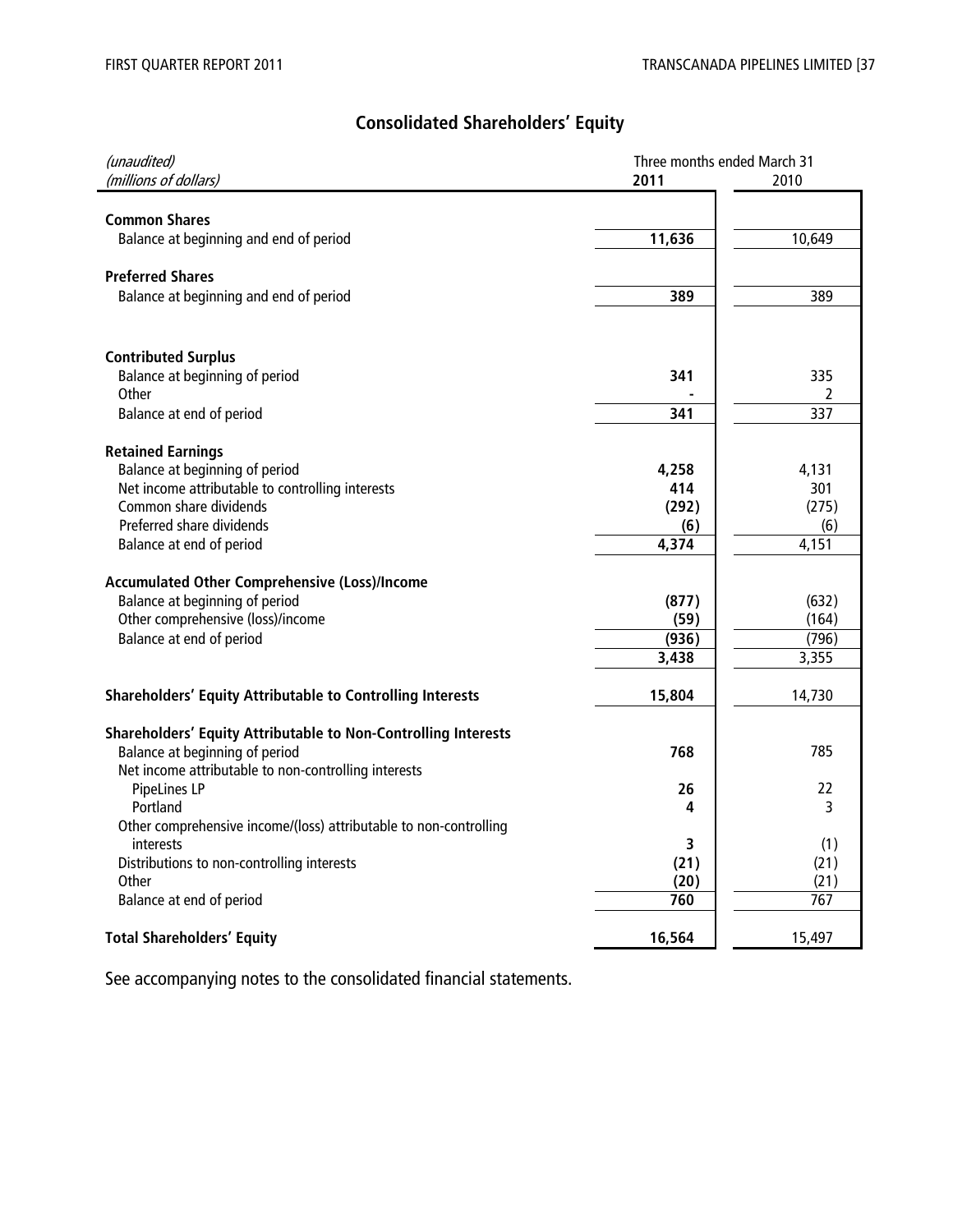# **Consolidated Shareholders' Equity**

| (unaudited)                                                       | Three months ended March 31 |                  |
|-------------------------------------------------------------------|-----------------------------|------------------|
| (millions of dollars)                                             | 2011                        | 2010             |
|                                                                   |                             |                  |
| <b>Common Shares</b>                                              |                             |                  |
| Balance at beginning and end of period                            | 11,636                      | 10,649           |
|                                                                   |                             |                  |
| <b>Preferred Shares</b>                                           |                             |                  |
| Balance at beginning and end of period                            | 389                         | 389              |
|                                                                   |                             |                  |
|                                                                   |                             |                  |
| <b>Contributed Surplus</b>                                        |                             |                  |
| Balance at beginning of period                                    | 341                         | 335              |
| Other                                                             |                             | $\mathcal{P}$    |
| Balance at end of period                                          | 341                         | $\overline{337}$ |
|                                                                   |                             |                  |
| <b>Retained Earnings</b>                                          |                             |                  |
| Balance at beginning of period                                    | 4,258                       | 4,131            |
| Net income attributable to controlling interests                  | 414                         | 301              |
| Common share dividends                                            | (292)                       | (275)            |
| Preferred share dividends                                         | (6)                         | (6)              |
| Balance at end of period                                          | 4,374                       | 4,151            |
|                                                                   |                             |                  |
| Accumulated Other Comprehensive (Loss)/Income                     |                             |                  |
| Balance at beginning of period                                    | (877)                       | (632)            |
| Other comprehensive (loss)/income                                 | (59)                        | (164)            |
| Balance at end of period                                          | (936)                       | (796)            |
|                                                                   | 3,438                       | 3,355            |
|                                                                   |                             |                  |
| <b>Shareholders' Equity Attributable to Controlling Interests</b> | 15,804                      | 14,730           |
|                                                                   |                             |                  |
| Shareholders' Equity Attributable to Non-Controlling Interests    |                             |                  |
| Balance at beginning of period                                    | 768                         | 785              |
| Net income attributable to non-controlling interests              |                             |                  |
| PipeLines LP                                                      | 26                          | 22               |
| Portland                                                          | 4                           | 3                |
| Other comprehensive income/(loss) attributable to non-controlling |                             |                  |
| interests                                                         | 3                           | (1)              |
| Distributions to non-controlling interests                        | (21)                        | (21)             |
| Other                                                             | (20)                        | (21)             |
| Balance at end of period                                          | 760                         | 767              |
|                                                                   |                             |                  |
| <b>Total Shareholders' Equity</b>                                 | 16,564                      | 15,497           |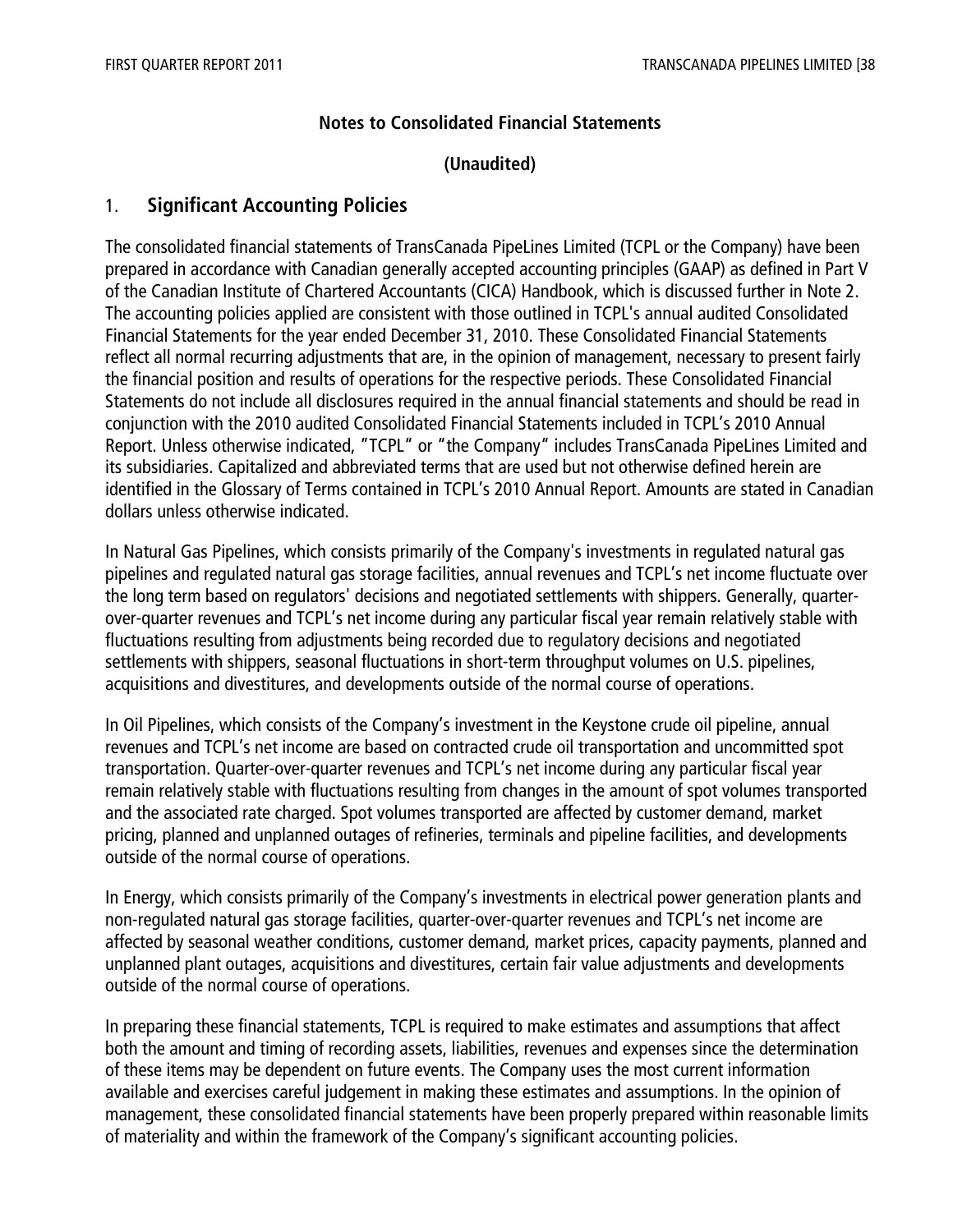#### **Notes to Consolidated Financial Statements**

#### **(Unaudited)**

### 1. **Significant Accounting Policies**

The consolidated financial statements of TransCanada PipeLines Limited (TCPL or the Company) have been prepared in accordance with Canadian generally accepted accounting principles (GAAP) as defined in Part V of the Canadian Institute of Chartered Accountants (CICA) Handbook, which is discussed further in Note 2. The accounting policies applied are consistent with those outlined in TCPL's annual audited Consolidated Financial Statements for the year ended December 31, 2010. These Consolidated Financial Statements reflect all normal recurring adjustments that are, in the opinion of management, necessary to present fairly the financial position and results of operations for the respective periods. These Consolidated Financial Statements do not include all disclosures required in the annual financial statements and should be read in conjunction with the 2010 audited Consolidated Financial Statements included in TCPL's 2010 Annual Report. Unless otherwise indicated, "TCPL" or "the Company" includes TransCanada PipeLines Limited and its subsidiaries. Capitalized and abbreviated terms that are used but not otherwise defined herein are identified in the Glossary of Terms contained in TCPL's 2010 Annual Report. Amounts are stated in Canadian dollars unless otherwise indicated.

In Natural Gas Pipelines, which consists primarily of the Company's investments in regulated natural gas pipelines and regulated natural gas storage facilities, annual revenues and TCPL's net income fluctuate over the long term based on regulators' decisions and negotiated settlements with shippers. Generally, quarterover-quarter revenues and TCPL's net income during any particular fiscal year remain relatively stable with fluctuations resulting from adjustments being recorded due to regulatory decisions and negotiated settlements with shippers, seasonal fluctuations in short-term throughput volumes on U.S. pipelines, acquisitions and divestitures, and developments outside of the normal course of operations.

In Oil Pipelines, which consists of the Company's investment in the Keystone crude oil pipeline, annual revenues and TCPL's net income are based on contracted crude oil transportation and uncommitted spot transportation. Quarter-over-quarter revenues and TCPL's net income during any particular fiscal year remain relatively stable with fluctuations resulting from changes in the amount of spot volumes transported and the associated rate charged. Spot volumes transported are affected by customer demand, market pricing, planned and unplanned outages of refineries, terminals and pipeline facilities, and developments outside of the normal course of operations.

In Energy, which consists primarily of the Company's investments in electrical power generation plants and non-regulated natural gas storage facilities, quarter-over-quarter revenues and TCPL's net income are affected by seasonal weather conditions, customer demand, market prices, capacity payments, planned and unplanned plant outages, acquisitions and divestitures, certain fair value adjustments and developments outside of the normal course of operations.

In preparing these financial statements, TCPL is required to make estimates and assumptions that affect both the amount and timing of recording assets, liabilities, revenues and expenses since the determination of these items may be dependent on future events. The Company uses the most current information available and exercises careful judgement in making these estimates and assumptions. In the opinion of management, these consolidated financial statements have been properly prepared within reasonable limits of materiality and within the framework of the Company's significant accounting policies.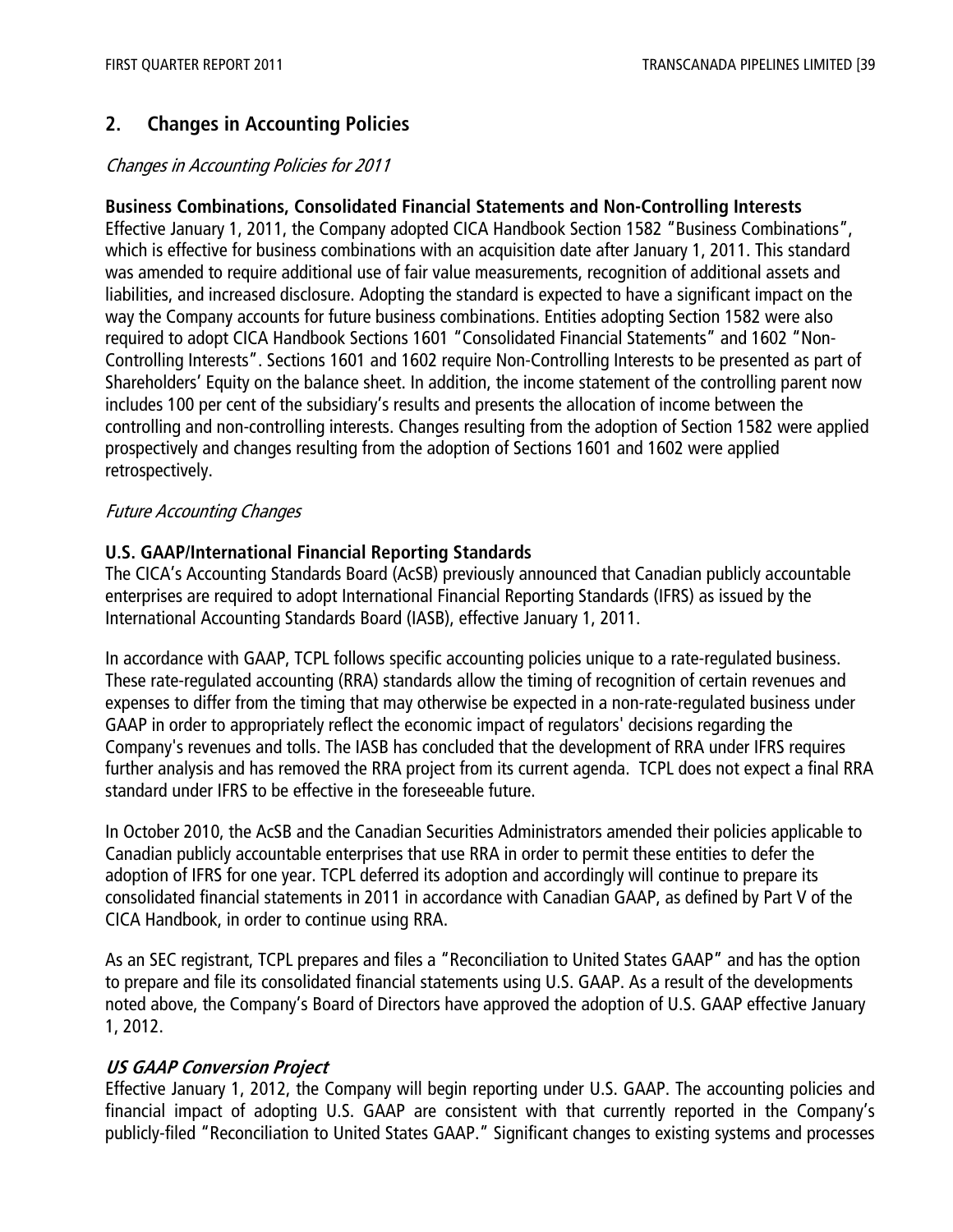# **2. Changes in Accounting Policies**

#### Changes in Accounting Policies for 2011

#### **Business Combinations, Consolidated Financial Statements and Non-Controlling Interests**

Effective January 1, 2011, the Company adopted CICA Handbook Section 1582 "Business Combinations", which is effective for business combinations with an acquisition date after January 1, 2011. This standard was amended to require additional use of fair value measurements, recognition of additional assets and liabilities, and increased disclosure. Adopting the standard is expected to have a significant impact on the way the Company accounts for future business combinations. Entities adopting Section 1582 were also required to adopt CICA Handbook Sections 1601 "Consolidated Financial Statements" and 1602 "Non-Controlling Interests". Sections 1601 and 1602 require Non-Controlling Interests to be presented as part of Shareholders' Equity on the balance sheet. In addition, the income statement of the controlling parent now includes 100 per cent of the subsidiary's results and presents the allocation of income between the controlling and non-controlling interests. Changes resulting from the adoption of Section 1582 were applied prospectively and changes resulting from the adoption of Sections 1601 and 1602 were applied retrospectively.

### Future Accounting Changes

### **U.S. GAAP/International Financial Reporting Standards**

The CICA's Accounting Standards Board (AcSB) previously announced that Canadian publicly accountable enterprises are required to adopt International Financial Reporting Standards (IFRS) as issued by the International Accounting Standards Board (IASB), effective January 1, 2011.

In accordance with GAAP, TCPL follows specific accounting policies unique to a rate-regulated business. These rate-regulated accounting (RRA) standards allow the timing of recognition of certain revenues and expenses to differ from the timing that may otherwise be expected in a non-rate-regulated business under GAAP in order to appropriately reflect the economic impact of regulators' decisions regarding the Company's revenues and tolls. The IASB has concluded that the development of RRA under IFRS requires further analysis and has removed the RRA project from its current agenda. TCPL does not expect a final RRA standard under IFRS to be effective in the foreseeable future.

In October 2010, the AcSB and the Canadian Securities Administrators amended their policies applicable to Canadian publicly accountable enterprises that use RRA in order to permit these entities to defer the adoption of IFRS for one year. TCPL deferred its adoption and accordingly will continue to prepare its consolidated financial statements in 2011 in accordance with Canadian GAAP, as defined by Part V of the CICA Handbook, in order to continue using RRA.

As an SEC registrant, TCPL prepares and files a "Reconciliation to United States GAAP" and has the option to prepare and file its consolidated financial statements using U.S. GAAP. As a result of the developments noted above, the Company's Board of Directors have approved the adoption of U.S. GAAP effective January 1, 2012.

# **US GAAP Conversion Project**

Effective January 1, 2012, the Company will begin reporting under U.S. GAAP. The accounting policies and financial impact of adopting U.S. GAAP are consistent with that currently reported in the Company's publicly-filed "Reconciliation to United States GAAP." Significant changes to existing systems and processes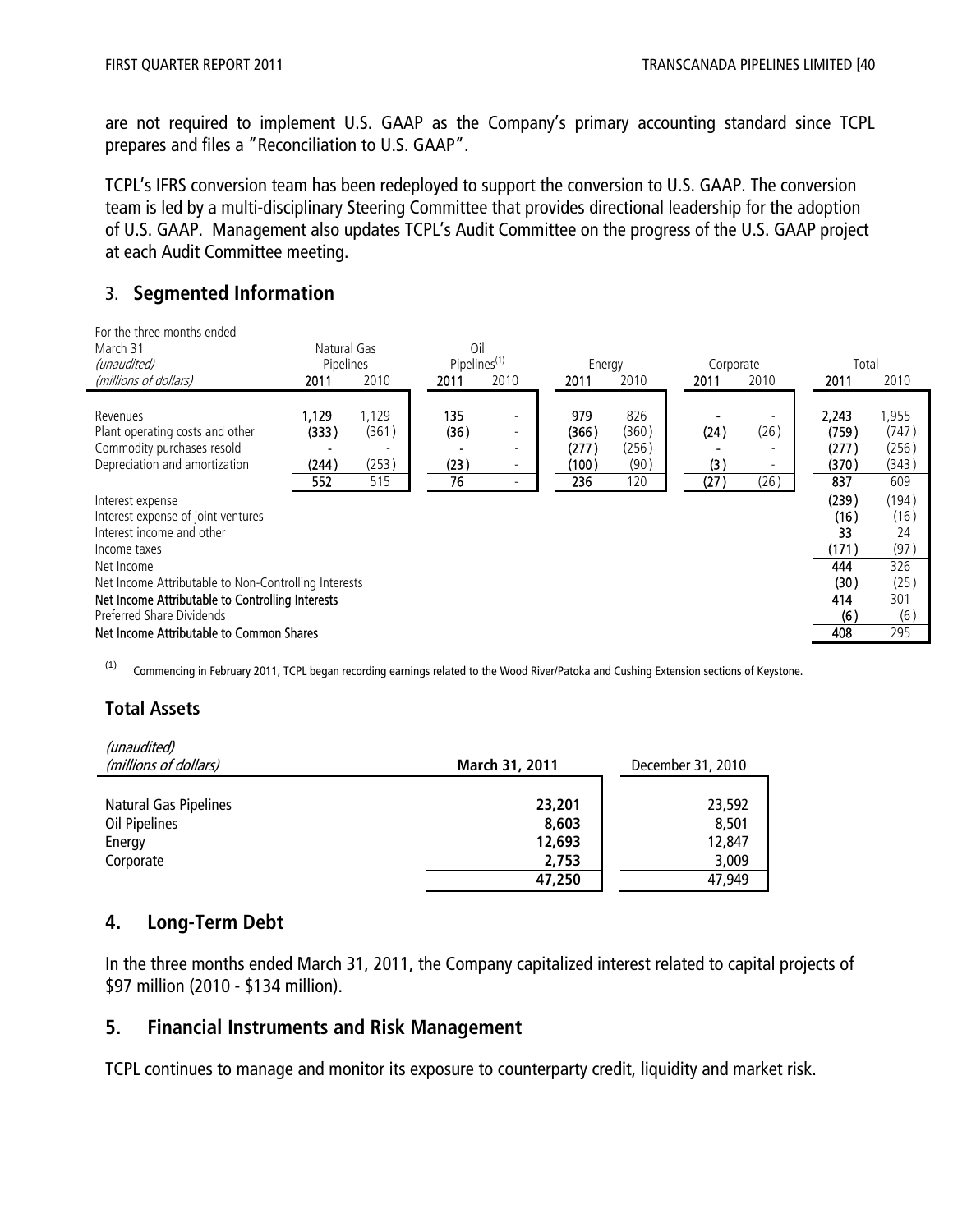are not required to implement U.S. GAAP as the Company's primary accounting standard since TCPL prepares and files a "Reconciliation to U.S. GAAP".

TCPL's IFRS conversion team has been redeployed to support the conversion to U.S. GAAP. The conversion team is led by a multi-disciplinary Steering Committee that provides directional leadership for the adoption of U.S. GAAP. Management also updates TCPL's Audit Committee on the progress of the U.S. GAAP project at each Audit Committee meeting.

# 3. **Segmented Information**

| For the three months ended<br>March 31<br>(unaudited)<br>(millions of dollars)                                                                                                                  | Natural Gas<br>Pipelines<br>2011 | 2010                           | Oil<br>Pipelines <sup>(1)</sup><br>2011 | 2010                                    | Energy<br>2011                        | 2010                                 | Corporate<br>2011   | 2010                   | Total<br>2011                           | 2010                                    |
|-------------------------------------------------------------------------------------------------------------------------------------------------------------------------------------------------|----------------------------------|--------------------------------|-----------------------------------------|-----------------------------------------|---------------------------------------|--------------------------------------|---------------------|------------------------|-----------------------------------------|-----------------------------------------|
| Revenues<br>Plant operating costs and other<br>Commodity purchases resold<br>Depreciation and amortization                                                                                      | 1,129<br>(333)<br>(244)<br>552   | 1,129<br>(361)<br>(253)<br>515 | 135<br>(36)<br>(23)<br>76               | ٠<br>۰<br>$\overline{\phantom{a}}$<br>٠ | 979<br>(366)<br>(277)<br>(100)<br>236 | 826<br>(360)<br>(256)<br>(90)<br>120 | (24)<br>(3)<br>(27) | (26)<br>$\sim$<br>(26) | 2.243<br>(759)<br>(277)<br>(370)<br>837 | 1,955<br>(747)<br>(256)<br>(343)<br>609 |
| Interest expense<br>Interest expense of joint ventures<br>Interest income and other<br>Income taxes                                                                                             |                                  |                                |                                         |                                         |                                       |                                      |                     |                        | (239)<br>(16)<br>33<br>(171)            | (194)<br>(16)<br>24<br>(97              |
| Net Income<br>Net Income Attributable to Non-Controlling Interests<br>Net Income Attributable to Controlling Interests<br>Preferred Share Dividends<br>Net Income Attributable to Common Shares |                                  |                                |                                         |                                         |                                       |                                      |                     |                        | 444<br>(30)<br>414<br>(6)<br>408        | 326<br>(25)<br>301<br>(6)<br>295        |

(1) Commencing in February 2011, TCPL began recording earnings related to the Wood River/Patoka and Cushing Extension sections of Keystone.

# **Total Assets**

 $(u_1, u_2, u_3, u_4, u_5, u_6, u_7, u_8, u_9, u_1, u_2, u_3, u_1, u_2, u_3, u_1, u_2, u_3, u_4, u_5, u_7, u_8, u_9, u_1, u_2, u_3, u_4, u_7, u_8, u_9, u_1, u_2, u_3, u_4, u_7, u_8, u_9, u_1, u_2, u_3, u_4, u_7, u_8, u_9, u_1, u_2, u_3, u_4, u_7, u_8, u_9, u_1, u_2, u_3, u_1,$ 

| <i>unauuneu/</i><br>(millions of dollars) | March 31, 2011 | December 31, 2010 |  |
|-------------------------------------------|----------------|-------------------|--|
| <b>Natural Gas Pipelines</b>              | 23,201         | 23,592            |  |
| Oil Pipelines                             | 8,603          | 8.501             |  |
| Energy                                    | 12,693         | 12,847            |  |
| Corporate                                 | 2,753          | 3.009             |  |
|                                           | 47,250         | 47.949            |  |

# **4. Long-Term Debt**

In the three months ended March 31, 2011, the Company capitalized interest related to capital projects of \$97 million (2010 - \$134 million).

#### **5. Financial Instruments and Risk Management**

TCPL continues to manage and monitor its exposure to counterparty credit, liquidity and market risk.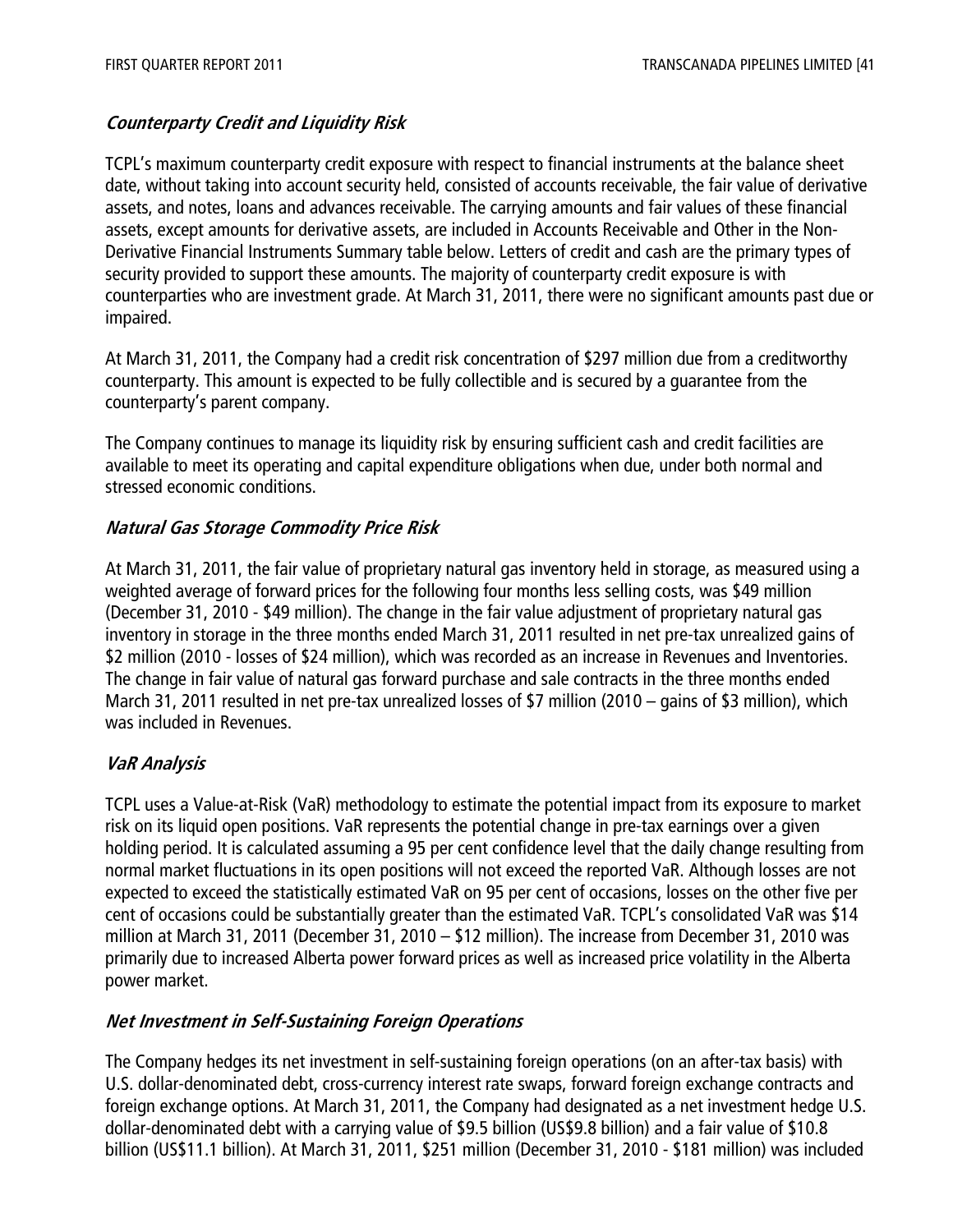# **Counterparty Credit and Liquidity Risk**

TCPL's maximum counterparty credit exposure with respect to financial instruments at the balance sheet date, without taking into account security held, consisted of accounts receivable, the fair value of derivative assets, and notes, loans and advances receivable. The carrying amounts and fair values of these financial assets, except amounts for derivative assets, are included in Accounts Receivable and Other in the Non-Derivative Financial Instruments Summary table below. Letters of credit and cash are the primary types of security provided to support these amounts. The majority of counterparty credit exposure is with counterparties who are investment grade. At March 31, 2011, there were no significant amounts past due or impaired.

At March 31, 2011, the Company had a credit risk concentration of \$297 million due from a creditworthy counterparty. This amount is expected to be fully collectible and is secured by a guarantee from the counterparty's parent company.

The Company continues to manage its liquidity risk by ensuring sufficient cash and credit facilities are available to meet its operating and capital expenditure obligations when due, under both normal and stressed economic conditions.

#### **Natural Gas Storage Commodity Price Risk**

At March 31, 2011, the fair value of proprietary natural gas inventory held in storage, as measured using a weighted average of forward prices for the following four months less selling costs, was \$49 million (December 31, 2010 - \$49 million). The change in the fair value adjustment of proprietary natural gas inventory in storage in the three months ended March 31, 2011 resulted in net pre-tax unrealized gains of \$2 million (2010 - losses of \$24 million), which was recorded as an increase in Revenues and Inventories. The change in fair value of natural gas forward purchase and sale contracts in the three months ended March 31, 2011 resulted in net pre-tax unrealized losses of \$7 million (2010 – gains of \$3 million), which was included in Revenues.

# **VaR Analysis**

TCPL uses a Value-at-Risk (VaR) methodology to estimate the potential impact from its exposure to market risk on its liquid open positions. VaR represents the potential change in pre-tax earnings over a given holding period. It is calculated assuming a 95 per cent confidence level that the daily change resulting from normal market fluctuations in its open positions will not exceed the reported VaR. Although losses are not expected to exceed the statistically estimated VaR on 95 per cent of occasions, losses on the other five per cent of occasions could be substantially greater than the estimated VaR. TCPL's consolidated VaR was \$14 million at March 31, 2011 (December 31, 2010 – \$12 million). The increase from December 31, 2010 was primarily due to increased Alberta power forward prices as well as increased price volatility in the Alberta power market.

#### **Net Investment in Self-Sustaining Foreign Operations**

The Company hedges its net investment in self-sustaining foreign operations (on an after-tax basis) with U.S. dollar-denominated debt, cross-currency interest rate swaps, forward foreign exchange contracts and foreign exchange options. At March 31, 2011, the Company had designated as a net investment hedge U.S. dollar-denominated debt with a carrying value of \$9.5 billion (US\$9.8 billion) and a fair value of \$10.8 billion (US\$11.1 billion). At March 31, 2011, \$251 million (December 31, 2010 - \$181 million) was included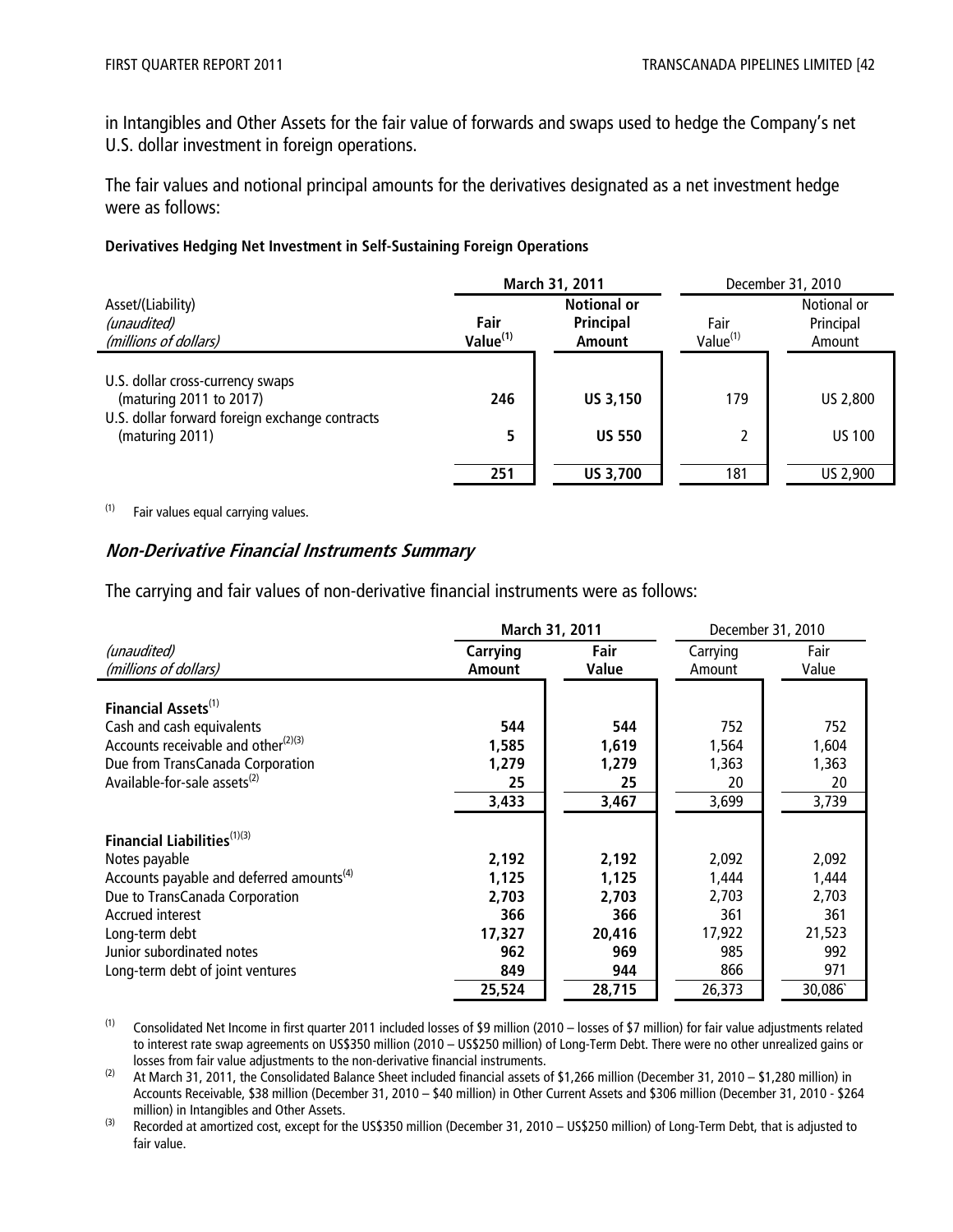in Intangibles and Other Assets for the fair value of forwards and swaps used to hedge the Company's net U.S. dollar investment in foreign operations.

The fair values and notional principal amounts for the derivatives designated as a net investment hedge were as follows:

#### **Derivatives Hedging Net Investment in Self-Sustaining Foreign Operations**

|                                                                                                               | March 31, 2011               |                                           | December 31, 2010            |                                    |
|---------------------------------------------------------------------------------------------------------------|------------------------------|-------------------------------------------|------------------------------|------------------------------------|
| Asset/(Liability)<br>(unaudited)<br>(millions of dollars)                                                     | Fair<br>Value <sup>(1)</sup> | <b>Notional or</b><br>Principal<br>Amount | Fair<br>Value <sup>(1)</sup> | Notional or<br>Principal<br>Amount |
| U.S. dollar cross-currency swaps<br>(maturing 2011 to 2017)<br>U.S. dollar forward foreign exchange contracts | 246                          | <b>US 3,150</b>                           | 179                          | US 2,800                           |
| (maturing 2011)                                                                                               | 5                            | <b>US 550</b>                             | 2                            | <b>US 100</b>                      |
|                                                                                                               | 251                          | <b>US 3,700</b>                           | 181                          | US 2,900                           |

 $(1)$  Fair values equal carrying values.

#### **Non-Derivative Financial Instruments Summary**

The carrying and fair values of non-derivative financial instruments were as follows:

|                                                      | March 31, 2011 | December 31, 2010 |          |        |
|------------------------------------------------------|----------------|-------------------|----------|--------|
| (unaudited)                                          | Carrying       | Fair              | Carrying | Fair   |
| (millions of dollars)                                | <b>Amount</b>  | Value             | Amount   | Value  |
|                                                      |                |                   |          |        |
| Financial Assets <sup>(1)</sup>                      |                |                   |          |        |
| Cash and cash equivalents                            | 544            | 544               | 752      | 752    |
| Accounts receivable and other $(2)(3)$               | 1,585          | 1,619             | 1,564    | 1,604  |
| Due from TransCanada Corporation                     | 1,279          | 1,279             | 1,363    | 1,363  |
| Available-for-sale assets <sup>(2)</sup>             | 25             | 25                | 20       | 20     |
|                                                      | 3,433          | 3,467             | 3,699    | 3,739  |
|                                                      |                |                   |          |        |
| Financial Liabilities <sup>(1)(3)</sup>              |                |                   |          |        |
| Notes payable                                        | 2,192          | 2,192             | 2,092    | 2,092  |
| Accounts payable and deferred amounts <sup>(4)</sup> | 1,125          | 1,125             | 1,444    | 1,444  |
| Due to TransCanada Corporation                       | 2,703          | 2,703             | 2,703    | 2,703  |
| Accrued interest                                     | 366            | 366               | 361      | 361    |
| Long-term debt                                       | 17,327         | 20,416            | 17,922   | 21,523 |
| Junior subordinated notes                            | 962            | 969               | 985      | 992    |
| Long-term debt of joint ventures                     | 849            | 944               | 866      | 971    |
|                                                      | 25,524         | 28,715            | 26,373   | 30,086 |

(1) Consolidated Net Income in first quarter 2011 included losses of \$9 million (2010 – losses of \$7 million) for fair value adjustments related to interest rate swap agreements on US\$350 million (2010 – US\$250 million) of Long-Term Debt. There were no other unrealized gains or losses from fair value adjustments to the non-derivative financial instruments.

(2) At March 31, 2011, the Consolidated Balance Sheet included financial assets of \$1,266 million (December 31, 2010 – \$1,280 million) in Accounts Receivable, \$38 million (December 31, 2010 – \$40 million) in Other Current Assets and \$306 million (December 31, 2010 - \$264 million) in Intangibles and Other Assets.

<sup>(3)</sup> Recorded at amortized cost, except for the US\$350 million (December 31, 2010 – US\$250 million) of Long-Term Debt, that is adjusted to fair value.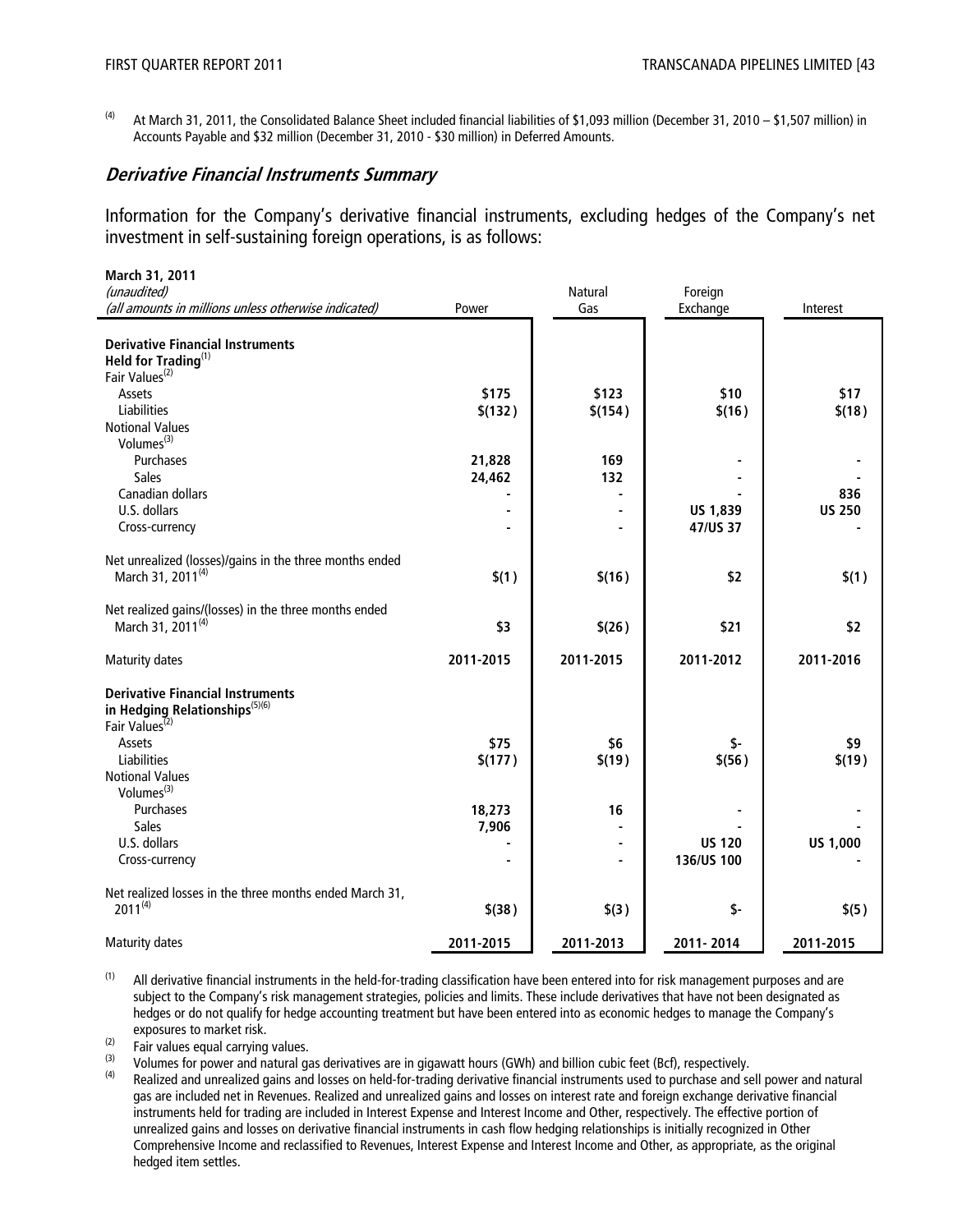<sup>(4)</sup> At March 31, 2011, the Consolidated Balance Sheet included financial liabilities of \$1,093 million (December 31, 2010 – \$1,507 million) in Accounts Payable and \$32 million (December 31, 2010 - \$30 million) in Deferred Amounts.

#### **Derivative Financial Instruments Summary**

Information for the Company's derivative financial instruments, excluding hedges of the Company's net investment in self-sustaining foreign operations, is as follows:

| March 31, 2011                                                      |           |                |                     |               |
|---------------------------------------------------------------------|-----------|----------------|---------------------|---------------|
| (unaudited)<br>(all amounts in millions unless otherwise indicated) | Power     | Natural<br>Gas | Foreign<br>Exchange | Interest      |
|                                                                     |           |                |                     |               |
| <b>Derivative Financial Instruments</b>                             |           |                |                     |               |
| Held for Trading <sup>(1)</sup>                                     |           |                |                     |               |
| Fair Values <sup>(2)</sup>                                          |           |                |                     |               |
| <b>Assets</b>                                                       | \$175     | \$123          | \$10                | \$17          |
| Liabilities                                                         | \$(132)   | \$(154)        | \$(16)              | \$(18)        |
| <b>Notional Values</b>                                              |           |                |                     |               |
| Volumes $(3)$                                                       |           |                |                     |               |
| Purchases                                                           | 21,828    | 169            |                     |               |
| <b>Sales</b>                                                        | 24,462    | 132            |                     |               |
| Canadian dollars                                                    |           |                |                     | 836           |
| U.S. dollars                                                        |           |                | <b>US 1,839</b>     | <b>US 250</b> |
| Cross-currency                                                      |           | $\blacksquare$ | 47/US 37            |               |
|                                                                     |           |                |                     |               |
| Net unrealized (losses)/gains in the three months ended             |           |                |                     |               |
| March 31, 2011 <sup>(4)</sup>                                       | \$(1)     | \$(16)         | \$2                 | \$(1)         |
|                                                                     |           |                |                     |               |
| Net realized gains/(losses) in the three months ended               |           |                |                     |               |
| March 31, 2011 <sup>(4)</sup>                                       | \$3       | \$(26)         | \$21                | \$2           |
|                                                                     |           |                |                     |               |
| <b>Maturity dates</b>                                               | 2011-2015 | 2011-2015      | 2011-2012           | 2011-2016     |
| <b>Derivative Financial Instruments</b>                             |           |                |                     |               |
| in Hedging Relationships <sup>(5)(6)</sup>                          |           |                |                     |               |
| Fair Values <sup>(2)</sup>                                          |           |                |                     |               |
| Assets                                                              | \$75      | \$6            | \$-                 | \$9           |
| Liabilities                                                         | \$(177)   | \$(19)         | \$(56)              | \$(19)        |
| <b>Notional Values</b>                                              |           |                |                     |               |
| Volumes <sup>(3)</sup>                                              |           |                |                     |               |
| Purchases                                                           | 18,273    | 16             |                     |               |
| <b>Sales</b>                                                        | 7,906     |                |                     |               |
| U.S. dollars                                                        |           |                | <b>US 120</b>       | US 1,000      |
| Cross-currency                                                      |           | $\blacksquare$ | 136/US 100          |               |
|                                                                     |           |                |                     |               |
| Net realized losses in the three months ended March 31,             |           |                |                     |               |
| $2011^{(4)}$                                                        | \$(38)    | \$(3)          | \$-                 | \$(5)         |
|                                                                     |           |                |                     |               |
| <b>Maturity dates</b>                                               | 2011-2015 | 2011-2013      | 2011-2014           | 2011-2015     |

<sup>(1)</sup> All derivative financial instruments in the held-for-trading classification have been entered into for risk management purposes and are subject to the Company's risk management strategies, policies and limits. These include derivatives that have not been designated as hedges or do not qualify for hedge accounting treatment but have been entered into as economic hedges to manage the Company's exposures to market risk.

 $\begin{bmatrix} (2) \end{bmatrix}$  Fair values equal carrying values.

(3) Volumes for power and natural gas derivatives are in gigawatt hours (GWh) and billion cubic feet (Bcf), respectively.

Realized and unrealized gains and losses on held-for-trading derivative financial instruments used to purchase and sell power and natural gas are included net in Revenues. Realized and unrealized gains and losses on interest rate and foreign exchange derivative financial instruments held for trading are included in Interest Expense and Interest Income and Other, respectively. The effective portion of unrealized gains and losses on derivative financial instruments in cash flow hedging relationships is initially recognized in Other Comprehensive Income and reclassified to Revenues, Interest Expense and Interest Income and Other, as appropriate, as the original hedged item settles.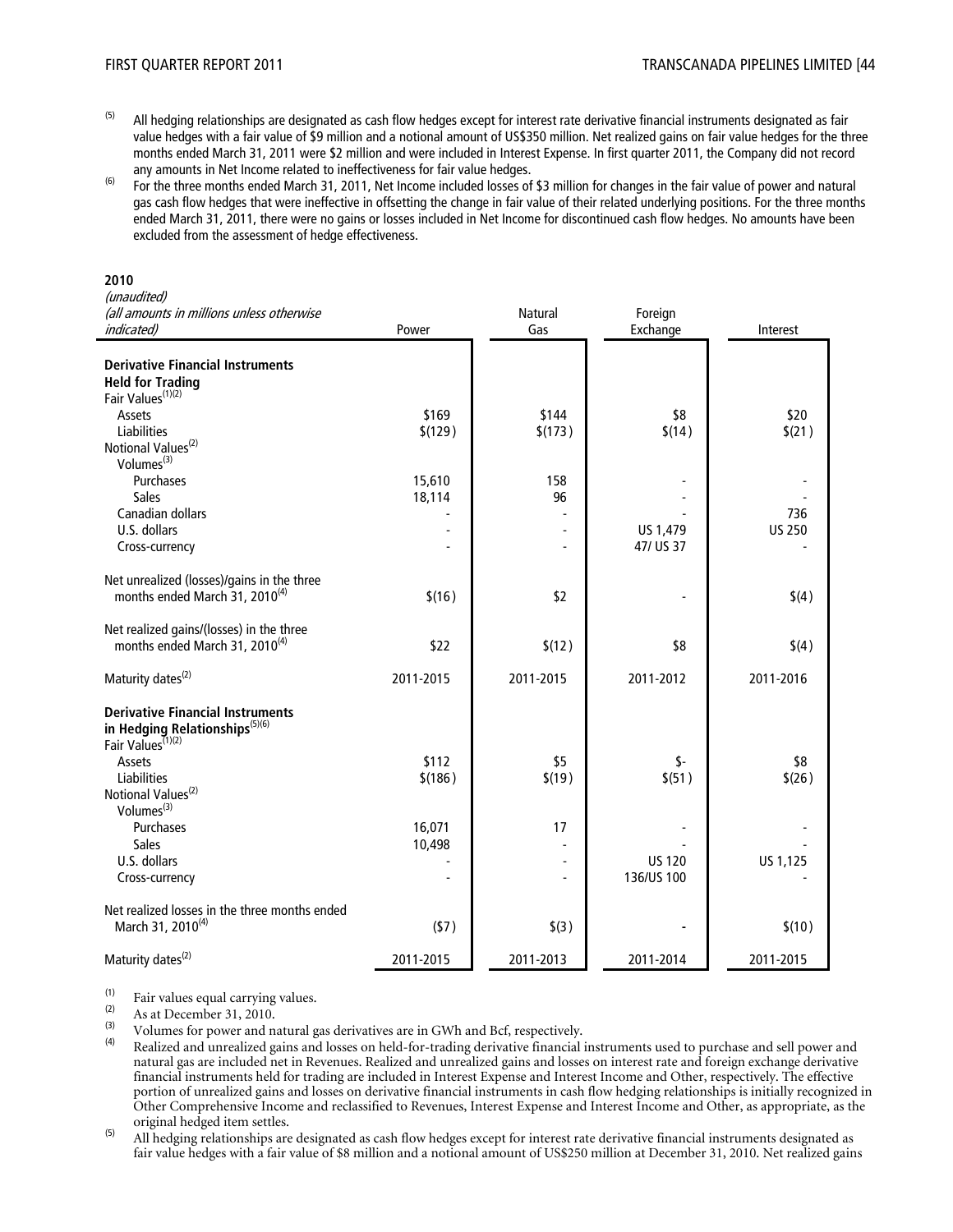- $<sup>(5)</sup>$  All hedging relationships are designated as cash flow hedges except for interest rate derivative financial instruments designated as fair</sup> value hedges with a fair value of \$9 million and a notional amount of US\$350 million. Net realized gains on fair value hedges for the three months ended March 31, 2011 were \$2 million and were included in Interest Expense. In first quarter 2011, the Company did not record any amounts in Net Income related to ineffectiveness for fair value hedges.
- (6) For the three months ended March 31, 2011, Net Income included losses of \$3 million for changes in the fair value of power and natural gas cash flow hedges that were ineffective in offsetting the change in fair value of their related underlying positions. For the three months ended March 31, 2011, there were no gains or losses included in Net Income for discontinued cash flow hedges. No amounts have been excluded from the assessment of hedge effectiveness.

|    | ٠ |
|----|---|
| ۰. |   |
|    |   |
|    |   |

(unaudited)

| (all amounts in millions unless otherwise     |           | <b>Natural</b>           | Foreign       |               |
|-----------------------------------------------|-----------|--------------------------|---------------|---------------|
| <i>indicated)</i>                             | Power     | Gas                      | Exchange      | Interest      |
|                                               |           |                          |               |               |
| <b>Derivative Financial Instruments</b>       |           |                          |               |               |
| <b>Held for Trading</b>                       |           |                          |               |               |
| Fair Values <sup>(1)(2)</sup>                 |           |                          |               |               |
| Assets                                        | \$169     | \$144                    | \$8           | \$20          |
| <b>Liabilities</b>                            | \$(129)   | \$(173)                  | \$(14)        | \$(21)        |
| Notional Values <sup>(2)</sup>                |           |                          |               |               |
| Volumes <sup>(3)</sup>                        |           |                          |               |               |
| Purchases                                     | 15,610    | 158                      |               |               |
| <b>Sales</b>                                  | 18,114    | 96                       |               |               |
| Canadian dollars                              |           |                          |               | 736           |
| U.S. dollars                                  |           |                          | US 1,479      | <b>US 250</b> |
| Cross-currency                                |           | ÷,                       | 47/ US 37     |               |
|                                               |           |                          |               |               |
| Net unrealized (losses)/gains in the three    |           |                          |               |               |
| months ended March 31, 2010 <sup>(4)</sup>    | \$(16)    | \$2                      |               | \$(4)         |
|                                               |           |                          |               |               |
| Net realized gains/(losses) in the three      |           |                          |               |               |
| months ended March 31, 2010 <sup>(4)</sup>    | \$22      | \$(12)                   | \$8           | \$(4)         |
|                                               |           |                          |               |               |
| Maturity dates <sup>(2)</sup>                 | 2011-2015 | 2011-2015                | 2011-2012     | 2011-2016     |
| <b>Derivative Financial Instruments</b>       |           |                          |               |               |
| in Hedging Relationships(5)(6)                |           |                          |               |               |
| Fair Values <sup>(1)(2)</sup>                 |           |                          |               |               |
| Assets                                        | \$112     | \$5                      | \$-           | \$8           |
| <b>Liabilities</b>                            | \$(186)   |                          | \$(51)        | \$(26)        |
| Notional Values <sup>(2)</sup>                |           | \$(19)                   |               |               |
| Volumes $(3)$                                 |           |                          |               |               |
|                                               |           | 17                       |               |               |
| Purchases<br><b>Sales</b>                     | 16,071    |                          |               |               |
|                                               | 10,498    |                          |               |               |
| U.S. dollars                                  |           |                          | <b>US 120</b> | US 1,125      |
| Cross-currency                                |           | $\overline{\phantom{a}}$ | 136/US 100    |               |
| Net realized losses in the three months ended |           |                          |               |               |
| March 31, 2010 <sup>(4)</sup>                 | (57)      | \$(3)                    |               | \$(10)        |
|                                               |           |                          |               |               |
| Maturity dates <sup>(2)</sup>                 | 2011-2015 | 2011-2013                | 2011-2014     | 2011-2015     |

(1) Fair values equal carrying values.<br>
(2) As at December 31, 2010.<br>
(3) Volumes for power and natural gas derivatives are in GWh and Bcf, respectively.

(4) Realized and unrealized gains and losses on held-for-trading derivative financial instruments used to purchase and sell power and natural gas are included net in Revenues. Realized and unrealized gains and losses on interest rate and foreign exchange derivative financial instruments held for trading are included in Interest Expense and Interest Income and Other, respectively. The effective portion of unrealized gains and losses on derivative financial instruments in cash flow hedging relationships is initially recognized in Other Comprehensive Income and reclassified to Revenues, Interest Expense and Interest Income and Other, as appropriate, as the original hedged item settles.<br>(5) All hedging relationships are designated as cash flow hedges except for interest rate derivative financial instruments designated as

fair value hedges with a fair value of \$8 million and a notional amount of US\$250 million at December 31, 2010. Net realized gains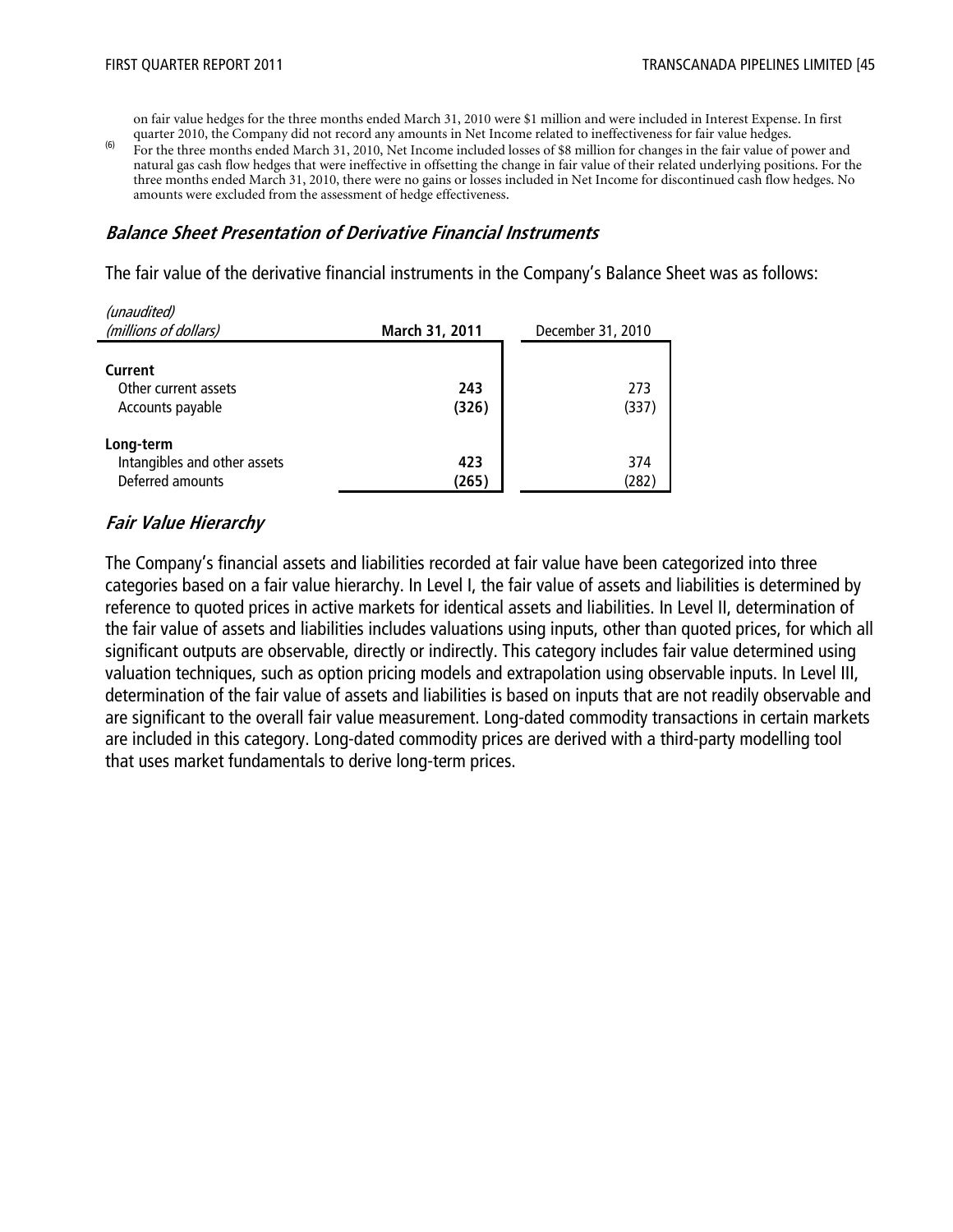on fair value hedges for the three months ended March 31, 2010 were \$1 million and were included in Interest Expense. In first

quarter 2010, the Company did not record any amounts in Net Income related to ineffectiveness for fair value hedges.<br>For the three months ended March 31, 2010, Net Income included losses of \$8 million for changes in the fa natural gas cash flow hedges that were ineffective in offsetting the change in fair value of their related underlying positions. For the three months ended March 31, 2010, there were no gains or losses included in Net Income for discontinued cash flow hedges. No amounts were excluded from the assessment of hedge effectiveness.

#### **Balance Sheet Presentation of Derivative Financial Instruments**

The fair value of the derivative financial instruments in the Company's Balance Sheet was as follows:

| (unaudited)<br>(millions of dollars)                          | March 31, 2011 | December 31, 2010 |  |
|---------------------------------------------------------------|----------------|-------------------|--|
| Current<br>Other current assets<br>Accounts payable           | 243<br>(326)   | 273<br>(337)      |  |
| Long-term<br>Intangibles and other assets<br>Deferred amounts | 423<br>(265)   | 374<br>(282)      |  |

#### **Fair Value Hierarchy**

The Company's financial assets and liabilities recorded at fair value have been categorized into three categories based on a fair value hierarchy. In Level I, the fair value of assets and liabilities is determined by reference to quoted prices in active markets for identical assets and liabilities. In Level II, determination of the fair value of assets and liabilities includes valuations using inputs, other than quoted prices, for which all significant outputs are observable, directly or indirectly. This category includes fair value determined using valuation techniques, such as option pricing models and extrapolation using observable inputs. In Level III, determination of the fair value of assets and liabilities is based on inputs that are not readily observable and are significant to the overall fair value measurement. Long-dated commodity transactions in certain markets are included in this category. Long-dated commodity prices are derived with a third-party modelling tool that uses market fundamentals to derive long-term prices.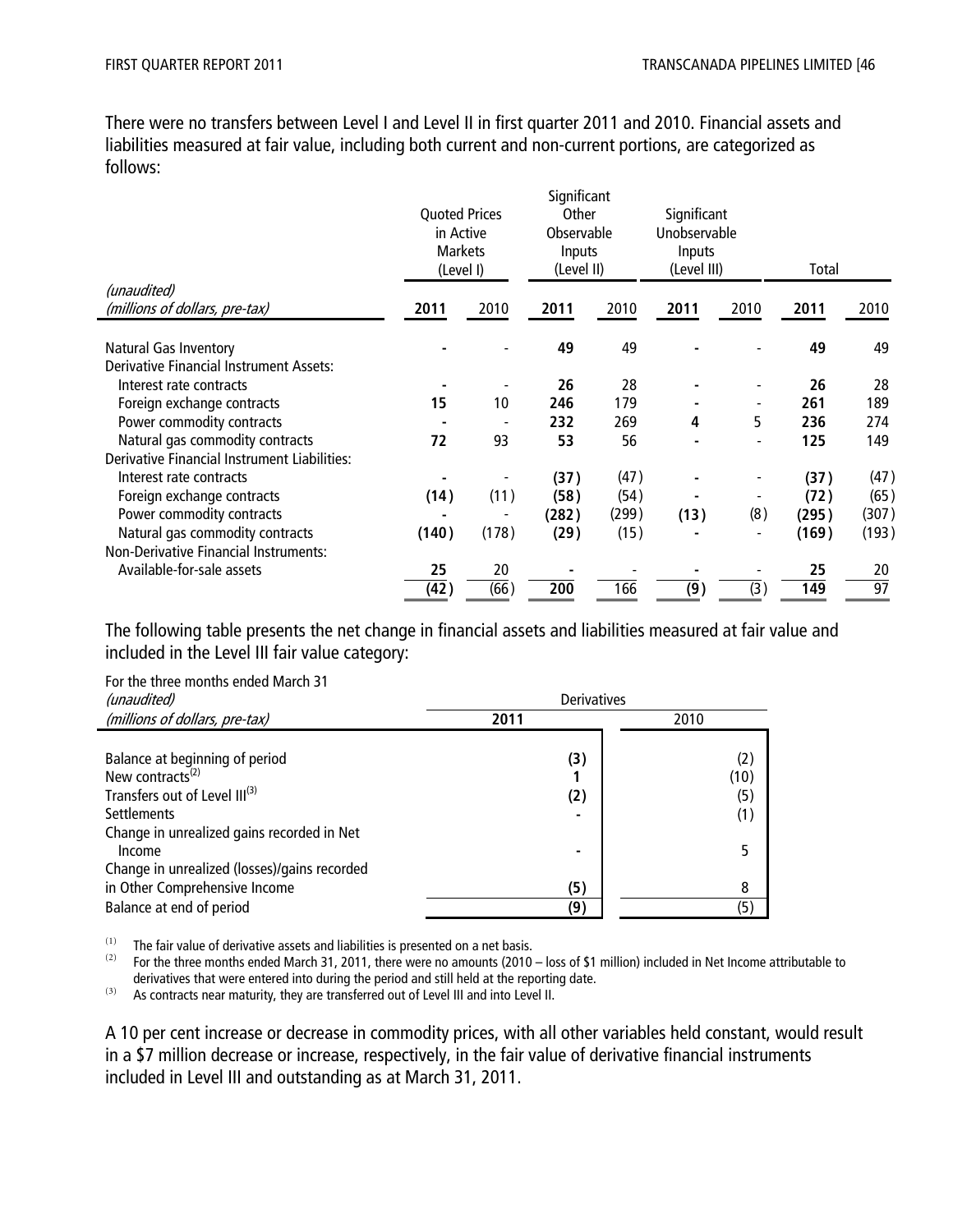There were no transfers between Level I and Level II in first quarter 2011 and 2010. Financial assets and liabilities measured at fair value, including both current and non-current portions, are categorized as follows:

|                                                     | <b>Quoted Prices</b><br>in Active<br><b>Markets</b><br>(Level I) |       | Significant<br>Other<br>Observable<br>Inputs<br>(Level II) |       | Significant<br>Unobservable<br>Inputs<br>(Level III) |                          | Total |       |
|-----------------------------------------------------|------------------------------------------------------------------|-------|------------------------------------------------------------|-------|------------------------------------------------------|--------------------------|-------|-------|
| (unaudited)<br>(millions of dollars, pre-tax)       | 2011                                                             | 2010  | 2011                                                       | 2010  | 2011                                                 | 2010                     | 2011  | 2010  |
|                                                     |                                                                  |       |                                                            |       |                                                      |                          |       |       |
| <b>Natural Gas Inventory</b>                        |                                                                  |       | 49                                                         | 49    |                                                      |                          | 49    | 49    |
| <b>Derivative Financial Instrument Assets:</b>      |                                                                  |       |                                                            |       |                                                      |                          |       |       |
| Interest rate contracts                             |                                                                  |       | 26                                                         | 28    |                                                      |                          | 26    | 28    |
| Foreign exchange contracts                          | 15                                                               | 10    | 246                                                        | 179   |                                                      |                          | 261   | 189   |
| Power commodity contracts                           |                                                                  |       | 232                                                        | 269   | 4                                                    | 5                        | 236   | 274   |
| Natural gas commodity contracts                     | 72                                                               | 93    | 53                                                         | 56    |                                                      |                          | 125   | 149   |
| <b>Derivative Financial Instrument Liabilities:</b> |                                                                  |       |                                                            |       |                                                      |                          |       |       |
| Interest rate contracts                             |                                                                  |       | (37)                                                       | (47)  |                                                      |                          | (37)  | (47)  |
| Foreign exchange contracts                          | (14)                                                             | (11)  | (58)                                                       | (54)  |                                                      |                          | (72)  | (65)  |
| Power commodity contracts                           |                                                                  |       | (282)                                                      | (299) | (13)                                                 | (8)                      | (295) | (307) |
| Natural gas commodity contracts                     | (140)                                                            | (178) | (29)                                                       | (15)  |                                                      | $\overline{\phantom{a}}$ | (169) | (193) |
| <b>Non-Derivative Financial Instruments:</b>        |                                                                  |       |                                                            |       |                                                      |                          |       |       |
| Available-for-sale assets                           | 25                                                               | 20    |                                                            |       |                                                      |                          | 25    | 20    |
|                                                     | (42)                                                             | (66)  | 200                                                        | 166   | (9)                                                  | (3)                      | 149   | 97    |

The following table presents the net change in financial assets and liabilities measured at fair value and included in the Level III fair value category:

For the three months ended March 31

| (unaudited)                                  | <b>Derivatives</b> |      |  |  |
|----------------------------------------------|--------------------|------|--|--|
| (millions of dollars, pre-tax)               | 2011               | 2010 |  |  |
|                                              |                    |      |  |  |
| Balance at beginning of period               | (3)                | (2)  |  |  |
| New contracts <sup><math>(2)</math></sup>    |                    | (10) |  |  |
| Transfers out of Level III(3)                | (2)                | (5)  |  |  |
| <b>Settlements</b>                           |                    | (1)  |  |  |
| Change in unrealized gains recorded in Net   |                    |      |  |  |
| Income                                       |                    | 5    |  |  |
| Change in unrealized (losses)/gains recorded |                    |      |  |  |
| in Other Comprehensive Income                | (5)                | 8    |  |  |
| Balance at end of period                     | (9)                | (5)  |  |  |

 $(1)$  The fair value of derivative assets and liabilities is presented on a net basis.

<sup>(2)</sup> For the three months ended March 31, 2011, there were no amounts (2010 – loss of \$1 million) included in Net Income attributable to derivatives that were entered into during the period and still held at the reporting date.

 $(3)$  As contracts near maturity, they are transferred out of Level III and into Level II.

A 10 per cent increase or decrease in commodity prices, with all other variables held constant, would result in a \$7 million decrease or increase, respectively, in the fair value of derivative financial instruments included in Level III and outstanding as at March 31, 2011.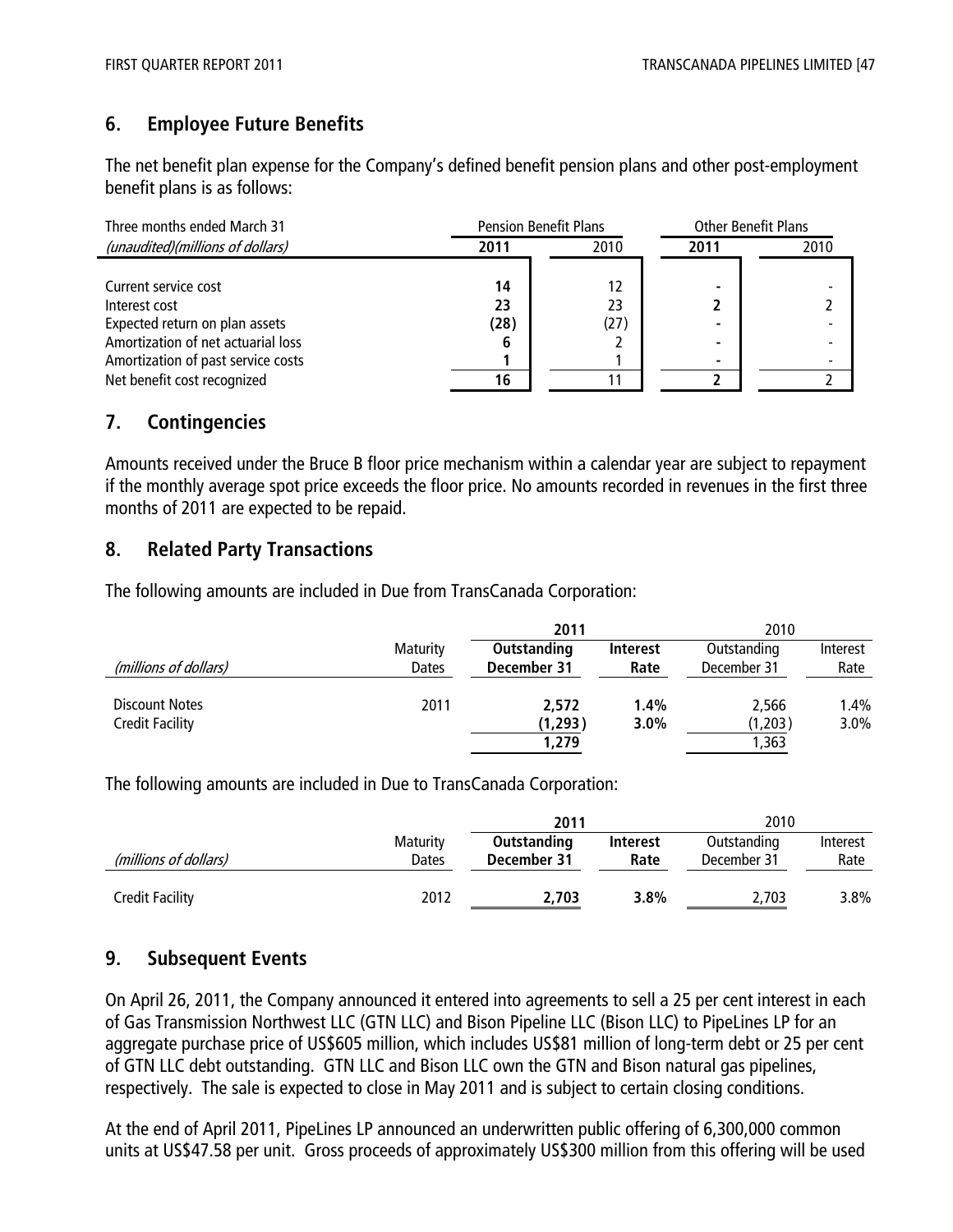# **6. Employee Future Benefits**

The net benefit plan expense for the Company's defined benefit pension plans and other post-employment benefit plans is as follows:

| Three months ended March 31           |          | <b>Pension Benefit Plans</b> |      | <b>Other Benefit Plans</b> |  |  |
|---------------------------------------|----------|------------------------------|------|----------------------------|--|--|
| (unaudited)(millions of dollars)      | 2011     | 2010                         | 2011 | 2010                       |  |  |
| Current service cost<br>Interest cost | 14<br>23 | 23                           |      |                            |  |  |
| Expected return on plan assets        | (28)     | (27)                         |      |                            |  |  |
| Amortization of net actuarial loss    | 6        |                              |      |                            |  |  |
| Amortization of past service costs    |          |                              |      |                            |  |  |
| Net benefit cost recognized           | 16       |                              |      |                            |  |  |

# **7. Contingencies**

Amounts received under the Bruce B floor price mechanism within a calendar year are subject to repayment if the monthly average spot price exceeds the floor price. No amounts recorded in revenues in the first three months of 2011 are expected to be repaid.

# **8. Related Party Transactions**

The following amounts are included in Due from TransCanada Corporation:

|                        |                   | 2011                       |                         |                            | 2010             |  |  |
|------------------------|-------------------|----------------------------|-------------------------|----------------------------|------------------|--|--|
| (millions of dollars)  | Maturity<br>Dates | Outstanding<br>December 31 | <b>Interest</b><br>Rate | Outstanding<br>December 31 | Interest<br>Rate |  |  |
| Discount Notes         | 2011              | 2.572                      | 1.4%                    | 2.566                      | 1.4%             |  |  |
| <b>Credit Facility</b> |                   | (1, 293)                   | 3.0%                    | (1, 203)                   | 3.0%             |  |  |
|                        |                   | 1,279                      |                         | 1,363                      |                  |  |  |

The following amounts are included in Due to TransCanada Corporation:

|                        |                 | 2011        |                 | 2010        |          |
|------------------------|-----------------|-------------|-----------------|-------------|----------|
|                        | <b>Maturity</b> | Outstanding | <b>Interest</b> | Outstanding | Interest |
| (millions of dollars)  | Dates           | December 31 | Rate            | December 31 | Rate     |
| <b>Credit Facility</b> | 2012            | 2,703       | $3.8\%$         | 2,703       | 3.8%     |

# **9. Subsequent Events**

On April 26, 2011, the Company announced it entered into agreements to sell a 25 per cent interest in each of Gas Transmission Northwest LLC (GTN LLC) and Bison Pipeline LLC (Bison LLC) to PipeLines LP for an aggregate purchase price of US\$605 million, which includes US\$81 million of long-term debt or 25 per cent of GTN LLC debt outstanding. GTN LLC and Bison LLC own the GTN and Bison natural gas pipelines, respectively. The sale is expected to close in May 2011 and is subject to certain closing conditions.

At the end of April 2011, PipeLines LP announced an underwritten public offering of 6,300,000 common units at US\$47.58 per unit. Gross proceeds of approximately US\$300 million from this offering will be used